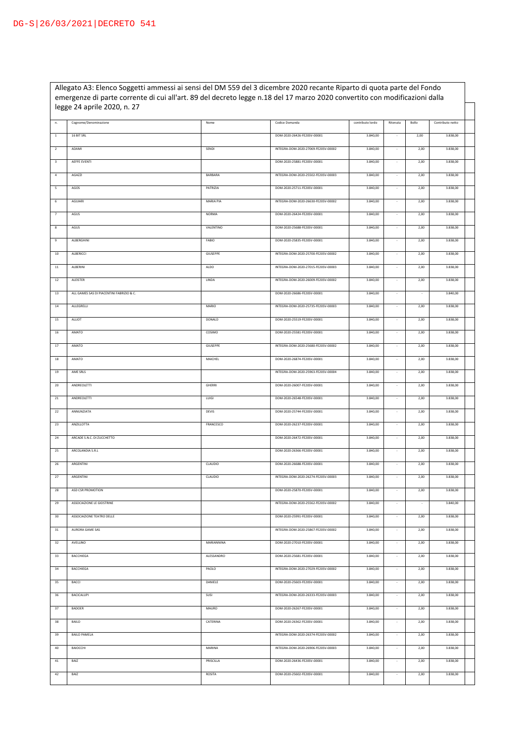Allegato A3: Elenco Soggetti ammessi ai sensi del DM 559 del 3 dicembre 2020 recante Riparto di quota parte del Fondo emergenze di parte corrente di cui all'art. 89 del decreto legge n.18 del 17 marzo 2020 convertito con modificazioni dalla legge 24 aprile 2020, n. 27

□

| n.                       | Cognome/Denominazione                     | Nome            | Codice Domanda                      | contributo lordo | Ritenuta | Bollo | Contributo netto |  |
|--------------------------|-------------------------------------------|-----------------|-------------------------------------|------------------|----------|-------|------------------|--|
| $1\,$                    | 16 BIT SRL                                |                 | DOM-2020-26426-FE20SV-00001         | 3.840,00         | $\sim$   | 2,00  | 3.838,00         |  |
| $\overline{2}$           | ADAMI                                     | SENDI           | INTEGRA-DOM-2020-27069-FE20SV-00002 | 3.840,00         | $\sim$   | 2,00  | 3.838,00         |  |
| $\overline{\mathbf{3}}$  | AEFFE EVENTI                              |                 | DOM-2020-25881-FE20SV-00001         | 3.840,00         | $\sim$   | 2,00  | 3.838,00         |  |
| $\it 4$                  | AGAZZI                                    | BARBARA         | INTEGRA-DOM-2020-25502-FE20SV-00003 | 3.840,00         |          | 2,00  | 3.838,00         |  |
| 5                        | AGOS                                      | PATRIZIA        | DOM-2020-25711-FE20SV-00001         | 3.840,00         |          | 2,00  | 3.838,00         |  |
| $\,$ 6                   | AGUIARI                                   | MARIA PIA       | INTEGRA-DOM-2020-26630-FE20SV-00002 | 3.840,00         |          | 2,00  | 3.838,00         |  |
| $\overline{\phantom{a}}$ | AGUS                                      | <b>NORMA</b>    | DOM-2020-26424-FE20SV-00001         | 3.840,00         |          | 2,00  | 3.838,00         |  |
| 8                        | AGUS                                      | VALENTINO       | DOM-2020-25688-FE20SV-00001         | 3.840,00         |          | 2,00  | 3.838,00         |  |
| $\,9$                    | ALBERGHINI                                | FABIO           | DOM-2020-25835-FE20SV-00001         | 3.840,00         |          | 2,00  | 3.838,00         |  |
| $10\,$                   | ALBERICCI                                 | GIUSEPPE        | INTEGRA-DOM-2020-25700-FE20SV-00002 | 3.840,00         |          | 2,00  | 3.838,00         |  |
| $11\,$                   | ALBERINI                                  | ALDO            | INTEGRA-DOM-2020-27015-FE20SV-00003 | 3.840,00         |          | 2,00  | 3.838,00         |  |
| 12                       | ALEISTER                                  | LINDA           | INTEGRA-DOM-2020-26009-FE20SV-00002 | 3.840,00         |          | 2,00  | 3.838,00         |  |
| 13                       | ALL GAMES SAS DI PIACENTINI FABRIZIO & C. |                 | DOM-2020-26686-FE20SV-00001         | 3.840,00         |          |       | 3.840,00         |  |
| 14                       | ALLEGRELLI                                | MARIO           | INTEGRA-DOM-2020-25735-FE20SV-00003 | 3.840,00         |          | 2,00  | 3.838,00         |  |
| 15                       | ALLIOT                                    | DONALD          | DOM-2020-25519-FE20SV-00001         | 3.840,00         |          | 2,00  | 3.838,00         |  |
| 16                       | AMATO                                     | COSIMO          | DOM-2020-25581-FE20SV-00001         | 3.840,00         |          | 2,00  | 3.838,00         |  |
| 17                       | AMATO                                     | <b>GIUSEPPE</b> | INTEGRA-DOM-2020-25680-FE20SV-00002 | 3.840,00         |          | 2,00  | 3.838,00         |  |
| 18                       | AMATO                                     | MAICHEL         | DOM-2020-26874-FE20SV-00001         | 3.840,00         |          | 2,00  | 3.838,00         |  |
| 19                       | AME SRLS                                  |                 | INTEGRA-DOM-2020-25963-FE20SV-00004 | 3.840,00         |          | 2,00  | 3.838,00         |  |
| 20                       | ANDREOLETTI                               | <b>GHERRI</b>   | DOM-2020-26007-FE20SV-00001         | 3.840,00         |          | 2,00  | 3.838,00         |  |
| 21                       | ANDREOLETTI                               | LUIGI           | DOM-2020-26548-FE20SV-00001         | 3.840,00         |          | 2,00  | 3.838,00         |  |
| 22                       | ANNUNZIATA                                | <b>DEVIS</b>    | DOM-2020-25744-FE20SV-00001         | 3.840,00         |          | 2,00  | 3.838,00         |  |
| 23                       | ANZILLOTTA                                | FRANCESCO       | DOM-2020-26237-FE20SV-00001         | 3.840,00         |          | 2,00  | 3.838,00         |  |
| $\bf{24}$                | ARCADE S.N.C. DI ZUCCHETTO                |                 | DOM-2020-26472-FE20SV-00001         | 3.840,00         |          | 2,00  | 3.838,00         |  |
| 25                       | ARCOLANDIA S.R.L                          |                 | DOM-2020-26366-FE20SV-00001         | 3.840,00         |          | 2,00  | 3.838,00         |  |
| 26                       | ARGENTINI                                 | CLAUDIO         | DOM-2020-26688-FE20SV-00001         | 3.840,00         | $\sim$   | 2,00  | 3.838,00         |  |
| 27                       | ARGENTINI                                 | CLAUDIO         | INTEGRA-DOM-2020-26274-FE20SV-00003 | 3.840,00         |          | 2,00  | 3.838,00         |  |
| 28                       | ASD CSR PROMOTION                         |                 | DOM-2020-25870-FE20SV-00001         | 3.840,00         |          | 2,00  | 3.838,00         |  |
| 29                       | ASSOCIAZIONE LE GIOSTRINE                 |                 | INTEGRA-DOM-2020-25562-FE20SV-00002 | 3.840,00         |          | ٠     | 3.840,00         |  |
| 30                       | ASSOCIAZIONE TEATRO DELLE                 |                 | DOM-2020-25991-FE20SV-00001         | 3.840,00         |          | 2,00  | 3.838,00         |  |
| 31                       | AURORA GAME SAS                           |                 | INTEGRA-DOM-2020-25867-FE20SV-00002 | 3.840,00         |          | 2,00  | 3.838,00         |  |
| 32                       | AVELLINO                                  | MARIANNINA      | DOM-2020-27010-FE20SV-00001         | 3.840,00         | $\sim$   | 2,00  | 3.838,00         |  |
| 33                       | BACCHIEGA                                 | ALESSANDRO      | DOM-2020-25681-FE20SV-00001         | 3.840,00         | $\sim$   | 2,00  | 3.838,00         |  |
| 34                       | BACCHIEGA                                 | PAOLO           | INTEGRA-DOM-2020-27029-FE20SV-00002 | 3.840,00         | $\sim$   | 2,00  | 3.838,00         |  |
| 35                       | BACCI                                     | DANIELE         | DOM-2020-25603-FE20SV-00001         | 3.840,00         | $\sim$   | 2,00  | 3.838,00         |  |
| 36                       | <b>BACICALUPI</b>                         | SUSI            | INTEGRA-DOM-2020-26333-FE20SV-00003 | 3.840,00         | $\sim$   | 2,00  | 3.838,00         |  |
| 37                       | BADOER                                    | MAURO           | DOM-2020-26267-FE20SV-00001         | 3.840,00         |          | 2,00  | 3.838,00         |  |
| 38                       | <b>BAILO</b>                              | CATERINA        | DOM-2020-26362-FE20SV-00001         | 3.840,00         |          | 2,00  | 3.838,00         |  |
| 39                       | <b>BAILO PAMELA</b>                       |                 | INTEGRA-DOM-2020-26374-FE20SV-00002 | 3.840,00         |          | 2,00  | 3.838,00         |  |
| 40                       | BAIOCCHI                                  | MARINA          | INTEGRA-DOM-2020-26906-FE20SV-00003 | 3.840,00         |          | 2,00  | 3.838,00         |  |
| 41                       | BAIZ                                      | PRISCILLA       | DOM-2020-26436-FE20SV-00001         | 3.840,00         |          | 2,00  | 3.838,00         |  |
| 42                       | BAIZ                                      | ROSITA          | DOM-2020-25602-FE20SV-00001         | 3.840,00         |          | 2,00  | 3.838,00         |  |
|                          |                                           |                 |                                     |                  |          |       |                  |  |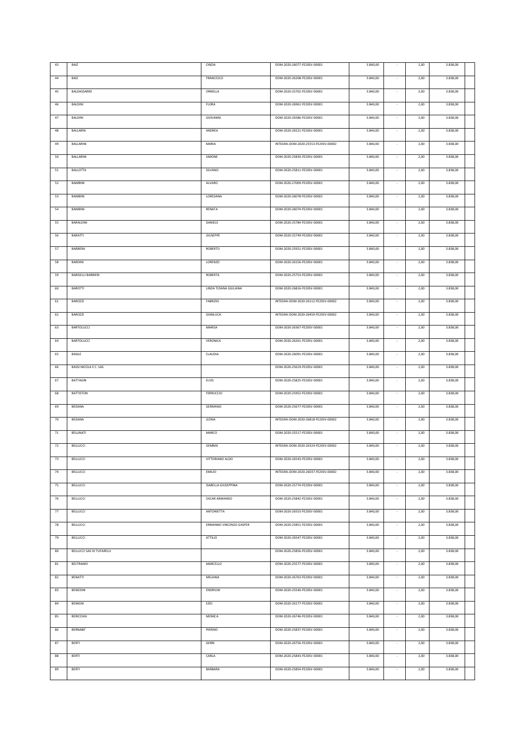| 43 | BAIZ                      | CINZIA                     | DOM-2020-26077-FE20SV-00001         | 3.840,00 |                          | 2,00 | 3.838,00 |  |
|----|---------------------------|----------------------------|-------------------------------------|----------|--------------------------|------|----------|--|
| 44 | BAIZ                      | FRANCESCO                  | DOM-2020-26208-FE20SV-00001         | 3.840,00 |                          | 2,00 | 3.838,00 |  |
| 45 | BALDASSARRE               | ORNELLA                    | DOM-2020-25702-FE20SV-00001         | 3.840,00 |                          | 2,00 | 3.838,00 |  |
| 46 | BALDINI                   | <b>FLORA</b>               | DOM-2020-26961-FE20SV-00001         | 3.840,00 |                          | 2,00 | 3.838,00 |  |
|    |                           |                            |                                     |          |                          |      |          |  |
| 47 | BALDINI                   | GIOVANNI                   | DOM-2020-26586-FE20SV-00001         | 3.840,00 | ÷,                       | 2,00 | 3.838,00 |  |
| 48 | BALLARIN                  | ANDREA                     | DOM-2020-26521-FE20SV-00001         | 3.840,00 |                          | 2,00 | 3.838,00 |  |
| 49 | BALLARINI                 | MARIA                      | INTEGRA-DOM-2020-25553-FE20SV-00002 | 3.840,00 |                          | 2,00 | 3.838,00 |  |
| 50 | BALLARINI                 | SIMONE                     | DOM-2020-25830-FE20SV-00001         | 3.840,00 |                          | 2,00 | 3.838,00 |  |
| 51 | <b>BALLOTTA</b>           | SILVANO                    | DOM-2020-25811-FE20SV-00001         | 3.840,00 |                          | 2,00 | 3.838,00 |  |
| 52 | BAMBINI                   | ALVARO                     | DOM-2020-27009-FE20SV-00001         | 3.840,00 | ×                        | 2,00 | 3.838,00 |  |
|    |                           |                            |                                     |          |                          |      |          |  |
| 53 | BAMBINI                   | LOREDANA                   | DOM-2020-26078-FE20SV-00001         | 3.840,00 | $\sim$                   | 2,00 | 3.838,00 |  |
| 54 | BAMBINI                   | RENATA                     | DOM-2020-26074-FE20SV-00001         | 3.840,00 | $\sim$                   | 2,00 | 3.838,00 |  |
| 55 | BARALDINI                 | DANIELE                    | DOM-2020-25784-FE20SV-00001         | 3.840,00 | $\sim$                   | 2,00 | 3.838,00 |  |
| 56 | BARATTI                   | GIUSEPPE                   | DOM-2020-25749-FE20SV-00001         | 3.840,00 |                          | 2,00 | 3.838,00 |  |
| 57 | BARBERA                   | ROBERTO                    | DOM-2020-25921-FE20SV-00001         | 3.840,00 | $\sim$                   | 2,00 | 3.838,00 |  |
| 58 | BARDINI                   | LORENZO                    | DOM-2020-26156-FE20SV-00001         | 3.840,00 | $\sim$                   | 2,00 | 3.838,00 |  |
| 59 | <b>BARISELLI BARBIERI</b> | ROBERTA                    | DOM-2020-25753-FE20SV-00001         | 3.840,00 | $\sim$                   | 2,00 | 3.838,00 |  |
|    |                           |                            |                                     |          |                          |      |          |  |
| 60 | BAROTTI                   | LINDA TIZIANA GIULIANA     | DOM-2020-26816-FE20SV-00001         | 3.840,00 | $\epsilon$               | 2,00 | 3.838,00 |  |
| 61 | <b>BAROZZI</b>            | <b>FABRIZIO</b>            | INTEGRA-DOM-2020-26112-FE20SV-00002 | 3.840,00 | $\overline{\phantom{a}}$ | 2,00 | 3.838,00 |  |
| 62 | <b>BAROZZI</b>            | GIANLUCA                   | INTEGRA-DOM-2020-26450-FE20SV-00002 | 3.840,00 |                          | 2,00 | 3.838,00 |  |
| 63 | BARTOLUCCI                | <b>MARISA</b>              | DOM-2020-26367-FE20SV-00001         | 3.840,00 |                          | 2,00 | 3.838,00 |  |
| 64 | BARTOLUCCI                | VERONICA                   | DOM-2020-26261-FE20SV-00001         | 3.840,00 |                          | 2,00 | 3.838,00 |  |
| 65 | BASILE                    | CLAUDIA                    | DOM-2020-26091-FE20SV-00001         | 3.840,00 |                          | 2,00 | 3.838,00 |  |
|    |                           |                            |                                     |          |                          |      |          |  |
| 66 | BASSI NICOLA E C. SAS     |                            | DOM-2020-25619-FE20SV-00001         | 3.840,00 |                          | 2,00 | 3.838,00 |  |
| 67 | BATTAGIN                  | ELVIS                      | DOM-2020-25825-FE20SV-00001         | 3.840,00 | ÷.                       | 2,00 | 3.838,00 |  |
| 68 | <b>BATTISTON</b>          | FERRUCCIO                  | DOM-2020-25952-FE20SV-00001         | 3.840,00 |                          | 2,00 | 3.838,00 |  |
| 69 | BEDANA                    | GERMANO                    | DOM-2020-25677-FE20SV-00001         | 3.840,00 |                          | 2,00 | 3.838,00 |  |
| 70 | BEDANA                    | <b>JLENIA</b>              | INTEGRA-DOM-2020-26818-FE20SV-00002 | 3.840,00 |                          | 2,00 | 3.838,00 |  |
| 71 | BELLINATI                 | MARCO                      | DOM-2020-25517-FE20SV-00001         | 3.840,00 |                          | 2,00 | 3.838,00 |  |
| 72 | <b>BELLUCCI</b>           | GEMMA                      | INTEGRA-DOM-2020-26324-FE20SV-00002 | 3.840,00 |                          | 2,00 | 3.838,00 |  |
|    |                           |                            |                                     |          |                          |      |          |  |
| 73 | <b>BELLUCCI</b>           | VITTORIANO ALDO            | DOM-2020-26543-FE20SV-00001         | 3.840,00 | $\sim$                   | 2,00 | 3.838,00 |  |
| 74 | <b>BELLUCCI</b>           | <b>EMILIO</b>              | INTEGRA-DOM-2020-26037-FE20SV-00002 | 3.840,00 | ×                        | 2,00 | 3.838,00 |  |
| 75 | BELLUCCI                  | <b>ISABELLA GIUSEPPINA</b> | DOM-2020-25774-FE20SV-00001         | 3.840,00 | $\sim$                   | 2,00 | 3.838,00 |  |
| 76 | BELLUCCI                  | <b>OSCAR ARMANDO</b>       | DOM-2020-25842-FE20SV-00001         | 3.840,00 |                          | 2,00 | 3.838,00 |  |
| 77 | BELLUCCI                  | ANTONIETTA                 | DOM-2020-26553-FE20SV-00001         | 3.840,00 |                          | 2,00 | 3.838,00 |  |
| 78 | BELLUCCI                  | ERMANNO VINCENZO GASPER    | DOM-2020-25851-FE20SV-00001         | 3.840,00 |                          | 2,00 | 3.838,00 |  |
| 79 | BELLUCCI                  | <b>ATTILIO</b>             | DOM-2020-26547-FE20SV-00001         | 3.840,00 |                          | 2,00 | 3.838,00 |  |
|    |                           |                            |                                     |          |                          |      |          |  |
| 80 | BELLUCCI SAS DI TUFARELLI |                            | DOM-2020-25856-FE20SV-00001         | 3.840,00 | $\sim$                   | 2,00 | 3.838,00 |  |
| 81 | BELTRAMO                  | MARCELLO                   | DOM-2020-25577-FE20SV-00001         | 3.840,00 |                          | 2,00 | 3.838,00 |  |
| 82 | BENATTI                   | MELANIA                    | DOM-2020-26763-FE20SV-00001         | 3.840,00 |                          | 2,00 | 3.838,00 |  |
| 83 | BENEDINI                  | ENDRIUW                    | DOM-2020-25540-FE20SV-00001         | 3.840,00 |                          | 2,00 | 3.838,00 |  |
| 84 | BENIGNI                   | EZIO                       | DOM-2020-26177-FE20SV-00001         | 3.840,00 | - 11                     | 2,00 | 3.838,00 |  |
| 85 | BERICCHIA                 | MONICA                     | DOM-2020-26746-FE20SV-00001         | 3.840,00 | ×                        | 2,00 | 3.838,00 |  |
|    | BERNABE'                  | PIERINO                    | DOM-2020-25837-FE20SV-00001         | 3.840,00 | $\sim$                   | 2,00 | 3.838,00 |  |
| 86 |                           |                            |                                     |          |                          |      |          |  |
| 87 | BERTI                     | <b>GERRI</b>               | DOM-2020-26756-FE20SV-00001         | 3.840,00 | $\sim$                   | 2,00 | 3.838,00 |  |
| 88 | BERTI                     | CARLA                      | DOM-2020-25843-FE20SV-00001         | 3.840,00 | $\sim$                   | 2,00 | 3.838,00 |  |
| 89 | BERTI                     | BARBARA                    | DOM-2020-25854-FE20SV-00001         | 3.840,00 |                          | 2,00 | 3.838,00 |  |
|    |                           |                            |                                     |          |                          |      |          |  |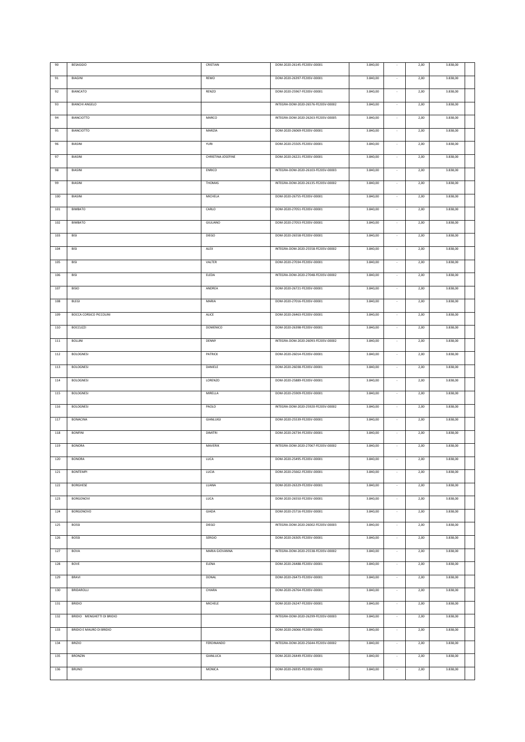| 90      | <b>BESAGGIO</b>                | CRISTIAN           | DOM-2020-26145-FE20SV-00001         | 3.840,00 |                          | 2,00 | 3.838,00 |  |
|---------|--------------------------------|--------------------|-------------------------------------|----------|--------------------------|------|----------|--|
| 91      | BIAGINI                        | REMO               | DOM-2020-26397-FE20SV-00001         | 3.840,00 |                          | 2,00 | 3.838,00 |  |
| 92      | <b>BIANCATO</b>                | RENZO              | DOM-2020-25967-FE20SV-00001         | 3.840,00 |                          | 2,00 | 3.838,00 |  |
|         |                                |                    |                                     |          |                          |      |          |  |
| 93      | <b>BIANCHI ANGELO</b>          |                    | INTEGRA-DOM-2020-26576-FE20SV-00002 | 3.840,00 |                          | 2,00 | 3.838,00 |  |
| 94      | <b>BIANCIOTTO</b>              | MARCO              | INTEGRA-DOM-2020-26263-FE20SV-00005 | 3.840,00 | $\sim$                   | 2,00 | 3.838,00 |  |
| 95      | <b>BIANCIOTTO</b>              | MARZIA             | DOM-2020-26069-FE20SV-00001         | 3.840,00 |                          | 2,00 | 3.838,00 |  |
| 96      | BIASINI                        | YURI               | DOM-2020-25505-FE20SV-00001         | 3.840,00 |                          | 2,00 | 3.838,00 |  |
| 97      | BIASINI                        | CHRISTINA JOSEFINE | DOM-2020-26221-FE20SV-00001         | 3.840,00 |                          | 2,00 | 3.838,00 |  |
| 98      | BIASINI                        | ENRICO             | INTEGRA-DOM-2020-26103-FE20SV-00003 | 3.840,00 | $\sim$                   | 2,00 | 3.838,00 |  |
| 99      | BIASINI                        | THOMAS             | INTEGRA-DOM-2020-26135-FE20SV-00002 | 3.840,00 | $\sim$                   | 2,00 | 3.838,00 |  |
|         |                                |                    |                                     |          |                          |      |          |  |
| $100\,$ | BIASINI                        | MICHELA            | DOM-2020-26755-FE20SV-00001         | 3.840,00 | $\sim$                   | 2,00 | 3.838,00 |  |
| 101     | <b>BIMBATO</b>                 | CARLO              | DOM-2020-27051-FE20SV-00001         | 3.840,00 |                          | 2,00 | 3.838,00 |  |
| 102     | <b>BIMBATO</b>                 | GIULIANO           | DOM-2020-27053-FE20SV-00001         | 3.840,00 |                          | 2,00 | 3.838,00 |  |
| 103     | BISI                           | <b>DIEGO</b>       | DOM-2020-26558-FE20SV-00001         | 3.840,00 |                          | 2,00 | 3.838,00 |  |
| 104     | BISI                           | ALEX               | INTEGRA-DOM-2020-25558-FE20SV-00002 | 3.840,00 | $\sim$                   | 2,00 | 3.838,00 |  |
| 105     | BISI                           | VALTER             | DOM-2020-27034-FE20SV-00001         | 3.840,00 | $\overline{\phantom{a}}$ | 2,00 | 3.838,00 |  |
|         |                                |                    | INTEGRA-DOM-2020-27048-FE20SV-00002 |          |                          |      |          |  |
| 106     | BISI                           | ELEDA              |                                     | 3.840,00 |                          | 2,00 | 3.838,00 |  |
| 107     | <b>BISIO</b>                   | ANDREA             | DOM-2020-26721-FE20SV-00001         | 3.840,00 |                          | 2,00 | 3.838,00 |  |
| 108     | <b>BLEGI</b>                   | MARIA              | DOM-2020-27016-FE20SV-00001         | 3.840,00 | $\epsilon$               | 2,00 | 3.838,00 |  |
| 109     | <b>BOCCA CORSICO PICCOLINI</b> | ALICE              | DOM-2020-26463-FE20SV-00001         | 3.840,00 |                          | 2,00 | 3.838,00 |  |
| 110     | <b>BOCCUZZI</b>                | <b>DOMENICO</b>    | DOM-2020-26398-FE20SV-00001         | 3.840,00 | $\overline{\phantom{a}}$ | 2,00 | 3.838,00 |  |
| $111\,$ | <b>BOLLINI</b>                 | DENNY              | INTEGRA-DOM-2020-26093-FE20SV-00002 | 3.840,00 |                          | 2,00 | 3.838,00 |  |
| 112     | <b>BOLOGNESI</b>               | PATRICK            | DOM-2020-26014-FE20SV-00001         | 3.840,00 |                          | 2,00 | 3.838,00 |  |
| 113     | <b>BOLOGNESI</b>               | DANIELE            | DOM-2020-26038-FE20SV-00001         | 3.840,00 |                          | 2,00 | 3.838,00 |  |
| 114     | <b>BOLOGNESI</b>               | LORENZO            | DOM-2020-25889-FE20SV-00001         | 3.840,00 |                          | 2,00 | 3.838,00 |  |
|         |                                |                    |                                     |          |                          |      |          |  |
| 115     | <b>BOLOGNESI</b>               | MIRELLA            | DOM-2020-25909-FE20SV-00001         | 3.840,00 |                          | 2,00 | 3.838,00 |  |
| 116     | <b>BOLOGNESI</b>               | PAOLO              | INTEGRA-DOM-2020-25920-FE20SV-00002 | 3.840,00 |                          | 2,00 | 3.838,00 |  |
| 117     | <b>BONACINA</b>                | GIANLUIGI          | DOM-2020-25539-FE20SV-00001         | 3.840,00 |                          | 2,00 | 3.838,00 |  |
| 118     | <b>BONFINI</b>                 | <b>DIMITRI</b>     | DOM-2020-26734-FE20SV-00001         | 3.840,00 |                          | 2,00 | 3.838,00 |  |
| 119     | <b>BONORA</b>                  | MAVERIK            | INTEGRA-DOM-2020-27067-FE20SV-00002 | 3.840,00 |                          | 2,00 | 3.838,00 |  |
| 120     | <b>BONORA</b>                  | LUCA               | DOM-2020-25495-FE20SV-00001         | 3.840,00 | $\sim$                   | 2,00 | 3.838,00 |  |
| 121     | <b>BONTEMPI</b>                | LUCIA              | DOM-2020-25662-FE20SV-00001         | 3.840,00 |                          | 2,00 | 3.838,00 |  |
|         |                                |                    |                                     |          |                          |      |          |  |
| 122     | <b>BORGHESE</b>                | LUANA              | DOM-2020-26329-FE20SV-00001         | 3.840,00 | ×                        | 2,00 | 3.838,00 |  |
| 123     | <b>BORGONOVI</b>               | LUCA               | DOM-2020-26550-FE20SV-00001         | 3.840,00 |                          | 2,00 | 3.838,00 |  |
| 124     | <b>BORGONOVO</b>               | GIADA              | DOM-2020-25716-FE20SV-00001         | 3.840,00 |                          | 2,00 | 3.838,00 |  |
| 125     | <b>BOSSI</b>                   | <b>DIEGO</b>       | INTEGRA-DOM-2020-26002-FE20SV-00003 | 3.840,00 |                          | 2,00 | 3.838,00 |  |
| 126     | <b>BOSSI</b>                   | <b>SERGIO</b>      | DOM-2020-26305-FE20SV-00001         | 3.840,00 | ÷,                       | 2,00 | 3.838,00 |  |
| 127     | <b>BOVA</b>                    | MARIA GIOVANNA     | INTEGRA-DOM-2020-25538-FE20SV-00002 | 3.840,00 | $\sim$                   | 2,00 | 3.838,00 |  |
| 128     | BOVE                           | ELENA              | DOM-2020-26488-FE20SV-00001         | 3.840,00 |                          | 2,00 | 3.838,00 |  |
| 129     | BRAVI                          | DONAL              | DOM-2020-26473-FE20SV-00001         | 3.840,00 | $\sim$                   | 2,00 | 3.838,00 |  |
|         |                                |                    |                                     |          |                          |      |          |  |
| 130     | BRIDAROLLI                     | CHIARA             | DOM-2020-26764-FE20SV-00001         | 3.840,00 |                          | 2,00 | 3.838,00 |  |
| 131     | <b>BRIDIO</b>                  | <b>MICHELE</b>     | DOM-2020-26247-FE20SV-00001         | 3.840,00 | $\sim$                   | 2,00 | 3.838,00 |  |
| 132     | BRIDIO MENGHETTI DI BRIDIO     |                    | INTEGRA-DOM-2020-26299-FE20SV-00003 | 3.840,00 | $\sim$                   | 2,00 | 3.838,00 |  |
| 133     | BRIDIO E MAURO DI BRIDIO       |                    | DOM-2020-26066-FE20SV-00001         | 3.840,00 | $\sim$                   | 2,00 | 3.838,00 |  |
| 134     | <b>BRIZIO</b>                  | FERDINANDO         | INTEGRA-DOM-2020-25644-FE20SV-00002 | 3.840,00 | $\sim$                   | 2,00 | 3.838,00 |  |
| 135     | <b>BRONZIN</b>                 | GIANLUCA           | DOM-2020-26449-FE20SV-00001         | 3.840,00 | $\sim$                   | 2,00 | 3.838,00 |  |
| 136     | <b>BRUNO</b>                   | MONICA             | DOM-2020-26935-FE20SV-00001         | 3.840,00 | $\sim$                   | 2,00 | 3.838,00 |  |
|         |                                |                    |                                     |          |                          |      |          |  |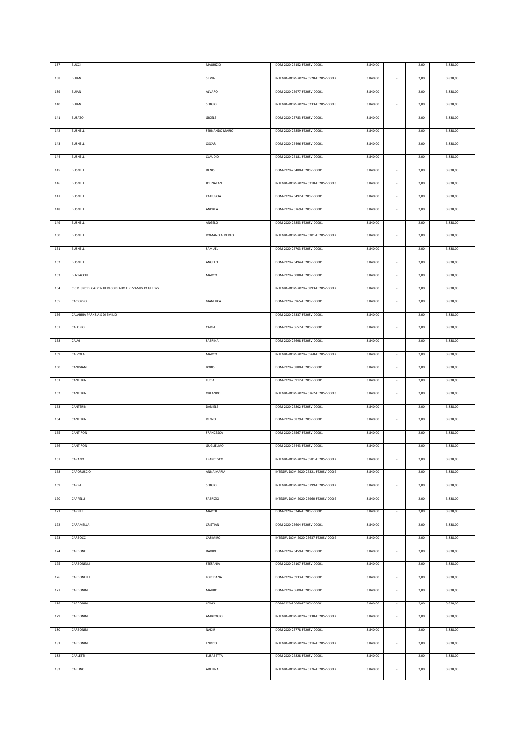| 137     | <b>BUCCI</b>                                           | <b>MAURIZIO</b>  | DOM-2020-26152-FE20SV-00001         | 3.840,00 |                          | 2,00 | 3.838,00 |  |
|---------|--------------------------------------------------------|------------------|-------------------------------------|----------|--------------------------|------|----------|--|
|         |                                                        |                  |                                     |          |                          |      |          |  |
| 138     | <b>BUIAN</b>                                           | SILVIA           | INTEGRA-DOM-2020-26528-FE20SV-00002 | 3.840,00 |                          | 2,00 | 3.838,00 |  |
| 139     | <b>BUIAN</b>                                           | ALVARO           | DOM-2020-25977-FE20SV-00001         | 3.840,00 | $\sim$                   | 2,00 | 3.838,00 |  |
| 140     | <b>BUIAN</b>                                           | SERGIO           | INTEGRA-DOM-2020-26233-FE20SV-00005 | 3.840,00 |                          | 2,00 | 3.838,00 |  |
|         |                                                        |                  |                                     |          |                          |      |          |  |
| 141     | <b>BUSATO</b>                                          | GIOELE           | DOM-2020-25783-FE20SV-00001         | 3.840,00 |                          | 2,00 | 3.838,00 |  |
| 142     | BUSNELLI                                               | FERNANDO MARIO   | DOM-2020-25859-FE20SV-00001         | 3.840,00 |                          | 2,00 | 3.838,00 |  |
|         |                                                        |                  |                                     |          |                          |      |          |  |
| 143     | <b>BUSNELLI</b>                                        | OSCAR            | DOM-2020-26496-FE20SV-00001         | 3.840,00 | $\sim$                   | 2,00 | 3.838,00 |  |
| 144     | <b>BUSNELLI</b>                                        | CLAUDIO          | DOM-2020-26181-FE20SV-00001         | 3.840,00 |                          | 2,00 | 3.838,00 |  |
| $145\,$ | <b>BUSNELLI</b>                                        | DENIS            | DOM-2020-26480-FE20SV-00001         | 3.840,00 | $\sim$                   | 2,00 | 3.838,00 |  |
|         |                                                        |                  |                                     |          |                          |      |          |  |
| 146     | <b>BUSNELLI</b>                                        | <b>JOHNATAN</b>  | INTEGRA-DOM-2020-26318-FE20SV-00003 | 3.840,00 | $\sim$                   | 2,00 | 3.838,00 |  |
| 147     | <b>BUSNELLI</b>                                        | KATIUSCIA        | DOM-2020-26492-FE20SV-00001         | 3.840,00 | $\sim$                   | 2,00 | 3.838,00 |  |
| 148     | <b>BUSNELLI</b>                                        | ANDREA           | DOM-2020-25769-FE20SV-00001         | 3.840,00 |                          | 2,00 | 3.838,00 |  |
|         |                                                        |                  |                                     |          |                          |      |          |  |
| 149     | BUSNELLI                                               | ANGELO           | DOM-2020-25853-FE20SV-00001         | 3.840,00 |                          | 2,00 | 3.838,00 |  |
| 150     | BUSNELLI                                               | ROMANO ALBERTO   | INTEGRA-DOM-2020-26301-FE20SV-00002 | 3.840,00 |                          | 2,00 | 3.838,00 |  |
|         |                                                        |                  |                                     |          |                          |      |          |  |
| 151     | <b>BUSNELLI</b>                                        | SAMUEL           | DOM-2020-26703-FE20SV-00001         | 3.840,00 | $\overline{\phantom{a}}$ | 2,00 | 3.838,00 |  |
| 152     | <b>BUSNELLI</b>                                        | ANGELO           | DOM-2020-26494-FE20SV-00001         | 3.840,00 |                          | 2,00 | 3.838,00 |  |
| 153     | BUZZACCHI                                              | MARCO            | DOM-2020-26088-FE20SV-00001         | 3.840,00 |                          | 2,00 | 3.838,00 |  |
|         |                                                        |                  |                                     |          |                          |      |          |  |
| 154     | C.C.P. SNC DI CARPENTIERI CORRADO E PIZZAMIGLIO GLEDYS |                  | INTEGRA-DOM-2020-26893-FE20SV-00002 | 3.840,00 |                          | 2,00 | 3.838,00 |  |
| 155     | CACIOPPO                                               | GIANLUCA         | DOM-2020-25965-FE20SV-00001         | 3.840,00 |                          | 2,00 | 3.838,00 |  |
| 156     | CALABRIA PARK S.A.S DI EMILIO                          |                  | DOM-2020-26337-FE20SV-00001         | 3.840,00 |                          | 2,00 | 3.838,00 |  |
|         |                                                        |                  |                                     |          |                          |      |          |  |
| 157     | CALORIO                                                | CARLA            | DOM-2020-25657-FE20SV-00001         | 3.840,00 |                          | 2,00 | 3.838,00 |  |
| 158     | CALVI                                                  | SABRINA          | DOM-2020-26698-FE20SV-00001         | 3.840,00 |                          | 2,00 | 3.838,00 |  |
|         |                                                        |                  |                                     |          |                          |      |          |  |
| 159     | CALZOLAI                                               | MARCO            | INTEGRA-DOM-2020-26568-FE20SV-00002 | 3.840,00 |                          | 2,00 | 3.838,00 |  |
| 160     | CANIGIANI                                              | <b>BORIS</b>     | DOM-2020-25880-FE20SV-00001         | 3.840,00 |                          | 2,00 | 3.838,00 |  |
| 161     | CANTERINI                                              | LUCIA            | DOM-2020-25912-FE20SV-00001         | 3.840,00 |                          | 2,00 | 3.838,00 |  |
|         |                                                        |                  |                                     |          |                          |      |          |  |
| 162     | CANTERINI                                              | ORLANDO          | INTEGRA-DOM-2020-26762-FE20SV-00003 | 3.840,00 |                          | 2,00 | 3.838,00 |  |
| 163     | CANTERINI                                              | DANIELE          | DOM-2020-25802-FE20SV-00001         | 3.840,00 |                          | 2,00 | 3.838,00 |  |
| 164     | CANTERINI                                              | RENZO            | DOM-2020-26879-FE20SV-00001         | 3.840,00 |                          | 2,00 | 3.838,00 |  |
|         |                                                        |                  |                                     |          |                          |      |          |  |
| 165     | CANTIRON                                               | FRANCESCA        | DOM-2020-26567-FE20SV-00001         | 3.840,00 |                          | 2,00 | 3.838,00 |  |
| 166     | CANTIRON                                               | <b>GUGLIELMO</b> | DOM-2020-26443-FE20SV-00001         | 3.840,00 |                          | 2,00 | 3.838,00 |  |
|         |                                                        |                  |                                     |          |                          |      |          |  |
| 167     | CAPANO                                                 | FRANCESCO        | INTEGRA-DOM-2020-26581-FE20SV-00002 | 3.840,00 |                          | 2,00 | 3.838,00 |  |
| 168     | CAPORUSCIO                                             | ANNA MARIA       | INTEGRA-DOM-2020-26321-FE20SV-00002 | 3.840,00 | $\sim$                   | 2,00 | 3.838,00 |  |
| 169     | CAPPA                                                  | SERGIO           | INTEGRA-DOM-2020-26799-FE20SV-00002 | 3.840,00 | ÷,                       | 2,00 | 3.838,00 |  |
|         |                                                        |                  |                                     |          |                          |      |          |  |
| 170     | CAPPELLI                                               | <b>FABRIZIO</b>  | INTEGRA-DOM-2020-26960-FE20SV-00002 | 3.840,00 |                          | 2,00 | 3.838,00 |  |
| 171     | CAPRILE                                                | MAICOL           | DOM-2020-26246-FE20SV-00001         | 3.840,00 | ÷.                       | 2,00 | 3.838,00 |  |
| 172     | CARAMELLA                                              | CRISTIAN         | DOM-2020-25604-FE20SV-00001         | 3.840,00 | $\sim$                   | 2,00 | 3.838,00 |  |
|         |                                                        |                  |                                     |          |                          |      |          |  |
| 173     | CARBOCCI                                               | CASIMIRO         | INTEGRA-DOM-2020-25637-FE20SV-00002 | 3.840,00 | $\sim$                   | 2,00 | 3.838,00 |  |
| 174     | CARBONE                                                | DAVIDE           | DOM-2020-26459-FE20SV-00001         | 3.840,00 | $\sim$                   | 2,00 | 3.838,00 |  |
| 175     | CARBONELLI                                             | STEFANIA         | DOM-2020-26107-FE20SV-00001         | 3.840,00 | ×                        | 2,00 | 3.838,00 |  |
|         |                                                        |                  |                                     |          |                          |      |          |  |
| 176     | CARBONELLI                                             | LOREDANA         | DOM-2020-26933-FE20SV-00001         | 3.840,00 | $\sim$                   | 2,00 | 3.838,00 |  |
| 177     | CARBONINI                                              | MAURO            | DOM-2020-25600-FE20SV-00001         | 3.840,00 | $\sim$                   | 2,00 | 3.838,00 |  |
|         |                                                        |                  |                                     |          |                          |      |          |  |
| 178     | CARBONINI                                              | LEWIS            | DOM-2020-26060-FE20SV-00001         | 3.840,00 | $\sim$                   | 2,00 | 3.838,00 |  |
| 179     | CARBONINI                                              | AMBROGIO         | INTEGRA-DOM-2020-26138-FE20SV-00002 | 3.840,00 | $\sim$                   | 2,00 | 3.838,00 |  |
| 180     | CARBONINI                                              | <b>NADIR</b>     | DOM-2020-25778-FE20SV-00001         | 3.840,00 | $\sim$                   | 2,00 | 3.838,00 |  |
|         |                                                        |                  |                                     |          |                          |      |          |  |
| 181     | CARBONINI                                              | ENRICO           | INTEGRA-DOM-2020-26316-FE20SV-00002 | 3.840,00 | $\overline{\phantom{a}}$ | 2,00 | 3.838,00 |  |
| 182     | CARLETTI                                               | ELISABETTA       | DOM-2020-26828-FE20SV-00001         | 3.840,00 | $\sim$                   | 2,00 | 3.838,00 |  |
|         | CARLINO                                                | ADELINA          | INTEGRA-DOM-2020-26776-FE20SV-00002 | 3.840,00 |                          | 2,00 | 3.838,00 |  |
| 183     |                                                        |                  |                                     |          | $\overline{\phantom{a}}$ |      |          |  |
|         |                                                        |                  |                                     |          |                          |      |          |  |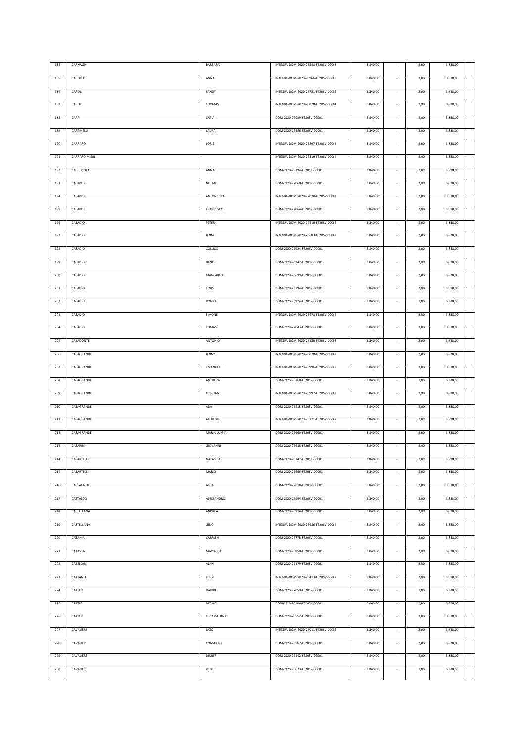| 184 | CARNAGHI      | BARBARA          | INTEGRA-DOM-2020-25548-FE20SV-00003 | 3.840,00 |                          | 2,00 | 3.838,00 |  |
|-----|---------------|------------------|-------------------------------------|----------|--------------------------|------|----------|--|
| 185 | CAROLEO       | ANNA             | INTEGRA-DOM-2020-26966-FE20SV-00003 | 3.840,00 |                          | 2,00 | 3.838,00 |  |
|     |               |                  |                                     |          |                          |      |          |  |
| 186 | CAROLI        | SANDY            | INTEGRA-DOM-2020-26731-FE20SV-00002 | 3.840,00 |                          | 2,00 | 3.838,00 |  |
| 187 | CAROLI        | <b>THOMAS</b>    | INTEGRA-DOM-2020-26878-FE20SV-00004 | 3.840,00 |                          | 2,00 | 3.838,00 |  |
|     |               |                  |                                     |          |                          |      |          |  |
| 188 | CARPI         | CATIA            | DOM-2020-27039-FE20SV-00001         | 3.840,00 | $\sim$                   | 2,00 | 3.838,00 |  |
| 189 | CARPINELLI    | LAURA            | DOM-2020-26456-FE20SV-00001         | 3.840,00 |                          | 2,00 | 3.838,00 |  |
| 190 | CARRARO       | LORIS            | INTEGRA-DOM-2020-26897-FE20SV-00002 | 3.840,00 |                          | 2,00 | 3.838,00 |  |
|     |               |                  |                                     |          |                          |      |          |  |
| 191 | CARRARO M SRL |                  | INTEGRA-DOM-2020-26319-FE20SV-00002 | 3.840,00 |                          | 2,00 | 3.838,00 |  |
| 192 | CARRUCOLA     | ANNA             | DOM-2020-26194-FE20SV-00001         | 3.840,00 | $\sim$                   | 2,00 | 3.838,00 |  |
|     |               |                  |                                     |          |                          |      |          |  |
| 193 | CASABURI      | <b>NOEMI</b>     | DOM-2020-27068-FE20SV-00001         | 3.840,00 | $\sim$                   | 2,00 | 3.838,00 |  |
| 194 | CASABURI      | ANTONIETTA       | INTEGRA-DOM-2020-27070-FE20SV-00002 | 3.840,00 | $\sim$                   | 2,00 | 3.838,00 |  |
| 195 | CASABURI      | FRANCESCO        | DOM-2020-27064-FE20SV-00001         | 3.840,00 |                          | 2,00 | 3.838,00 |  |
|     |               |                  |                                     |          |                          |      |          |  |
| 196 | CASADIO       | PETER            | INTEGRA-DOM-2020-26510-FE20SV-00003 | 3.840,00 |                          | 2,00 | 3.838,00 |  |
| 197 | CASADIO       | JENNI            | INTEGRA-DOM-2020-25683-FE20SV-00002 | 3.840,00 |                          | 2,00 | 3.838,00 |  |
| 198 | CASADIO       | COLLINS          | DOM-2020-25924-FE20SV-00001         | 3.840,00 | $\sim$                   | 2,00 | 3.838,00 |  |
|     |               |                  |                                     |          |                          |      |          |  |
| 199 | CASADIO       | DENIS            | DOM-2020-26242-FE20SV-00001         | 3.840,00 | $\overline{\phantom{a}}$ | 2,00 | 3.838,00 |  |
| 200 | CASADIO       | GIANCARLO        | DOM-2020-26699-FE20SV-00001         | 3.840,00 |                          | 2,00 | 3.838,00 |  |
| 201 | CASADIO       | ELVIS            | DOM-2020-25794-FE20SV-00001         | 3.840,00 |                          | 2,00 | 3.838,00 |  |
|     |               |                  |                                     |          |                          |      |          |  |
| 202 | CASADIO       | RONICH           | DOM-2020-26924-FE20SV-00001         | 3.840,00 | $\overline{\phantom{a}}$ | 2,00 | 3.838,00 |  |
| 203 | CASADIO       | SIMONE           | INTEGRA-DOM-2020-26478-FE20SV-00002 | 3.840,00 |                          | 2,00 | 3.838,00 |  |
|     |               |                  |                                     |          |                          |      |          |  |
| 204 | CASADIO       | <b>TOMAS</b>     | DOM-2020-27043-FE20SV-00001         | 3.840,00 | $\overline{\phantom{a}}$ | 2,00 | 3.838,00 |  |
| 205 | CASADONTE     | ANTONIO          | INTEGRA-DOM-2020-26180-FE20SV-00003 | 3.840,00 |                          | 2,00 | 3.838,00 |  |
| 206 | CASAGRANDE    | JENNY            | INTEGRA-DOM-2020-26070-FE20SV-00002 | 3.840,00 |                          | 2,00 | 3.838,00 |  |
|     |               |                  |                                     |          |                          |      |          |  |
| 207 | CASAGRANDE    | EMANUELE         | INTEGRA-DOM-2020-25996-FE20SV-00002 | 3.840,00 |                          | 2,00 | 3.838,00 |  |
| 208 | CASAGRANDE    | ANTHONY          | DOM-2020-25760-FE20SV-00001         | 3.840,00 |                          | 2,00 | 3.838,00 |  |
| 209 | CASAGRANDE    | CRISTIAN         | INTEGRA-DOM-2020-25992-FE20SV-00002 | 3.840,00 |                          | 2,00 | 3.838,00 |  |
|     |               |                  |                                     |          |                          |      |          |  |
| 210 | CASAGRANDE    | ADA              | DOM-2020-26515-FE20SV-00001         | 3.840,00 |                          | 2,00 | 3.838,00 |  |
| 211 | CASAGRANDE    | ALFREDO          | INTEGRA-DOM-2020-26771-FE20SV-00002 | 3.840,00 |                          | 2,00 | 3.838,00 |  |
|     |               |                  |                                     |          |                          |      |          |  |
| 212 | CASAGRANDE    | MARIA LUIGIA     | DOM-2020-25960-FE20SV-00001         | 3.840,00 |                          | 2,00 | 3.838,00 |  |
| 213 | CASARINI      | GIOVANNI         | DOM-2020-25938-FE20SV-00001         | 3.840,00 |                          | 2,00 | 3.838,00 |  |
| 214 | CASARTELLI    | NATASCIA         | DOM-2020-25742-FE20SV-00001         | 3.840,00 | $\sim$                   | 2,00 | 3.838,00 |  |
|     |               |                  |                                     |          |                          |      |          |  |
| 215 | CASARTELLI    | MARIO            | DOM-2020-26666-FE20SV-00001         | 3.840,00 |                          | 2,00 | 3.838,00 |  |
| 216 | CASTAGNOLI    | ALGA             | DOM-2020-27018-FE20SV-00001         | 3.840,00 | ٠                        | 2,00 | 3.838,00 |  |
| 217 | CASTALDO      | ALESSANDRO       | DOM-2020-25994-FE20SV-00001         | 3.840,00 |                          | 2,00 | 3.838,00 |  |
|     |               |                  |                                     |          |                          |      |          |  |
| 218 | CASTELLANA    | ANDREA           | DOM-2020-25914-FE20SV-00001         | 3.840,00 |                          | 2,00 | 3.838,00 |  |
| 219 | CASTELLANA    | GINO             | INTEGRA-DOM-2020-25986-FE20SV-00002 | 3.840,00 |                          | 2,00 | 3.838,00 |  |
| 220 | CATANIA       | CARMEN           | DOM-2020-26775-FE20SV-00001         | 3.840,00 | ÷,                       | 2,00 | 3.838,00 |  |
|     |               |                  |                                     |          |                          |      |          |  |
| 221 | CATASTA       | <b>MARIA PIA</b> | DOM-2020-25858-FE20SV-00001         | 3.840,00 | $\sim$                   | 2,00 | 3.838,00 |  |
| 222 | CATELLANI     | ALAN             | DOM-2020-26179-FE20SV-00001         | 3.840,00 |                          | 2,00 | 3.838,00 |  |
| 223 | CATTANEO      | LUIGI            | INTEGRA-DOM-2020-26413-FE20SV-00002 | 3.840,00 |                          | 2,00 | 3.838,00 |  |
|     |               |                  |                                     |          |                          |      |          |  |
| 224 | CATTER        | DAVIDE           | DOM-2020-27059-FE20SV-00001         | 3.840,00 | $\sim$                   | 2,00 | 3.838,00 |  |
| 225 | CATTER        | DESIRE'          | DOM-2020-26204-FE20SV-00001         | 3.840,00 | $\sim$                   | 2,00 | 3.838,00 |  |
|     |               |                  |                                     |          | $\sim$                   |      |          |  |
| 226 | CATTER        | LUCA PATRIZIO    | DOM-2020-25552-FE20SV-00001         | 3.840,00 |                          | 2,00 | 3.838,00 |  |
| 227 | CAVALIERE     | <b>LICIO</b>     | INTEGRA-DOM-2020-26011-FE20SV-00002 | 3.840,00 | $\sim$                   | 2,00 | 3.838,00 |  |
| 228 | CAVALIERE     | CONSUELO         | DOM-2020-25567-FE20SV-00001         | 3.840,00 | $\sim$                   | 2,00 | 3.838,00 |  |
|     |               |                  |                                     |          |                          |      |          |  |
| 229 | CAVALIERE     | <b>DIMITRI</b>   | DOM-2020-26142-FE20SV-00001         | 3.840,00 | $\sim$                   | 2,00 | 3.838,00 |  |
| 230 | CAVALIERE     | RENE'            | DOM-2020-25673-FE20SV-00001         | 3.840,00 | $\sim$                   | 2,00 | 3.838,00 |  |
|     |               |                  |                                     |          |                          |      |          |  |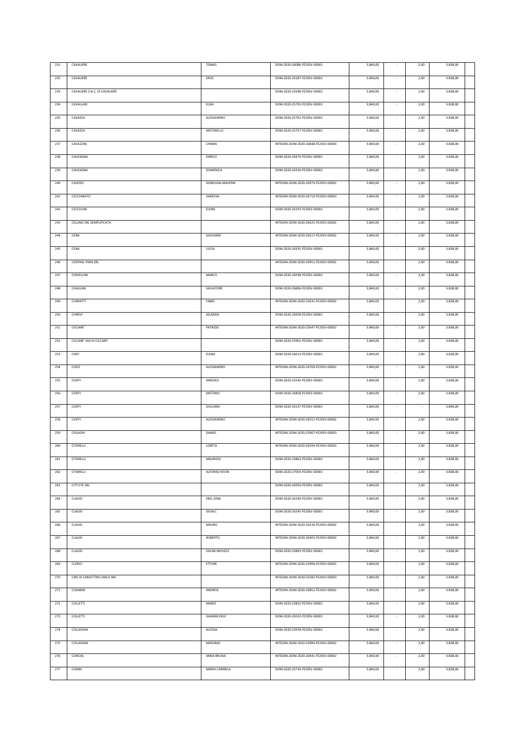| 231 | CAVALIERE                     | <b>TOMAS</b>         | DOM-2020-26086-FE20SV-00001         | 3.840,00 |                          | 2,00                     | 3.838,00 |  |
|-----|-------------------------------|----------------------|-------------------------------------|----------|--------------------------|--------------------------|----------|--|
|     |                               |                      |                                     |          |                          |                          |          |  |
| 232 | CAVALIERE                     | EROS                 | DOM-2020-26187-FE20SV-00001         | 3.840,00 |                          | 2,00                     | 3.838,00 |  |
| 233 | CAVALIERE S.N.C. DI CAVALIERE |                      | DOM-2020-25948-FE20SV-00001         | 3.840,00 | $\sim$                   | 2,00                     | 3.838,00 |  |
|     |                               |                      |                                     |          |                          |                          |          |  |
| 234 | CAVALLARI                     | ELISA                | DOM-2020-25792-FE20SV-00001         | 3.840,00 |                          | 2,00                     | 3.838,00 |  |
| 235 | CAVAZZA                       | ALESSANDRO           | DOM-2020-25762-FE20SV-00001         | 3.840,00 |                          | 2,00                     | 3.838,00 |  |
|     |                               |                      |                                     |          |                          |                          |          |  |
| 236 | CAVAZZA                       | ANTONELLO            | DOM-2020-25757-FE20SV-00001         | 3.840,00 |                          | 2,00                     | 3.838,00 |  |
| 237 | CAVAZZINI                     | CHIARA               | INTEGRA-DOM-2020-26848-FE20SV-00003 | 3.840,00 | $\sim$                   | 2,00                     | 3.838,00 |  |
|     |                               |                      |                                     |          |                          |                          |          |  |
| 238 | CAVEAGNA                      | ENRICO               | DOM-2020-26474-FE20SV-00001         | 3.840,00 |                          | 2,00                     | 3.838,00 |  |
| 239 | CAVEAGNA                      | <b>DOMENICA</b>      | DOM-2020-26334-FE20SV-00001         | 3.840,00 | $\sim$                   | 2,00                     | 3.838,00 |  |
|     |                               |                      |                                     |          |                          |                          |          |  |
| 240 | CAVEDO                        | DONOVAN MAVERIK      | INTEGRA-DOM-2020-26979-FE20SV-00002 | 3.840,00 | $\overline{\phantom{a}}$ | 2,00                     | 3.838,00 |  |
| 241 | CECCHINATO                    | VANESSA              | INTEGRA-DOM-2020-26710-FE20SV-00003 | 3.840,00 | $\sim$                   | 2,00                     | 3.838,00 |  |
|     |                               | ELENA                |                                     |          |                          |                          |          |  |
| 242 | CECCOLINI                     |                      | DOM-2020-26193-FE20SV-00001         | 3.840,00 |                          | 2,00                     | 3.838,00 |  |
| 243 | CELLINO SRL SEMPLIFICATA      |                      | INTEGRA-DOM-2020-26625-FE20SV-00002 | 3.840,00 | $\sim$                   | 2,00                     | 3.838,00 |  |
| 244 | CENA                          | GIOVANNI             | INTEGRA-DOM-2020-26517-FE20SV-00002 | 3.840,00 |                          | 2,00                     | 3.838,00 |  |
|     |                               |                      |                                     |          |                          |                          |          |  |
| 245 | CENA                          | LUCIA                | DOM-2020-26335-FE20SV-00001         | 3.840,00 | $\overline{\phantom{a}}$ | 2,00                     | 3.838,00 |  |
| 246 | <b>CENTRAL PARK SRL</b>       |                      | INTEGRA-DOM-2020-26951-FE20SV-00002 | 3.840,00 |                          | 2,00                     | 3.838,00 |  |
|     |                               |                      |                                     |          |                          |                          |          |  |
| 247 | CERVELLINI                    | MARCO                | DOM-2020-26938-FE20SV-00001         | 3.840,00 |                          | 2,00                     | 3.838,00 |  |
| 248 | CHAULAN                       | SALVATORE            | DOM-2020-26896-FE20SV-00001         | 3.840,00 |                          | 2,00                     | 3.838,00 |  |
|     |                               |                      |                                     |          |                          |                          |          |  |
| 249 | CHIRIATTI                     | FABIO                | INTEGRA-DOM-2020-25631-FE20SV-00002 | 3.840,00 |                          | 2,00                     | 3.838,00 |  |
| 250 | CHIRIVI'                      | IOLANDA              | DOM-2020-26958-FE20SV-00001         | 3.840,00 |                          | 2,00                     | 3.838,00 |  |
|     |                               |                      |                                     |          |                          |                          |          |  |
| 251 | CICCARE'                      | PATRIZIO             | INTEGRA-DOM-2020-25647-FE20SV-00002 | 3.840,00 |                          | 2,00                     | 3.838,00 |  |
| 252 | CICCARE' SAS DI CICCARE'      |                      | DOM-2020-25901-FE20SV-00001         | 3.840,00 |                          | 2,00                     | 3.838,00 |  |
|     |                               |                      |                                     |          |                          |                          |          |  |
| 253 | CINTI                         | ELENA                | DOM-2020-26613-FE20SV-00001         | 3.840,00 |                          | 2,00                     | 3.838,00 |  |
| 254 | CIOCE                         | ALESSANDRO           | INTEGRA-DOM-2020-26769-FE20SV-00002 | 3.840,00 |                          | 2,00                     | 3.838,00 |  |
|     |                               |                      |                                     |          |                          |                          |          |  |
| 255 | CIOFFI                        | AMEDEO               | DOM-2020-25542-FE20SV-00001         | 3.840,00 |                          | 2,00                     | 3.838,00 |  |
| 256 | CIOFFI                        | ANTONIO              | DOM-2020-26858-FE20SV-00001         | 3.840,00 | $\sim$                   | 2,00                     | 3.838,00 |  |
|     |                               |                      |                                     |          |                          |                          |          |  |
| 257 | CIOFFI                        | GIULIANA             | DOM-2020-26137-FE20SV-00001         | 3.840,00 |                          | $\overline{\phantom{a}}$ | 3.840,00 |  |
| 258 | CIOFFI                        | ALESSANDRO           | INTEGRA-DOM-2020-26552-FE20SV-00002 | 3.840,00 |                          | 2,00                     | 3.838,00 |  |
|     |                               |                      |                                     |          |                          |                          |          |  |
| 259 | CISLAGHI                      | DANIEL               | INTEGRA-DOM-2020-25907-FE20SV-00003 | 3.840,00 |                          | 2,00                     | 3.838,00 |  |
| 260 | CITARELLI                     | LORETA               | INTEGRA-DOM-2020-26594-FE20SV-00003 | 3.840,00 |                          | 2,00                     | 3.838,00 |  |
|     |                               |                      |                                     |          |                          |                          |          |  |
| 261 | CITARELLI                     | <b>MAURIZIO</b>      | DOM-2020-25863-FE20SV-00001         | 3.840,00 |                          | 2,00                     | 3.838,00 |  |
| 262 | CITARELLI                     | ALFONSO KEVIN        | DOM-2020-27054-FE20SV-00001         | 3.840,00 | $\sim$                   | 2,00                     | 3.838,00 |  |
|     |                               |                      |                                     |          |                          |                          |          |  |
| 263 | CITY EYE SRL.                 |                      | DOM-2020-26950-FE20SV-00001         | 3.840,00 |                          | 2,00                     | 3.838,00 |  |
| 264 | CLAUDI                        | <b>EBEL DINA</b>     | DOM-2020-26190-FE20SV-00001         | 3.840,00 |                          | 2,00                     | 3.838,00 |  |
| 265 | CLAUDI                        | IDUALC               | DOM-2020-26245-FE20SV-00001         |          | $\sim$                   |                          |          |  |
|     |                               |                      |                                     | 3.840,00 |                          | 2,00                     | 3.838,00 |  |
| 266 | CLAUDI                        | MAURO                | INTEGRA-DOM-2020-26236-FE20SV-00002 | 3.840,00 | $\sim$                   | 2,00                     | 3.838,00 |  |
| 267 | CLAUDI                        | ROBERTO              | INTEGRA-DOM-2020-26403-FE20SV-00002 | 3.840,00 | $\sim$                   | 2,00                     | 3.838,00 |  |
|     |                               |                      |                                     |          |                          |                          |          |  |
| 268 | CLAUDI                        | <b>OSCAR MICHELE</b> | DOM-2020-25893-FE20SV-00001         | 3.840,00 | $\sim$                   | 2,00                     | 3.838,00 |  |
| 269 | CLERICI                       | ETTORE               | INTEGRA-DOM-2020-25990-FE20SV-00002 | 3.840,00 | $\sim$                   | 2,00                     | 3.838,00 |  |
|     |                               |                      |                                     |          |                          |                          |          |  |
| 270 | CMC DI CARLETTINI CARLO SNC   |                      | INTEGRA-DOM-2020-25582-FE20SV-00003 | 3.840,00 | $\sim$                   | 2,00                     | 3.838,00 |  |
| 271 | CODARIN                       | ANDREIS              | INTEGRA-DOM-2020-26852-FE20SV-00002 | 3.840,00 | $\sim$                   | 2,00                     | 3.838,00 |  |
|     |                               |                      |                                     |          |                          |                          |          |  |
| 272 | COLLETTI                      | MARIO                | DOM-2020-25852-FE20SV-00001         | 3.840,00 | $\sim$                   | 2,00                     | 3.838,00 |  |
|     |                               |                      |                                     |          |                          |                          |          |  |
| 273 | COLLETTI                      | GIANMICHELE          | DOM-2020-26522-FE20SV-00001         | 3.840,00 | $\sim$                   | 2,00                     | 3.838,00 |  |
|     |                               |                      |                                     |          |                          |                          |          |  |
| 274 | COLLIGIANI                    | ALESSIA              | DOM-2020-25978-FE20SV-00001         | 3.840,00 | $\sim$                   | 2,00                     | 3.838,00 |  |
| 275 | COLLIGIANI                    | MASSIMO              | INTEGRA-DOM-2020-25984-FE20SV-00002 | 3.840,00 |                          | 2,00                     | 3.838,00 |  |
|     |                               |                      |                                     |          |                          |                          |          |  |
| 276 | CONCAS                        | ANNA BRUNA           | INTEGRA-DOM-2020-26441-FE20SV-00002 | 3.840,00 | $\sim$                   | 2,00                     | 3.838,00 |  |
| 277 | CONIDI                        | MARIA CARMELA        | DOM-2020-25724-FE20SV-00001         | 3.840,00 | $\overline{\phantom{a}}$ | 2,00                     | 3.838,00 |  |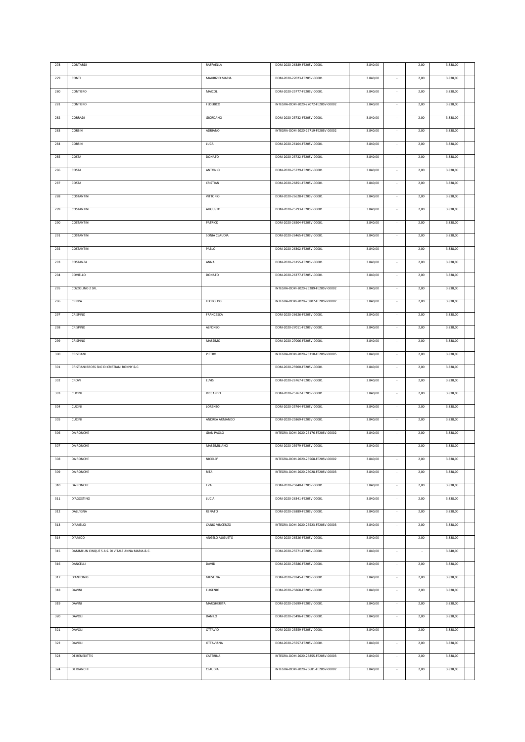| 278     | CONTARDI                                         | RAFFAELLA         | DOM-2020-26389-FE20SV-00001         | 3.840,00 |                          | 2,00                     | 3.838,00 |  |
|---------|--------------------------------------------------|-------------------|-------------------------------------|----------|--------------------------|--------------------------|----------|--|
|         |                                                  |                   |                                     |          |                          |                          |          |  |
| 279     | CONTI                                            | MAURIZIO MARIA    | DOM-2020-27023-FE20SV-00001         | 3.840,00 |                          | 2,00                     | 3.838,00 |  |
| 280     | CONTIERO                                         | MAICOL            | DOM-2020-25777-FE20SV-00001         | 3.840,00 | $\sim$                   | 2,00                     | 3.838,00 |  |
|         |                                                  |                   |                                     |          |                          |                          |          |  |
| 281     | CONTIERO                                         | FEDERICO          | INTEGRA-DOM-2020-27072-FE20SV-00002 | 3.840,00 |                          | 2,00                     | 3.838,00 |  |
| 282     | CORRADI                                          | GIORDANO          | DOM-2020-25732-FE20SV-00001         | 3.840,00 |                          | 2,00                     | 3.838,00 |  |
|         |                                                  |                   |                                     |          |                          |                          |          |  |
| 283     | CORSINI                                          | ADRIANO           | INTEGRA-DOM-2020-25719-FE20SV-00002 | 3.840,00 |                          | 2,00                     | 3.838,00 |  |
| 284     | CORSINI                                          | LUCA              | DOM-2020-26104-FE20SV-00001         | 3.840,00 | $\sim$                   | 2,00                     | 3.838,00 |  |
|         |                                                  |                   |                                     |          |                          |                          |          |  |
| 285     | COSTA                                            | DONATO            | DOM-2020-25722-FE20SV-00001         | 3.840,00 |                          | 2,00                     | 3.838,00 |  |
| 286     | COSTA                                            | ANTONIO           | DOM-2020-25729-FE20SV-00001         | 3.840,00 | $\sim$                   | 2,00                     | 3.838,00 |  |
| 287     | COSTA                                            | CRISTIAN          | DOM-2020-26851-FE20SV-00001         | 3.840,00 | $\overline{\phantom{a}}$ | 2,00                     | 3.838,00 |  |
|         |                                                  |                   |                                     |          |                          |                          |          |  |
| 288     | COSTANTINI                                       | <b>VITTORIO</b>   | DOM-2020-26628-FE20SV-00001         | 3.840,00 | $\sim$                   | 2,00                     | 3.838,00 |  |
| 289     | COSTANTINI                                       | <b>AUGUSTO</b>    | DOM-2020-25793-FE20SV-00001         | 3.840,00 |                          | 2,00                     | 3.838,00 |  |
|         |                                                  |                   |                                     |          |                          |                          |          |  |
| 290     | COSTANTINI                                       | PATRICK           | DOM-2020-26504-FE20SV-00001         | 3.840,00 |                          | 2,00                     | 3.838,00 |  |
| 291     | COSTANTINI                                       | SONIA CLAUDIA     | DOM-2020-26465-FE20SV-00001         | 3.840,00 |                          | 2,00                     | 3.838,00 |  |
|         |                                                  |                   |                                     |          |                          |                          |          |  |
| 292     | COSTANTINI                                       | PABLO             | DOM-2020-26302-FE20SV-00001         | 3.840,00 | $\overline{\phantom{a}}$ | 2,00                     | 3.838,00 |  |
| 293     | COSTANZA                                         | ANNA              | DOM-2020-26155-FE20SV-00001         | 3.840,00 |                          | 2,00                     | 3.838,00 |  |
|         |                                                  |                   |                                     |          |                          |                          |          |  |
| 294     | COVIELLO                                         | DONATO            | DOM-2020-26377-FE20SV-00001         | 3.840,00 |                          | 2,00                     | 3.838,00 |  |
| 295     | COZZOLINO 2 SRL                                  |                   | INTEGRA-DOM-2020-26289-FE20SV-00002 | 3.840,00 |                          | 2,00                     | 3.838,00 |  |
|         |                                                  |                   |                                     |          |                          |                          |          |  |
| 296     | CRIPPA                                           | LEOPOLDO          | INTEGRA-DOM-2020-25807-FE20SV-00002 | 3.840,00 |                          | 2,00                     | 3.838,00 |  |
| 297     | CRISPINO                                         | FRANCESCA         | DOM-2020-26626-FE20SV-00001         | 3.840,00 |                          | 2,00                     | 3.838,00 |  |
| 298     | CRISPINO                                         | ALFONSO           | DOM-2020-27011-FE20SV-00001         | 3.840,00 |                          | 2,00                     | 3.838,00 |  |
|         |                                                  |                   |                                     |          |                          |                          |          |  |
| 299     | CRISPINO                                         | MASSIMO           | DOM-2020-27006-FE20SV-00001         | 3.840,00 |                          | 2,00                     | 3.838,00 |  |
| 300     | CRISTIANI                                        | PIETRO            | INTEGRA-DOM-2020-26310-FE20SV-00005 | 3.840,00 |                          | 2,00                     | 3.838,00 |  |
| 301     | CRISTIANI BROSS SNC DI CRISTIANI RONNY & C.      |                   | DOM-2020-25900-FE20SV-00001         | 3.840,00 |                          | 2,00                     | 3.838,00 |  |
|         |                                                  |                   |                                     |          |                          |                          |          |  |
| 302     | CROVI                                            | ELVIS             | DOM-2020-26767-FE20SV-00001         | 3.840,00 |                          | 2,00                     | 3.838,00 |  |
| 303     | CUCINI                                           | <b>RICCARDO</b>   | DOM-2020-25767-FE20SV-00001         | 3.840,00 |                          | 2,00                     | 3.838,00 |  |
| 304     | CUCINI                                           | LORENZO           | DOM-2020-25764-FE20SV-00001         | 3.840,00 |                          | 2,00                     | 3.838,00 |  |
|         |                                                  |                   |                                     |          |                          |                          |          |  |
| 305     | CUCINI                                           | ANDREA ARMANDO    | DOM-2020-25869-FE20SV-00001         | 3.840,00 |                          | 2,00                     | 3.838,00 |  |
| 306     | <b>DA RONCHE</b>                                 | <b>GIAN PAOLO</b> | INTEGRA-DOM-2020-26176-FE20SV-00002 | 3.840,00 |                          | 2,00                     | 3.838,00 |  |
|         |                                                  |                   |                                     |          |                          |                          |          |  |
| 307     | <b>DA RONCHE</b>                                 | MASSIMILIANO      | DOM-2020-25979-FE20SV-00001         | 3.840,00 |                          | 2,00                     | 3.838,00 |  |
| 308     | <b>DA RONCHE</b>                                 | NICOLO'           | INTEGRA-DOM-2020-25568-FE20SV-00002 | 3.840,00 |                          | 2,00                     | 3.838,00 |  |
| 309     | DA RONCHE                                        | <b>RITA</b>       | INTEGRA-DOM-2020-26028-FE20SV-00003 | 3.840,00 | $\sim$                   | 2,00                     | 3.838,00 |  |
|         |                                                  |                   |                                     |          |                          |                          |          |  |
| 310     | DA RONCHE                                        | EVA               | DOM-2020-25840-FE20SV-00001         | 3.840,00 | ×,                       | 2,00                     | 3.838,00 |  |
| 311     | D'AGOSTINO                                       | LUCIA             | DOM-2020-26341-FE20SV-00001         | 3.840,00 |                          | 2,00                     | 3.838,00 |  |
|         |                                                  |                   |                                     |          |                          |                          |          |  |
| 312     | DALL'IGNA                                        | RENATO            | DOM-2020-26889-FE20SV-00001         | 3.840,00 | $\sim$                   | 2,00                     | 3.838,00 |  |
| 313     | D'AMELIO                                         | CANIO VINCENZO    | INTEGRA-DOM-2020-26523-FE20SV-00003 | 3.840,00 | $\cdot$                  | 2,00                     | 3.838,00 |  |
|         | D'AMICO                                          |                   | DOM-2020-26526-FE20SV-00001         |          | $\sim$                   |                          |          |  |
| $314\,$ |                                                  | ANGELO AUGUSTO    |                                     | 3.840,00 |                          | 2,00                     | 3.838,00 |  |
| 315     | DAMMI UN CINQUE S.A.S. DI VITALE ANNA MARIA & C. |                   | DOM-2020-25571-FE20SV-00001         | 3.840,00 | $\sim$                   | $\overline{\phantom{a}}$ | 3.840,00 |  |
| 316     | DANCELLI                                         | DAVID             | DOM-2020-25586-FE20SV-00001         | 3.840,00 | $\sim$                   | 2,00                     | 3.838,00 |  |
|         |                                                  |                   |                                     |          |                          |                          |          |  |
| 317     | D'ANTONIO                                        | GIUSTINA          | DOM-2020-26945-FE20SV-00001         | 3.840,00 | $\sim$                   | 2,00                     | 3.838,00 |  |
| 318     | DAVINI                                           | <b>EUGENIO</b>    | DOM-2020-25868-FE20SV-00001         | 3.840,00 | $\sim$                   | 2,00                     | 3.838,00 |  |
| 319     | DAVINI                                           | MARGHERITA        | DOM-2020-25699-FE20SV-00001         | 3.840,00 | $\sim$                   | 2,00                     | 3.838,00 |  |
|         |                                                  |                   |                                     |          |                          |                          |          |  |
|         |                                                  |                   |                                     |          |                          |                          |          |  |
| 320     | DAVOLI                                           | DANILO            | DOM-2020-25496-FE20SV-00001         | 3.840,00 | $\sim$                   | 2,00                     | 3.838,00 |  |
| 321     | DAVOLI                                           | <b>OTTAVIO</b>    | DOM-2020-25559-FE20SV-00001         | 3.840,00 | $\sim$                   | 2,00                     | 3.838,00 |  |
|         |                                                  |                   |                                     |          |                          |                          |          |  |
| 322     | DAVOLI                                           | <b>OTTAVIANA</b>  | DOM-2020-25557-FE20SV-00001         | 3.840,00 |                          | 2,00                     | 3.838,00 |  |
| 323     | DE BENEDITTIS                                    | CATERINA          | INTEGRA-DOM-2020-26855-FE20SV-00003 | 3.840,00 | $\sim$                   | 2,00                     | 3.838,00 |  |
|         |                                                  |                   |                                     |          |                          |                          |          |  |
| 324     | DE BIANCHI                                       | CLAUDIA           | INTEGRA-DOM-2020-26681-FE20SV-00002 | 3.840,00 | $\sim$                   | 2,00                     | 3.838,00 |  |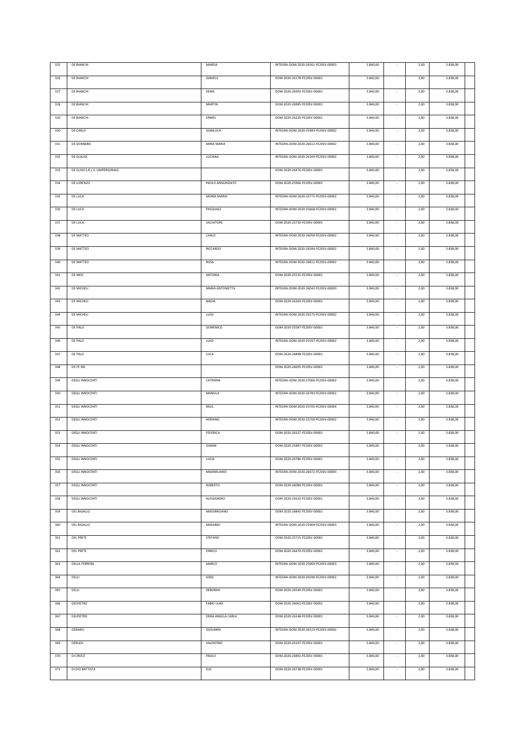| 326<br><b>DE BIANCHI</b><br>DANIELE<br>DOM-2020-26178-FE20SV-00001<br>3.840,00<br>2,00<br>3.838,00<br>327<br>DE BIANCHI<br>DENIS<br>DOM-2020-26993-FE20SV-00001<br>3.840,00<br>2,00<br>3.838,00<br>328<br>DE BIANCHI<br><b>MARTIN</b><br>DOM-2020-26985-FE20SV-00001<br>3.840,00<br>2,00<br>3.838,00<br><b>DE BIANCHI</b><br>ERMES<br>DOM-2020-26220-FE20SV-00001<br>3.840,00<br>2,00<br>3.838,00<br>329<br>$\sim$<br>330<br>DE CARLO<br>GIANLUCA<br>INTEGRA-DOM-2020-25983-FE20SV-00002<br>3.840,00<br>2,00<br>3.838,00<br>3.838,00<br>331<br>DE GENNARO<br>ANNA MARIA<br>INTEGRA-DOM-2020-26612-FE20SV-00002<br>3.840,00<br>2,00<br>332<br>DE GLAUDI<br>LUCIANA<br>INTEGRA-DOM-2020-26169-FE20SV-00002<br>3.840,00<br>2,00<br>3.838,00<br>333<br>DE GUIDI S.R.L.S. UNIPERSONALE<br>DOM-2020-26476-FE20SV-00001<br>3.840,00<br>2,00<br>3.838,00<br>$\sim$<br>2,00<br>3.838,00<br>334<br>DE LORENZO<br>PAOLO ANNUNZIATO<br>DOM-2020-25966-FE20SV-00001<br>3.840,00<br>$\sim$<br><b>DE LUCA</b><br>3.840,00<br>3.838,00<br>335<br>MONIA MARIA<br>INTEGRA-DOM-2020-25771-FE20SV-00002<br>2,00<br>$\sim$<br>INTEGRA-DOM-2020-25668-FE20SV-00002<br>3.840,00<br>2,00<br>3.838,00<br>336<br>DE LUCA<br>PASQUALE<br>DE LUCA<br>SALVATORE<br>DOM-2020-25730-FE20SV-00001<br>3.840,00<br>2,00<br>3.838,00<br>337<br>DE MATTEO<br>CARLO<br>INTEGRA-DOM-2020-26050-FE20SV-00002<br>3.840,00<br>2,00<br>3.838,00<br>338<br>339<br>DE MATTEO<br>RICCARDO<br>INTEGRA-DOM-2020-26584-FE20SV-00002<br>3.840,00<br>2,00<br>3.838,00<br>$\sim$<br>340<br>DE MATTEO<br>ROSA<br>INTEGRA-DOM-2020-26811-FE20SV-00002<br>3.840,00<br>2,00<br>3.838,00<br>341<br>DE MEO<br>ANTONIA<br>DOM-2020-25533-FE20SV-00001<br>3.840,00<br>2,00<br>3.838,00<br>342<br>DE MICHELI<br>MARIA ANTONIETTA<br>INTEGRA-DOM-2020-26042-FE20SV-00003<br>3.840,00<br>2,00<br>3.838,00<br>343<br>DE MICHELI<br>NADIA<br>DOM-2020-26269-FE20SV-00001<br>3.840,00<br>2,00<br>3.838,00<br>344<br>DE MICHELI<br>LUIGI<br>INTEGRA-DOM-2020-26275-FE20SV-00002<br>3.840,00<br>2,00<br>3.838,00<br>DE PALO<br><b>DOMENICO</b><br>DOM-2020-25587-FE20SV-00001<br>3.840,00<br>2,00<br>3.838,00<br>345<br>$\overline{\phantom{a}}$<br>346<br>DE PALO<br><b>LUIGI</b><br>INTEGRA-DOM-2020-25597-FE20SV-00002<br>3.840,00<br>2,00<br>3.838,00<br>347<br>DE PALO<br>LUCA<br>DOM-2020-26898-FE20SV-00001<br>3.840,00<br>2,00<br>3.838,00<br>348<br>DE.FE SRL<br>DOM-2020-26695-FE20SV-00001<br>3.840,00<br>2,00<br>3.838,00<br>349<br>DEGLI INNOCENTI<br>CATERINA<br>INTEGRA-DOM-2020-27066-FE20SV-00002<br>3.840,00<br>2,00<br>3.838,00<br>MANOLA<br>3.840,00<br>2,00<br>3.838,00<br>350<br><b>DEGLI INNOCENTI</b><br>INTEGRA-DOM-2020-26783-FE20SV-00002<br>3.840,00<br>2,00<br>3.838,00<br>351<br>DEGLI INNOCENTI<br>RAUL<br>INTEGRA-DOM-2020-25705-FE20SV-00004<br><b>DEGLI INNOCENTI</b><br>ADRIANO<br>INTEGRA-DOM-2020-25706-FE20SV-00002<br>3.840,00<br>2,00<br>3.838,00<br>352<br>353<br>DEGLI INNOCENTI<br>FEDERICA<br>DOM-2020-26327-FE20SV-00001<br>3.840,00<br>2,00<br>3.838,00<br>354<br><b>DEGLI INNOCENTI</b><br>GIANNI<br>DOM-2020-25897-FE20SV-00001<br>3.840,00<br>2,00<br>3.838,00<br>355<br>LUCIA<br>3.840,00<br>2,00<br>3.838,00<br>DEGLI INNOCENTI<br>DOM-2020-26786-FE20SV-00001<br><b>DEGLI INNOCENTI</b><br>MAXIMILIANO<br>INTEGRA-DOM-2020-26072-FE20SV-00003<br>3.840,00<br>2,00<br>3.838,00<br>356<br>ROBERTO<br>3.838,00<br>357<br><b>DEGLI INNOCENTI</b><br>DOM-2020-26080-FE20SV-00001<br>3.840,00<br>2,00<br><b>DEGLI INNOCENTI</b><br>ALESSANDRO<br>DOM-2020-25610-FE20SV-00001<br>3.840,00<br>2,00<br>3.838,00<br>358<br>359<br><b>DEL BIGALLO</b><br>MASSIMILIANO<br>DOM-2020-26842-FE20SV-00001<br>3.840,00<br>2,00<br>3.838,00<br><b>DEL BIGALLO</b><br>MASSIMO<br>INTEGRA-DOM-2020-25904-FE20SV-00003<br>3.840,00<br>2,00<br>3.838,00<br>360<br><b>DEL PRETE</b><br><b>STEFANO</b><br>DOM-2020-25715-FE20SV-00001<br>3.840,00<br>2,00<br>3.838,00<br>361<br>362<br><b>DEL PRETE</b><br>ENRICO<br>DOM-2020-26470-FE20SV-00001<br>3.840,00<br>2,00<br>3.838,00<br>$\sim$<br>363<br><b>DELLA FERRERA</b><br>MARCO<br>INTEGRA-DOM-2020-25969-FE20SV-00003<br>3.840,00<br>2,00<br>3.838,00<br>364<br>DELLI<br><b>IORIS</b><br>INTEGRA-DOM-2020-26590-FE20SV-00002<br>3.840,00<br>2,00<br>3.838,00<br>365<br>DELLI<br>DEBORAH<br>DOM-2020-26549-FE20SV-00001<br>3.840,00<br>2,00<br>3.838,00<br>DELPIETRO<br><b>FABIO LUIGI</b><br>DOM-2020-26061-FE20SV-00001<br>3.840,00<br>3.838,00<br>366<br>2,00<br>$\sim$<br>DELPIETRO<br>ERIKA ANGELA CARLA<br>DOM-2020-26148-FE20SV-00001<br>3.840,00<br>2,00<br>3.838,00<br>367<br>$\sim$<br>DENARO<br>3.838,00<br>368<br>GIOVANNI<br>INTEGRA-DOM-2020-26223-FE20SV-00002<br>3.840,00<br>2,00<br>$\sim$<br>VALENTINO<br>DOM-2020-26197-FE20SV-00001<br>3.838,00<br>369<br>DERLESI<br>3.840,00<br>2,00<br>×<br>DI CROCE<br>PAOLO<br>DOM-2020-26892-FE20SV-00001<br>3.838,00<br>370<br>3.840,00<br>2,00<br>$\sim$ | 325 | <b>DE BIANCHI</b> | MARISA | INTEGRA-DOM-2020-26561-FE20SV-00003 | 3.840,00 | 2,00 | 3.838,00 |  |
|---------------------------------------------------------------------------------------------------------------------------------------------------------------------------------------------------------------------------------------------------------------------------------------------------------------------------------------------------------------------------------------------------------------------------------------------------------------------------------------------------------------------------------------------------------------------------------------------------------------------------------------------------------------------------------------------------------------------------------------------------------------------------------------------------------------------------------------------------------------------------------------------------------------------------------------------------------------------------------------------------------------------------------------------------------------------------------------------------------------------------------------------------------------------------------------------------------------------------------------------------------------------------------------------------------------------------------------------------------------------------------------------------------------------------------------------------------------------------------------------------------------------------------------------------------------------------------------------------------------------------------------------------------------------------------------------------------------------------------------------------------------------------------------------------------------------------------------------------------------------------------------------------------------------------------------------------------------------------------------------------------------------------------------------------------------------------------------------------------------------------------------------------------------------------------------------------------------------------------------------------------------------------------------------------------------------------------------------------------------------------------------------------------------------------------------------------------------------------------------------------------------------------------------------------------------------------------------------------------------------------------------------------------------------------------------------------------------------------------------------------------------------------------------------------------------------------------------------------------------------------------------------------------------------------------------------------------------------------------------------------------------------------------------------------------------------------------------------------------------------------------------------------------------------------------------------------------------------------------------------------------------------------------------------------------------------------------------------------------------------------------------------------------------------------------------------------------------------------------------------------------------------------------------------------------------------------------------------------------------------------------------------------------------------------------------------------------------------------------------------------------------------------------------------------------------------------------------------------------------------------------------------------------------------------------------------------------------------------------------------------------------------------------------------------------------------------------------------------------------------------------------------------------------------------------------------------------------------------------------------------------------------------------------------------------------------------------------------------------------------------------------------------------------------------------------------------------------------------------------------------------------------------------------------------------------------------------------------------------------------------------------------------------------------------------------------------------------------------------------------------------------------------------------------------------------------------------------------------------------------------------------------------------------------------------|-----|-------------------|--------|-------------------------------------|----------|------|----------|--|
|                                                                                                                                                                                                                                                                                                                                                                                                                                                                                                                                                                                                                                                                                                                                                                                                                                                                                                                                                                                                                                                                                                                                                                                                                                                                                                                                                                                                                                                                                                                                                                                                                                                                                                                                                                                                                                                                                                                                                                                                                                                                                                                                                                                                                                                                                                                                                                                                                                                                                                                                                                                                                                                                                                                                                                                                                                                                                                                                                                                                                                                                                                                                                                                                                                                                                                                                                                                                                                                                                                                                                                                                                                                                                                                                                                                                                                                                                                                                                                                                                                                                                                                                                                                                                                                                                                                                                                                                                                                                                                                                                                                                                                                                                                                                                                                                                                                                                                                                 |     |                   |        |                                     |          |      |          |  |
|                                                                                                                                                                                                                                                                                                                                                                                                                                                                                                                                                                                                                                                                                                                                                                                                                                                                                                                                                                                                                                                                                                                                                                                                                                                                                                                                                                                                                                                                                                                                                                                                                                                                                                                                                                                                                                                                                                                                                                                                                                                                                                                                                                                                                                                                                                                                                                                                                                                                                                                                                                                                                                                                                                                                                                                                                                                                                                                                                                                                                                                                                                                                                                                                                                                                                                                                                                                                                                                                                                                                                                                                                                                                                                                                                                                                                                                                                                                                                                                                                                                                                                                                                                                                                                                                                                                                                                                                                                                                                                                                                                                                                                                                                                                                                                                                                                                                                                                                 |     |                   |        |                                     |          |      |          |  |
|                                                                                                                                                                                                                                                                                                                                                                                                                                                                                                                                                                                                                                                                                                                                                                                                                                                                                                                                                                                                                                                                                                                                                                                                                                                                                                                                                                                                                                                                                                                                                                                                                                                                                                                                                                                                                                                                                                                                                                                                                                                                                                                                                                                                                                                                                                                                                                                                                                                                                                                                                                                                                                                                                                                                                                                                                                                                                                                                                                                                                                                                                                                                                                                                                                                                                                                                                                                                                                                                                                                                                                                                                                                                                                                                                                                                                                                                                                                                                                                                                                                                                                                                                                                                                                                                                                                                                                                                                                                                                                                                                                                                                                                                                                                                                                                                                                                                                                                                 |     |                   |        |                                     |          |      |          |  |
|                                                                                                                                                                                                                                                                                                                                                                                                                                                                                                                                                                                                                                                                                                                                                                                                                                                                                                                                                                                                                                                                                                                                                                                                                                                                                                                                                                                                                                                                                                                                                                                                                                                                                                                                                                                                                                                                                                                                                                                                                                                                                                                                                                                                                                                                                                                                                                                                                                                                                                                                                                                                                                                                                                                                                                                                                                                                                                                                                                                                                                                                                                                                                                                                                                                                                                                                                                                                                                                                                                                                                                                                                                                                                                                                                                                                                                                                                                                                                                                                                                                                                                                                                                                                                                                                                                                                                                                                                                                                                                                                                                                                                                                                                                                                                                                                                                                                                                                                 |     |                   |        |                                     |          |      |          |  |
|                                                                                                                                                                                                                                                                                                                                                                                                                                                                                                                                                                                                                                                                                                                                                                                                                                                                                                                                                                                                                                                                                                                                                                                                                                                                                                                                                                                                                                                                                                                                                                                                                                                                                                                                                                                                                                                                                                                                                                                                                                                                                                                                                                                                                                                                                                                                                                                                                                                                                                                                                                                                                                                                                                                                                                                                                                                                                                                                                                                                                                                                                                                                                                                                                                                                                                                                                                                                                                                                                                                                                                                                                                                                                                                                                                                                                                                                                                                                                                                                                                                                                                                                                                                                                                                                                                                                                                                                                                                                                                                                                                                                                                                                                                                                                                                                                                                                                                                                 |     |                   |        |                                     |          |      |          |  |
|                                                                                                                                                                                                                                                                                                                                                                                                                                                                                                                                                                                                                                                                                                                                                                                                                                                                                                                                                                                                                                                                                                                                                                                                                                                                                                                                                                                                                                                                                                                                                                                                                                                                                                                                                                                                                                                                                                                                                                                                                                                                                                                                                                                                                                                                                                                                                                                                                                                                                                                                                                                                                                                                                                                                                                                                                                                                                                                                                                                                                                                                                                                                                                                                                                                                                                                                                                                                                                                                                                                                                                                                                                                                                                                                                                                                                                                                                                                                                                                                                                                                                                                                                                                                                                                                                                                                                                                                                                                                                                                                                                                                                                                                                                                                                                                                                                                                                                                                 |     |                   |        |                                     |          |      |          |  |
|                                                                                                                                                                                                                                                                                                                                                                                                                                                                                                                                                                                                                                                                                                                                                                                                                                                                                                                                                                                                                                                                                                                                                                                                                                                                                                                                                                                                                                                                                                                                                                                                                                                                                                                                                                                                                                                                                                                                                                                                                                                                                                                                                                                                                                                                                                                                                                                                                                                                                                                                                                                                                                                                                                                                                                                                                                                                                                                                                                                                                                                                                                                                                                                                                                                                                                                                                                                                                                                                                                                                                                                                                                                                                                                                                                                                                                                                                                                                                                                                                                                                                                                                                                                                                                                                                                                                                                                                                                                                                                                                                                                                                                                                                                                                                                                                                                                                                                                                 |     |                   |        |                                     |          |      |          |  |
|                                                                                                                                                                                                                                                                                                                                                                                                                                                                                                                                                                                                                                                                                                                                                                                                                                                                                                                                                                                                                                                                                                                                                                                                                                                                                                                                                                                                                                                                                                                                                                                                                                                                                                                                                                                                                                                                                                                                                                                                                                                                                                                                                                                                                                                                                                                                                                                                                                                                                                                                                                                                                                                                                                                                                                                                                                                                                                                                                                                                                                                                                                                                                                                                                                                                                                                                                                                                                                                                                                                                                                                                                                                                                                                                                                                                                                                                                                                                                                                                                                                                                                                                                                                                                                                                                                                                                                                                                                                                                                                                                                                                                                                                                                                                                                                                                                                                                                                                 |     |                   |        |                                     |          |      |          |  |
|                                                                                                                                                                                                                                                                                                                                                                                                                                                                                                                                                                                                                                                                                                                                                                                                                                                                                                                                                                                                                                                                                                                                                                                                                                                                                                                                                                                                                                                                                                                                                                                                                                                                                                                                                                                                                                                                                                                                                                                                                                                                                                                                                                                                                                                                                                                                                                                                                                                                                                                                                                                                                                                                                                                                                                                                                                                                                                                                                                                                                                                                                                                                                                                                                                                                                                                                                                                                                                                                                                                                                                                                                                                                                                                                                                                                                                                                                                                                                                                                                                                                                                                                                                                                                                                                                                                                                                                                                                                                                                                                                                                                                                                                                                                                                                                                                                                                                                                                 |     |                   |        |                                     |          |      |          |  |
|                                                                                                                                                                                                                                                                                                                                                                                                                                                                                                                                                                                                                                                                                                                                                                                                                                                                                                                                                                                                                                                                                                                                                                                                                                                                                                                                                                                                                                                                                                                                                                                                                                                                                                                                                                                                                                                                                                                                                                                                                                                                                                                                                                                                                                                                                                                                                                                                                                                                                                                                                                                                                                                                                                                                                                                                                                                                                                                                                                                                                                                                                                                                                                                                                                                                                                                                                                                                                                                                                                                                                                                                                                                                                                                                                                                                                                                                                                                                                                                                                                                                                                                                                                                                                                                                                                                                                                                                                                                                                                                                                                                                                                                                                                                                                                                                                                                                                                                                 |     |                   |        |                                     |          |      |          |  |
|                                                                                                                                                                                                                                                                                                                                                                                                                                                                                                                                                                                                                                                                                                                                                                                                                                                                                                                                                                                                                                                                                                                                                                                                                                                                                                                                                                                                                                                                                                                                                                                                                                                                                                                                                                                                                                                                                                                                                                                                                                                                                                                                                                                                                                                                                                                                                                                                                                                                                                                                                                                                                                                                                                                                                                                                                                                                                                                                                                                                                                                                                                                                                                                                                                                                                                                                                                                                                                                                                                                                                                                                                                                                                                                                                                                                                                                                                                                                                                                                                                                                                                                                                                                                                                                                                                                                                                                                                                                                                                                                                                                                                                                                                                                                                                                                                                                                                                                                 |     |                   |        |                                     |          |      |          |  |
|                                                                                                                                                                                                                                                                                                                                                                                                                                                                                                                                                                                                                                                                                                                                                                                                                                                                                                                                                                                                                                                                                                                                                                                                                                                                                                                                                                                                                                                                                                                                                                                                                                                                                                                                                                                                                                                                                                                                                                                                                                                                                                                                                                                                                                                                                                                                                                                                                                                                                                                                                                                                                                                                                                                                                                                                                                                                                                                                                                                                                                                                                                                                                                                                                                                                                                                                                                                                                                                                                                                                                                                                                                                                                                                                                                                                                                                                                                                                                                                                                                                                                                                                                                                                                                                                                                                                                                                                                                                                                                                                                                                                                                                                                                                                                                                                                                                                                                                                 |     |                   |        |                                     |          |      |          |  |
|                                                                                                                                                                                                                                                                                                                                                                                                                                                                                                                                                                                                                                                                                                                                                                                                                                                                                                                                                                                                                                                                                                                                                                                                                                                                                                                                                                                                                                                                                                                                                                                                                                                                                                                                                                                                                                                                                                                                                                                                                                                                                                                                                                                                                                                                                                                                                                                                                                                                                                                                                                                                                                                                                                                                                                                                                                                                                                                                                                                                                                                                                                                                                                                                                                                                                                                                                                                                                                                                                                                                                                                                                                                                                                                                                                                                                                                                                                                                                                                                                                                                                                                                                                                                                                                                                                                                                                                                                                                                                                                                                                                                                                                                                                                                                                                                                                                                                                                                 |     |                   |        |                                     |          |      |          |  |
|                                                                                                                                                                                                                                                                                                                                                                                                                                                                                                                                                                                                                                                                                                                                                                                                                                                                                                                                                                                                                                                                                                                                                                                                                                                                                                                                                                                                                                                                                                                                                                                                                                                                                                                                                                                                                                                                                                                                                                                                                                                                                                                                                                                                                                                                                                                                                                                                                                                                                                                                                                                                                                                                                                                                                                                                                                                                                                                                                                                                                                                                                                                                                                                                                                                                                                                                                                                                                                                                                                                                                                                                                                                                                                                                                                                                                                                                                                                                                                                                                                                                                                                                                                                                                                                                                                                                                                                                                                                                                                                                                                                                                                                                                                                                                                                                                                                                                                                                 |     |                   |        |                                     |          |      |          |  |
|                                                                                                                                                                                                                                                                                                                                                                                                                                                                                                                                                                                                                                                                                                                                                                                                                                                                                                                                                                                                                                                                                                                                                                                                                                                                                                                                                                                                                                                                                                                                                                                                                                                                                                                                                                                                                                                                                                                                                                                                                                                                                                                                                                                                                                                                                                                                                                                                                                                                                                                                                                                                                                                                                                                                                                                                                                                                                                                                                                                                                                                                                                                                                                                                                                                                                                                                                                                                                                                                                                                                                                                                                                                                                                                                                                                                                                                                                                                                                                                                                                                                                                                                                                                                                                                                                                                                                                                                                                                                                                                                                                                                                                                                                                                                                                                                                                                                                                                                 |     |                   |        |                                     |          |      |          |  |
|                                                                                                                                                                                                                                                                                                                                                                                                                                                                                                                                                                                                                                                                                                                                                                                                                                                                                                                                                                                                                                                                                                                                                                                                                                                                                                                                                                                                                                                                                                                                                                                                                                                                                                                                                                                                                                                                                                                                                                                                                                                                                                                                                                                                                                                                                                                                                                                                                                                                                                                                                                                                                                                                                                                                                                                                                                                                                                                                                                                                                                                                                                                                                                                                                                                                                                                                                                                                                                                                                                                                                                                                                                                                                                                                                                                                                                                                                                                                                                                                                                                                                                                                                                                                                                                                                                                                                                                                                                                                                                                                                                                                                                                                                                                                                                                                                                                                                                                                 |     |                   |        |                                     |          |      |          |  |
|                                                                                                                                                                                                                                                                                                                                                                                                                                                                                                                                                                                                                                                                                                                                                                                                                                                                                                                                                                                                                                                                                                                                                                                                                                                                                                                                                                                                                                                                                                                                                                                                                                                                                                                                                                                                                                                                                                                                                                                                                                                                                                                                                                                                                                                                                                                                                                                                                                                                                                                                                                                                                                                                                                                                                                                                                                                                                                                                                                                                                                                                                                                                                                                                                                                                                                                                                                                                                                                                                                                                                                                                                                                                                                                                                                                                                                                                                                                                                                                                                                                                                                                                                                                                                                                                                                                                                                                                                                                                                                                                                                                                                                                                                                                                                                                                                                                                                                                                 |     |                   |        |                                     |          |      |          |  |
|                                                                                                                                                                                                                                                                                                                                                                                                                                                                                                                                                                                                                                                                                                                                                                                                                                                                                                                                                                                                                                                                                                                                                                                                                                                                                                                                                                                                                                                                                                                                                                                                                                                                                                                                                                                                                                                                                                                                                                                                                                                                                                                                                                                                                                                                                                                                                                                                                                                                                                                                                                                                                                                                                                                                                                                                                                                                                                                                                                                                                                                                                                                                                                                                                                                                                                                                                                                                                                                                                                                                                                                                                                                                                                                                                                                                                                                                                                                                                                                                                                                                                                                                                                                                                                                                                                                                                                                                                                                                                                                                                                                                                                                                                                                                                                                                                                                                                                                                 |     |                   |        |                                     |          |      |          |  |
|                                                                                                                                                                                                                                                                                                                                                                                                                                                                                                                                                                                                                                                                                                                                                                                                                                                                                                                                                                                                                                                                                                                                                                                                                                                                                                                                                                                                                                                                                                                                                                                                                                                                                                                                                                                                                                                                                                                                                                                                                                                                                                                                                                                                                                                                                                                                                                                                                                                                                                                                                                                                                                                                                                                                                                                                                                                                                                                                                                                                                                                                                                                                                                                                                                                                                                                                                                                                                                                                                                                                                                                                                                                                                                                                                                                                                                                                                                                                                                                                                                                                                                                                                                                                                                                                                                                                                                                                                                                                                                                                                                                                                                                                                                                                                                                                                                                                                                                                 |     |                   |        |                                     |          |      |          |  |
|                                                                                                                                                                                                                                                                                                                                                                                                                                                                                                                                                                                                                                                                                                                                                                                                                                                                                                                                                                                                                                                                                                                                                                                                                                                                                                                                                                                                                                                                                                                                                                                                                                                                                                                                                                                                                                                                                                                                                                                                                                                                                                                                                                                                                                                                                                                                                                                                                                                                                                                                                                                                                                                                                                                                                                                                                                                                                                                                                                                                                                                                                                                                                                                                                                                                                                                                                                                                                                                                                                                                                                                                                                                                                                                                                                                                                                                                                                                                                                                                                                                                                                                                                                                                                                                                                                                                                                                                                                                                                                                                                                                                                                                                                                                                                                                                                                                                                                                                 |     |                   |        |                                     |          |      |          |  |
|                                                                                                                                                                                                                                                                                                                                                                                                                                                                                                                                                                                                                                                                                                                                                                                                                                                                                                                                                                                                                                                                                                                                                                                                                                                                                                                                                                                                                                                                                                                                                                                                                                                                                                                                                                                                                                                                                                                                                                                                                                                                                                                                                                                                                                                                                                                                                                                                                                                                                                                                                                                                                                                                                                                                                                                                                                                                                                                                                                                                                                                                                                                                                                                                                                                                                                                                                                                                                                                                                                                                                                                                                                                                                                                                                                                                                                                                                                                                                                                                                                                                                                                                                                                                                                                                                                                                                                                                                                                                                                                                                                                                                                                                                                                                                                                                                                                                                                                                 |     |                   |        |                                     |          |      |          |  |
|                                                                                                                                                                                                                                                                                                                                                                                                                                                                                                                                                                                                                                                                                                                                                                                                                                                                                                                                                                                                                                                                                                                                                                                                                                                                                                                                                                                                                                                                                                                                                                                                                                                                                                                                                                                                                                                                                                                                                                                                                                                                                                                                                                                                                                                                                                                                                                                                                                                                                                                                                                                                                                                                                                                                                                                                                                                                                                                                                                                                                                                                                                                                                                                                                                                                                                                                                                                                                                                                                                                                                                                                                                                                                                                                                                                                                                                                                                                                                                                                                                                                                                                                                                                                                                                                                                                                                                                                                                                                                                                                                                                                                                                                                                                                                                                                                                                                                                                                 |     |                   |        |                                     |          |      |          |  |
|                                                                                                                                                                                                                                                                                                                                                                                                                                                                                                                                                                                                                                                                                                                                                                                                                                                                                                                                                                                                                                                                                                                                                                                                                                                                                                                                                                                                                                                                                                                                                                                                                                                                                                                                                                                                                                                                                                                                                                                                                                                                                                                                                                                                                                                                                                                                                                                                                                                                                                                                                                                                                                                                                                                                                                                                                                                                                                                                                                                                                                                                                                                                                                                                                                                                                                                                                                                                                                                                                                                                                                                                                                                                                                                                                                                                                                                                                                                                                                                                                                                                                                                                                                                                                                                                                                                                                                                                                                                                                                                                                                                                                                                                                                                                                                                                                                                                                                                                 |     |                   |        |                                     |          |      |          |  |
|                                                                                                                                                                                                                                                                                                                                                                                                                                                                                                                                                                                                                                                                                                                                                                                                                                                                                                                                                                                                                                                                                                                                                                                                                                                                                                                                                                                                                                                                                                                                                                                                                                                                                                                                                                                                                                                                                                                                                                                                                                                                                                                                                                                                                                                                                                                                                                                                                                                                                                                                                                                                                                                                                                                                                                                                                                                                                                                                                                                                                                                                                                                                                                                                                                                                                                                                                                                                                                                                                                                                                                                                                                                                                                                                                                                                                                                                                                                                                                                                                                                                                                                                                                                                                                                                                                                                                                                                                                                                                                                                                                                                                                                                                                                                                                                                                                                                                                                                 |     |                   |        |                                     |          |      |          |  |
|                                                                                                                                                                                                                                                                                                                                                                                                                                                                                                                                                                                                                                                                                                                                                                                                                                                                                                                                                                                                                                                                                                                                                                                                                                                                                                                                                                                                                                                                                                                                                                                                                                                                                                                                                                                                                                                                                                                                                                                                                                                                                                                                                                                                                                                                                                                                                                                                                                                                                                                                                                                                                                                                                                                                                                                                                                                                                                                                                                                                                                                                                                                                                                                                                                                                                                                                                                                                                                                                                                                                                                                                                                                                                                                                                                                                                                                                                                                                                                                                                                                                                                                                                                                                                                                                                                                                                                                                                                                                                                                                                                                                                                                                                                                                                                                                                                                                                                                                 |     |                   |        |                                     |          |      |          |  |
|                                                                                                                                                                                                                                                                                                                                                                                                                                                                                                                                                                                                                                                                                                                                                                                                                                                                                                                                                                                                                                                                                                                                                                                                                                                                                                                                                                                                                                                                                                                                                                                                                                                                                                                                                                                                                                                                                                                                                                                                                                                                                                                                                                                                                                                                                                                                                                                                                                                                                                                                                                                                                                                                                                                                                                                                                                                                                                                                                                                                                                                                                                                                                                                                                                                                                                                                                                                                                                                                                                                                                                                                                                                                                                                                                                                                                                                                                                                                                                                                                                                                                                                                                                                                                                                                                                                                                                                                                                                                                                                                                                                                                                                                                                                                                                                                                                                                                                                                 |     |                   |        |                                     |          |      |          |  |
|                                                                                                                                                                                                                                                                                                                                                                                                                                                                                                                                                                                                                                                                                                                                                                                                                                                                                                                                                                                                                                                                                                                                                                                                                                                                                                                                                                                                                                                                                                                                                                                                                                                                                                                                                                                                                                                                                                                                                                                                                                                                                                                                                                                                                                                                                                                                                                                                                                                                                                                                                                                                                                                                                                                                                                                                                                                                                                                                                                                                                                                                                                                                                                                                                                                                                                                                                                                                                                                                                                                                                                                                                                                                                                                                                                                                                                                                                                                                                                                                                                                                                                                                                                                                                                                                                                                                                                                                                                                                                                                                                                                                                                                                                                                                                                                                                                                                                                                                 |     |                   |        |                                     |          |      |          |  |
|                                                                                                                                                                                                                                                                                                                                                                                                                                                                                                                                                                                                                                                                                                                                                                                                                                                                                                                                                                                                                                                                                                                                                                                                                                                                                                                                                                                                                                                                                                                                                                                                                                                                                                                                                                                                                                                                                                                                                                                                                                                                                                                                                                                                                                                                                                                                                                                                                                                                                                                                                                                                                                                                                                                                                                                                                                                                                                                                                                                                                                                                                                                                                                                                                                                                                                                                                                                                                                                                                                                                                                                                                                                                                                                                                                                                                                                                                                                                                                                                                                                                                                                                                                                                                                                                                                                                                                                                                                                                                                                                                                                                                                                                                                                                                                                                                                                                                                                                 |     |                   |        |                                     |          |      |          |  |
|                                                                                                                                                                                                                                                                                                                                                                                                                                                                                                                                                                                                                                                                                                                                                                                                                                                                                                                                                                                                                                                                                                                                                                                                                                                                                                                                                                                                                                                                                                                                                                                                                                                                                                                                                                                                                                                                                                                                                                                                                                                                                                                                                                                                                                                                                                                                                                                                                                                                                                                                                                                                                                                                                                                                                                                                                                                                                                                                                                                                                                                                                                                                                                                                                                                                                                                                                                                                                                                                                                                                                                                                                                                                                                                                                                                                                                                                                                                                                                                                                                                                                                                                                                                                                                                                                                                                                                                                                                                                                                                                                                                                                                                                                                                                                                                                                                                                                                                                 |     |                   |        |                                     |          |      |          |  |
|                                                                                                                                                                                                                                                                                                                                                                                                                                                                                                                                                                                                                                                                                                                                                                                                                                                                                                                                                                                                                                                                                                                                                                                                                                                                                                                                                                                                                                                                                                                                                                                                                                                                                                                                                                                                                                                                                                                                                                                                                                                                                                                                                                                                                                                                                                                                                                                                                                                                                                                                                                                                                                                                                                                                                                                                                                                                                                                                                                                                                                                                                                                                                                                                                                                                                                                                                                                                                                                                                                                                                                                                                                                                                                                                                                                                                                                                                                                                                                                                                                                                                                                                                                                                                                                                                                                                                                                                                                                                                                                                                                                                                                                                                                                                                                                                                                                                                                                                 |     |                   |        |                                     |          |      |          |  |
|                                                                                                                                                                                                                                                                                                                                                                                                                                                                                                                                                                                                                                                                                                                                                                                                                                                                                                                                                                                                                                                                                                                                                                                                                                                                                                                                                                                                                                                                                                                                                                                                                                                                                                                                                                                                                                                                                                                                                                                                                                                                                                                                                                                                                                                                                                                                                                                                                                                                                                                                                                                                                                                                                                                                                                                                                                                                                                                                                                                                                                                                                                                                                                                                                                                                                                                                                                                                                                                                                                                                                                                                                                                                                                                                                                                                                                                                                                                                                                                                                                                                                                                                                                                                                                                                                                                                                                                                                                                                                                                                                                                                                                                                                                                                                                                                                                                                                                                                 |     |                   |        |                                     |          |      |          |  |
|                                                                                                                                                                                                                                                                                                                                                                                                                                                                                                                                                                                                                                                                                                                                                                                                                                                                                                                                                                                                                                                                                                                                                                                                                                                                                                                                                                                                                                                                                                                                                                                                                                                                                                                                                                                                                                                                                                                                                                                                                                                                                                                                                                                                                                                                                                                                                                                                                                                                                                                                                                                                                                                                                                                                                                                                                                                                                                                                                                                                                                                                                                                                                                                                                                                                                                                                                                                                                                                                                                                                                                                                                                                                                                                                                                                                                                                                                                                                                                                                                                                                                                                                                                                                                                                                                                                                                                                                                                                                                                                                                                                                                                                                                                                                                                                                                                                                                                                                 |     |                   |        |                                     |          |      |          |  |
|                                                                                                                                                                                                                                                                                                                                                                                                                                                                                                                                                                                                                                                                                                                                                                                                                                                                                                                                                                                                                                                                                                                                                                                                                                                                                                                                                                                                                                                                                                                                                                                                                                                                                                                                                                                                                                                                                                                                                                                                                                                                                                                                                                                                                                                                                                                                                                                                                                                                                                                                                                                                                                                                                                                                                                                                                                                                                                                                                                                                                                                                                                                                                                                                                                                                                                                                                                                                                                                                                                                                                                                                                                                                                                                                                                                                                                                                                                                                                                                                                                                                                                                                                                                                                                                                                                                                                                                                                                                                                                                                                                                                                                                                                                                                                                                                                                                                                                                                 |     |                   |        |                                     |          |      |          |  |
|                                                                                                                                                                                                                                                                                                                                                                                                                                                                                                                                                                                                                                                                                                                                                                                                                                                                                                                                                                                                                                                                                                                                                                                                                                                                                                                                                                                                                                                                                                                                                                                                                                                                                                                                                                                                                                                                                                                                                                                                                                                                                                                                                                                                                                                                                                                                                                                                                                                                                                                                                                                                                                                                                                                                                                                                                                                                                                                                                                                                                                                                                                                                                                                                                                                                                                                                                                                                                                                                                                                                                                                                                                                                                                                                                                                                                                                                                                                                                                                                                                                                                                                                                                                                                                                                                                                                                                                                                                                                                                                                                                                                                                                                                                                                                                                                                                                                                                                                 |     |                   |        |                                     |          |      |          |  |
|                                                                                                                                                                                                                                                                                                                                                                                                                                                                                                                                                                                                                                                                                                                                                                                                                                                                                                                                                                                                                                                                                                                                                                                                                                                                                                                                                                                                                                                                                                                                                                                                                                                                                                                                                                                                                                                                                                                                                                                                                                                                                                                                                                                                                                                                                                                                                                                                                                                                                                                                                                                                                                                                                                                                                                                                                                                                                                                                                                                                                                                                                                                                                                                                                                                                                                                                                                                                                                                                                                                                                                                                                                                                                                                                                                                                                                                                                                                                                                                                                                                                                                                                                                                                                                                                                                                                                                                                                                                                                                                                                                                                                                                                                                                                                                                                                                                                                                                                 |     |                   |        |                                     |          |      |          |  |
|                                                                                                                                                                                                                                                                                                                                                                                                                                                                                                                                                                                                                                                                                                                                                                                                                                                                                                                                                                                                                                                                                                                                                                                                                                                                                                                                                                                                                                                                                                                                                                                                                                                                                                                                                                                                                                                                                                                                                                                                                                                                                                                                                                                                                                                                                                                                                                                                                                                                                                                                                                                                                                                                                                                                                                                                                                                                                                                                                                                                                                                                                                                                                                                                                                                                                                                                                                                                                                                                                                                                                                                                                                                                                                                                                                                                                                                                                                                                                                                                                                                                                                                                                                                                                                                                                                                                                                                                                                                                                                                                                                                                                                                                                                                                                                                                                                                                                                                                 |     |                   |        |                                     |          |      |          |  |
|                                                                                                                                                                                                                                                                                                                                                                                                                                                                                                                                                                                                                                                                                                                                                                                                                                                                                                                                                                                                                                                                                                                                                                                                                                                                                                                                                                                                                                                                                                                                                                                                                                                                                                                                                                                                                                                                                                                                                                                                                                                                                                                                                                                                                                                                                                                                                                                                                                                                                                                                                                                                                                                                                                                                                                                                                                                                                                                                                                                                                                                                                                                                                                                                                                                                                                                                                                                                                                                                                                                                                                                                                                                                                                                                                                                                                                                                                                                                                                                                                                                                                                                                                                                                                                                                                                                                                                                                                                                                                                                                                                                                                                                                                                                                                                                                                                                                                                                                 |     |                   |        |                                     |          |      |          |  |
|                                                                                                                                                                                                                                                                                                                                                                                                                                                                                                                                                                                                                                                                                                                                                                                                                                                                                                                                                                                                                                                                                                                                                                                                                                                                                                                                                                                                                                                                                                                                                                                                                                                                                                                                                                                                                                                                                                                                                                                                                                                                                                                                                                                                                                                                                                                                                                                                                                                                                                                                                                                                                                                                                                                                                                                                                                                                                                                                                                                                                                                                                                                                                                                                                                                                                                                                                                                                                                                                                                                                                                                                                                                                                                                                                                                                                                                                                                                                                                                                                                                                                                                                                                                                                                                                                                                                                                                                                                                                                                                                                                                                                                                                                                                                                                                                                                                                                                                                 |     |                   |        |                                     |          |      |          |  |
|                                                                                                                                                                                                                                                                                                                                                                                                                                                                                                                                                                                                                                                                                                                                                                                                                                                                                                                                                                                                                                                                                                                                                                                                                                                                                                                                                                                                                                                                                                                                                                                                                                                                                                                                                                                                                                                                                                                                                                                                                                                                                                                                                                                                                                                                                                                                                                                                                                                                                                                                                                                                                                                                                                                                                                                                                                                                                                                                                                                                                                                                                                                                                                                                                                                                                                                                                                                                                                                                                                                                                                                                                                                                                                                                                                                                                                                                                                                                                                                                                                                                                                                                                                                                                                                                                                                                                                                                                                                                                                                                                                                                                                                                                                                                                                                                                                                                                                                                 |     |                   |        |                                     |          |      |          |  |
|                                                                                                                                                                                                                                                                                                                                                                                                                                                                                                                                                                                                                                                                                                                                                                                                                                                                                                                                                                                                                                                                                                                                                                                                                                                                                                                                                                                                                                                                                                                                                                                                                                                                                                                                                                                                                                                                                                                                                                                                                                                                                                                                                                                                                                                                                                                                                                                                                                                                                                                                                                                                                                                                                                                                                                                                                                                                                                                                                                                                                                                                                                                                                                                                                                                                                                                                                                                                                                                                                                                                                                                                                                                                                                                                                                                                                                                                                                                                                                                                                                                                                                                                                                                                                                                                                                                                                                                                                                                                                                                                                                                                                                                                                                                                                                                                                                                                                                                                 |     |                   |        |                                     |          |      |          |  |
|                                                                                                                                                                                                                                                                                                                                                                                                                                                                                                                                                                                                                                                                                                                                                                                                                                                                                                                                                                                                                                                                                                                                                                                                                                                                                                                                                                                                                                                                                                                                                                                                                                                                                                                                                                                                                                                                                                                                                                                                                                                                                                                                                                                                                                                                                                                                                                                                                                                                                                                                                                                                                                                                                                                                                                                                                                                                                                                                                                                                                                                                                                                                                                                                                                                                                                                                                                                                                                                                                                                                                                                                                                                                                                                                                                                                                                                                                                                                                                                                                                                                                                                                                                                                                                                                                                                                                                                                                                                                                                                                                                                                                                                                                                                                                                                                                                                                                                                                 |     |                   |        |                                     |          |      |          |  |
|                                                                                                                                                                                                                                                                                                                                                                                                                                                                                                                                                                                                                                                                                                                                                                                                                                                                                                                                                                                                                                                                                                                                                                                                                                                                                                                                                                                                                                                                                                                                                                                                                                                                                                                                                                                                                                                                                                                                                                                                                                                                                                                                                                                                                                                                                                                                                                                                                                                                                                                                                                                                                                                                                                                                                                                                                                                                                                                                                                                                                                                                                                                                                                                                                                                                                                                                                                                                                                                                                                                                                                                                                                                                                                                                                                                                                                                                                                                                                                                                                                                                                                                                                                                                                                                                                                                                                                                                                                                                                                                                                                                                                                                                                                                                                                                                                                                                                                                                 |     |                   |        |                                     |          |      |          |  |
|                                                                                                                                                                                                                                                                                                                                                                                                                                                                                                                                                                                                                                                                                                                                                                                                                                                                                                                                                                                                                                                                                                                                                                                                                                                                                                                                                                                                                                                                                                                                                                                                                                                                                                                                                                                                                                                                                                                                                                                                                                                                                                                                                                                                                                                                                                                                                                                                                                                                                                                                                                                                                                                                                                                                                                                                                                                                                                                                                                                                                                                                                                                                                                                                                                                                                                                                                                                                                                                                                                                                                                                                                                                                                                                                                                                                                                                                                                                                                                                                                                                                                                                                                                                                                                                                                                                                                                                                                                                                                                                                                                                                                                                                                                                                                                                                                                                                                                                                 |     |                   |        |                                     |          |      |          |  |
|                                                                                                                                                                                                                                                                                                                                                                                                                                                                                                                                                                                                                                                                                                                                                                                                                                                                                                                                                                                                                                                                                                                                                                                                                                                                                                                                                                                                                                                                                                                                                                                                                                                                                                                                                                                                                                                                                                                                                                                                                                                                                                                                                                                                                                                                                                                                                                                                                                                                                                                                                                                                                                                                                                                                                                                                                                                                                                                                                                                                                                                                                                                                                                                                                                                                                                                                                                                                                                                                                                                                                                                                                                                                                                                                                                                                                                                                                                                                                                                                                                                                                                                                                                                                                                                                                                                                                                                                                                                                                                                                                                                                                                                                                                                                                                                                                                                                                                                                 |     |                   |        |                                     |          |      |          |  |
|                                                                                                                                                                                                                                                                                                                                                                                                                                                                                                                                                                                                                                                                                                                                                                                                                                                                                                                                                                                                                                                                                                                                                                                                                                                                                                                                                                                                                                                                                                                                                                                                                                                                                                                                                                                                                                                                                                                                                                                                                                                                                                                                                                                                                                                                                                                                                                                                                                                                                                                                                                                                                                                                                                                                                                                                                                                                                                                                                                                                                                                                                                                                                                                                                                                                                                                                                                                                                                                                                                                                                                                                                                                                                                                                                                                                                                                                                                                                                                                                                                                                                                                                                                                                                                                                                                                                                                                                                                                                                                                                                                                                                                                                                                                                                                                                                                                                                                                                 |     |                   |        |                                     |          |      |          |  |
|                                                                                                                                                                                                                                                                                                                                                                                                                                                                                                                                                                                                                                                                                                                                                                                                                                                                                                                                                                                                                                                                                                                                                                                                                                                                                                                                                                                                                                                                                                                                                                                                                                                                                                                                                                                                                                                                                                                                                                                                                                                                                                                                                                                                                                                                                                                                                                                                                                                                                                                                                                                                                                                                                                                                                                                                                                                                                                                                                                                                                                                                                                                                                                                                                                                                                                                                                                                                                                                                                                                                                                                                                                                                                                                                                                                                                                                                                                                                                                                                                                                                                                                                                                                                                                                                                                                                                                                                                                                                                                                                                                                                                                                                                                                                                                                                                                                                                                                                 |     |                   |        |                                     |          |      |          |  |
|                                                                                                                                                                                                                                                                                                                                                                                                                                                                                                                                                                                                                                                                                                                                                                                                                                                                                                                                                                                                                                                                                                                                                                                                                                                                                                                                                                                                                                                                                                                                                                                                                                                                                                                                                                                                                                                                                                                                                                                                                                                                                                                                                                                                                                                                                                                                                                                                                                                                                                                                                                                                                                                                                                                                                                                                                                                                                                                                                                                                                                                                                                                                                                                                                                                                                                                                                                                                                                                                                                                                                                                                                                                                                                                                                                                                                                                                                                                                                                                                                                                                                                                                                                                                                                                                                                                                                                                                                                                                                                                                                                                                                                                                                                                                                                                                                                                                                                                                 |     |                   |        |                                     |          |      |          |  |
|                                                                                                                                                                                                                                                                                                                                                                                                                                                                                                                                                                                                                                                                                                                                                                                                                                                                                                                                                                                                                                                                                                                                                                                                                                                                                                                                                                                                                                                                                                                                                                                                                                                                                                                                                                                                                                                                                                                                                                                                                                                                                                                                                                                                                                                                                                                                                                                                                                                                                                                                                                                                                                                                                                                                                                                                                                                                                                                                                                                                                                                                                                                                                                                                                                                                                                                                                                                                                                                                                                                                                                                                                                                                                                                                                                                                                                                                                                                                                                                                                                                                                                                                                                                                                                                                                                                                                                                                                                                                                                                                                                                                                                                                                                                                                                                                                                                                                                                                 |     |                   |        |                                     |          |      |          |  |
|                                                                                                                                                                                                                                                                                                                                                                                                                                                                                                                                                                                                                                                                                                                                                                                                                                                                                                                                                                                                                                                                                                                                                                                                                                                                                                                                                                                                                                                                                                                                                                                                                                                                                                                                                                                                                                                                                                                                                                                                                                                                                                                                                                                                                                                                                                                                                                                                                                                                                                                                                                                                                                                                                                                                                                                                                                                                                                                                                                                                                                                                                                                                                                                                                                                                                                                                                                                                                                                                                                                                                                                                                                                                                                                                                                                                                                                                                                                                                                                                                                                                                                                                                                                                                                                                                                                                                                                                                                                                                                                                                                                                                                                                                                                                                                                                                                                                                                                                 |     |                   |        |                                     |          |      |          |  |
|                                                                                                                                                                                                                                                                                                                                                                                                                                                                                                                                                                                                                                                                                                                                                                                                                                                                                                                                                                                                                                                                                                                                                                                                                                                                                                                                                                                                                                                                                                                                                                                                                                                                                                                                                                                                                                                                                                                                                                                                                                                                                                                                                                                                                                                                                                                                                                                                                                                                                                                                                                                                                                                                                                                                                                                                                                                                                                                                                                                                                                                                                                                                                                                                                                                                                                                                                                                                                                                                                                                                                                                                                                                                                                                                                                                                                                                                                                                                                                                                                                                                                                                                                                                                                                                                                                                                                                                                                                                                                                                                                                                                                                                                                                                                                                                                                                                                                                                                 |     |                   |        |                                     |          |      |          |  |
|                                                                                                                                                                                                                                                                                                                                                                                                                                                                                                                                                                                                                                                                                                                                                                                                                                                                                                                                                                                                                                                                                                                                                                                                                                                                                                                                                                                                                                                                                                                                                                                                                                                                                                                                                                                                                                                                                                                                                                                                                                                                                                                                                                                                                                                                                                                                                                                                                                                                                                                                                                                                                                                                                                                                                                                                                                                                                                                                                                                                                                                                                                                                                                                                                                                                                                                                                                                                                                                                                                                                                                                                                                                                                                                                                                                                                                                                                                                                                                                                                                                                                                                                                                                                                                                                                                                                                                                                                                                                                                                                                                                                                                                                                                                                                                                                                                                                                                                                 |     |                   |        |                                     |          |      |          |  |
| DI GIO BATTISTA<br>ELIS<br>DOM-2020-26738-FE20SV-00001<br>3.840,00<br>3.838,00<br>371<br>2,00<br>$\sim$                                                                                                                                                                                                                                                                                                                                                                                                                                                                                                                                                                                                                                                                                                                                                                                                                                                                                                                                                                                                                                                                                                                                                                                                                                                                                                                                                                                                                                                                                                                                                                                                                                                                                                                                                                                                                                                                                                                                                                                                                                                                                                                                                                                                                                                                                                                                                                                                                                                                                                                                                                                                                                                                                                                                                                                                                                                                                                                                                                                                                                                                                                                                                                                                                                                                                                                                                                                                                                                                                                                                                                                                                                                                                                                                                                                                                                                                                                                                                                                                                                                                                                                                                                                                                                                                                                                                                                                                                                                                                                                                                                                                                                                                                                                                                                                                                         |     |                   |        |                                     |          |      |          |  |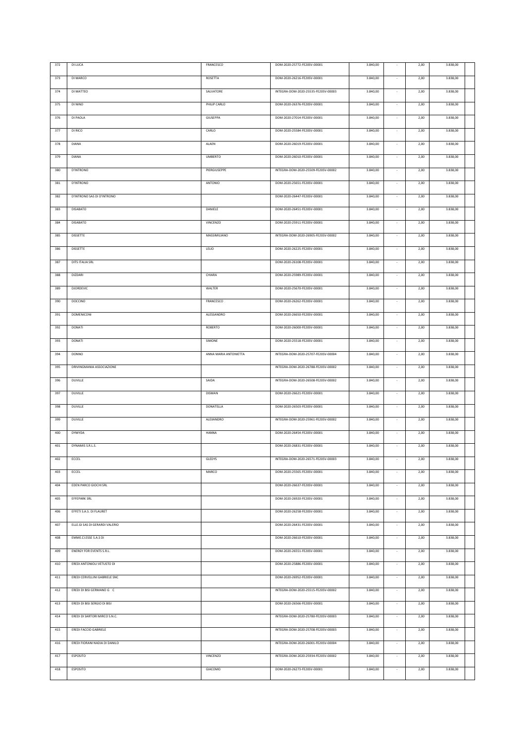| 372     | <b>DI LUCA</b>                 | FRANCESCO             | DOM-2020-25772-FE20SV-00001         | 3.840,00 |                          | 2,00 | 3.838,00 |  |
|---------|--------------------------------|-----------------------|-------------------------------------|----------|--------------------------|------|----------|--|
|         |                                |                       |                                     |          |                          |      |          |  |
| 373     | DI MARCO                       | ROSETTA               | DOM-2020-26216-FE20SV-00001         | 3.840,00 |                          | 2,00 | 3.838,00 |  |
| 374     | DI MATTEO                      | SALVATORE             | INTEGRA-DOM-2020-25535-FE20SV-00003 | 3.840,00 | $\sim$                   | 2,00 | 3.838,00 |  |
| 375     | DI NINO                        | PHILIP CARLO          | DOM-2020-26376-FE20SV-00001         | 3.840,00 |                          | 2,00 | 3.838,00 |  |
|         |                                |                       |                                     |          |                          |      |          |  |
| 376     | DI PAOLA                       | GIUSEPPA              | DOM-2020-27014-FE20SV-00001         | 3.840,00 |                          | 2,00 | 3.838,00 |  |
| 377     | DI RICO                        | CARLO                 | DOM-2020-25584-FE20SV-00001         | 3.840,00 |                          | 2,00 | 3.838,00 |  |
|         |                                |                       |                                     |          |                          |      |          |  |
| 378     | <b>DIANA</b>                   | ALAEN                 | DOM-2020-26019-FE20SV-00001         | 3.840,00 | $\sim$                   | 2,00 | 3.838,00 |  |
| 379     | DIANA                          | <b>UMBERTO</b>        | DOM-2020-26010-FE20SV-00001         | 3.840,00 |                          | 2,00 | 3.838,00 |  |
| 380     | D'INTRONO                      | PIERGIUSEPPE          | INTEGRA-DOM-2020-25509-FE20SV-00002 | 3.840,00 | $\sim$                   | 2,00 | 3.838,00 |  |
|         |                                |                       |                                     |          |                          |      |          |  |
| 381     | <b>D'INTRONO</b>               | ANTONIO               | DOM-2020-25651-FE20SV-00001         | 3.840,00 | $\overline{\phantom{a}}$ | 2,00 | 3.838,00 |  |
| 382     | D'INTRONO SAS DI D'INTRONO     |                       | DOM-2020-26447-FE20SV-00001         | 3.840,00 | $\sim$                   | 2,00 | 3.838,00 |  |
| 383     | <b>DISABATO</b>                | DANIELE               | DOM-2020-26451-FE20SV-00001         | 3.840,00 |                          | 2,00 | 3.838,00 |  |
|         |                                |                       |                                     |          |                          |      |          |  |
| 384     | DISABATO                       | VINCENZO              | DOM-2020-25911-FE20SV-00001         | 3.840,00 |                          | 2,00 | 3.838,00 |  |
| 385     | <b>DISSETTE</b>                | MASSIMILIANO          | INTEGRA-DOM-2020-26905-FE20SV-00002 | 3.840,00 |                          | 2,00 | 3.838,00 |  |
|         |                                |                       |                                     |          |                          |      |          |  |
| 386     | <b>DISSETTE</b>                | LELIO                 | DOM-2020-26225-FE20SV-00001         | 3.840,00 | $\overline{\phantom{a}}$ | 2,00 | 3.838,00 |  |
| 387     | <b>DITS ITALIA SRL</b>         |                       | DOM-2020-26108-FE20SV-00001         | 3.840,00 |                          | 2,00 | 3.838,00 |  |
| 388     | <b>DIZDARI</b>                 | CHIARA                | DOM-2020-25989-FE20SV-00001         | 3.840,00 |                          | 2,00 | 3.838,00 |  |
|         |                                |                       |                                     |          |                          |      |          |  |
| 389     | DJORDEVIC                      | WALTER                | DOM-2020-25670-FE20SV-00001         | 3.840,00 |                          | 2,00 | 3.838,00 |  |
| 390     | DOCCINO                        | FRANCESCO             | DOM-2020-26262-FE20SV-00001         | 3.840,00 |                          | 2,00 | 3.838,00 |  |
|         | <b>DOMENICONI</b>              |                       |                                     |          |                          |      |          |  |
| 391     |                                | ALESSANDRO            | DOM-2020-26650-FE20SV-00001         | 3.840,00 |                          | 2,00 | 3.838,00 |  |
| 392     | DONATI                         | ROBERTO               | DOM-2020-26000-FE20SV-00001         | 3.840,00 |                          | 2,00 | 3.838,00 |  |
| 393     | <b>DONATI</b>                  | SIMONE                | DOM-2020-25518-FE20SV-00001         | 3.840,00 |                          | 2,00 | 3.838,00 |  |
|         |                                |                       |                                     |          |                          |      |          |  |
| 394     | <b>DONNO</b>                   | ANNA MARIA ANTONIETTA | INTEGRA-DOM-2020-25707-FE20SV-00004 | 3.840,00 |                          | 2,00 | 3.838,00 |  |
| 395     | DRIVINGMANIA ASSOCIAZIONE      |                       | INTEGRA-DOM-2020-26788-FE20SV-00002 | 3.840,00 |                          | 2,00 | 3.838,00 |  |
|         |                                |                       |                                     |          |                          |      |          |  |
|         |                                |                       |                                     |          |                          |      |          |  |
| 396     | <b>DUVILLE</b>                 | SAIDA                 | INTEGRA-DOM-2020-26508-FE20SV-00002 | 3.840,00 |                          | 2,00 | 3.838,00 |  |
| 397     | DUVILLE                        | DISMAN                | DOM-2020-26621-FE20SV-00001         | 3.840,00 |                          | 2,00 | 3.838,00 |  |
| 398     | <b>DUVILLE</b>                 | DONATELLA             | DOM-2020-26503-FE20SV-00001         | 3.840,00 |                          | 2,00 | 3.838,00 |  |
|         |                                |                       |                                     |          |                          |      |          |  |
| 399     | <b>DUVILLE</b>                 | ALEXANDRO             | INTEGRA-DOM-2020-25961-FE20SV-00002 | 3.840,00 |                          | 2,00 | 3.838,00 |  |
| 400     | DYMYDA                         | <b>HANNA</b>          | DOM-2020-26454-FE20SV-00001         | 3.840,00 |                          | 2,00 | 3.838,00 |  |
| 401     | DYNAMIS S.R.L.S.               |                       | DOM-2020-26831-FE20SV-00001         | 3.840,00 |                          | 2,00 | 3.838,00 |  |
|         |                                |                       |                                     |          |                          |      |          |  |
| $402\,$ | ECCEL                          | GLEDYS                | INTEGRA-DOM-2020-26571-FE20SV-00003 | 3.840,00 |                          | 2,00 | 3.838,00 |  |
| 403     | ECCEL                          | MARCO                 | DOM-2020-25565-FE20SV-00001         | 3.840,00 | $\sim$                   | 2,00 | 3.838,00 |  |
| 404     | EDEN PARCO GIOCHI SRL          |                       | DOM-2020-26637-FE20SV-00001         | 3.840,00 | $\sim$                   | 2,00 | 3.838,00 |  |
|         |                                |                       |                                     |          |                          |      |          |  |
| 405     | EFFEPARK SRL                   |                       | DOM-2020-26920-FE20SV-00001         | 3.840,00 |                          | 2,00 | 3.838,00 |  |
| 406     | EFFETI S.A.S. DI FLAURET       |                       | DOM-2020-26258-FE20SV-00001         | 3.840,00 | $\sim$                   | 2,00 | 3.838,00 |  |
| 407     | ELLE.GI SAS DI GERARDI VALERIO |                       |                                     |          | $\cdot$                  |      | 3.838,00 |  |
|         |                                |                       | DOM-2020-26431-FE20SV-00001         | 3.840,00 |                          | 2,00 |          |  |
| 408     | EMME.CI.ESSE S.A.S DI          |                       | DOM-2020-26610-FE20SV-00001         | 3.840,00 | $\sim$                   | 2,00 | 3.838,00 |  |
| 409     | ENERGY FOR EVENTS S.R.L.       |                       | DOM-2020-26551-FE20SV-00001         | 3.840,00 | $\sim$                   | 2,00 | 3.838,00 |  |
|         |                                |                       |                                     |          | $\sim$                   |      |          |  |
| 410     | EREDI ANTONIOLI VETUSTO DI     |                       | DOM-2020-25886-FE20SV-00001         | 3.840,00 |                          | 2,00 | 3.838,00 |  |
| 411     | EREDI CERVELLINI GABRIELE SNC  |                       | DOM-2020-26952-FE20SV-00001         | 3.840,00 | $\sim$                   | 2,00 | 3.838,00 |  |
| 412     | EREDI DI BISI GERMANO G C      |                       | INTEGRA-DOM-2020-25515-FE20SV-00002 | 3.840,00 | $\sim$                   | 2,00 | 3.838,00 |  |
|         |                                |                       |                                     |          |                          |      |          |  |
| 413     | EREDI DI BISI SERGIO DI BISI   |                       | DOM-2020-26566-FE20SV-00001         | 3.840,00 | $\sim$                   | 2,00 | 3.838,00 |  |
| 414     | EREDI DI SARTORI MIRCO S.N.C.  |                       | INTEGRA-DOM-2020-25780-FE20SV-00003 | 3.840,00 | $\sim$                   | 2,00 | 3.838,00 |  |
| 415     | EREDI FACCIO GABRIELE          |                       | INTEGRA-DOM-2020-25708-FE20SV-00003 | 3.840,00 | $\sim$                   | 2,00 | 3.838,00 |  |
|         |                                |                       |                                     |          |                          |      |          |  |
| 416     | EREDI FIORANI NADIA DI DANILO  |                       | INTEGRA-DOM-2020-26001-FE20SV-00004 | 3.840,00 | $\sim$                   | 2,00 | 3.838,00 |  |
| 417     | ESPOSITO                       | VINCENZO              | INTEGRA-DOM-2020-25934-FE20SV-00002 | 3.840,00 | $\sim$                   | 2,00 | 3.838,00 |  |
|         |                                |                       |                                     |          |                          |      |          |  |
| 418     | <b>ESPOSITO</b>                | GIACOMO               | DOM-2020-26273-FE20SV-00001         | 3.840,00 | $\overline{\phantom{a}}$ | 2,00 | 3.838,00 |  |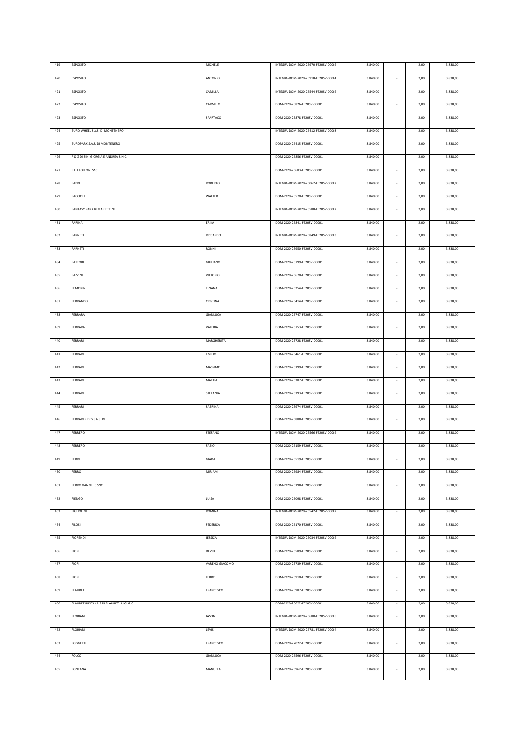| 419 | ESPOSITO                                  | MICHELE         | INTEGRA-DOM-2020-26970-FE20SV-00002 | 3.840,00 |                          | 2,00 | 3.838,00 |  |
|-----|-------------------------------------------|-----------------|-------------------------------------|----------|--------------------------|------|----------|--|
|     |                                           |                 | INTEGRA-DOM-2020-25918-FE20SV-00004 |          |                          |      |          |  |
| 420 | <b>ESPOSITO</b>                           | ANTONIO         |                                     | 3.840,00 |                          | 2,00 | 3.838,00 |  |
| 421 | ESPOSITO                                  | CAMILLA         | INTEGRA-DOM-2020-26544-FE20SV-00002 | 3.840,00 | $\sim$                   | 2,00 | 3.838,00 |  |
| 422 | ESPOSITO                                  | CARMELO         | DOM-2020-25826-FE20SV-00001         | 3.840,00 |                          | 2,00 | 3.838,00 |  |
|     |                                           |                 |                                     |          |                          |      |          |  |
| 423 | ESPOSITO                                  | SPARTACO        | DOM-2020-25878-FE20SV-00001         | 3.840,00 |                          | 2,00 | 3.838,00 |  |
| 424 | EURO WHEEL S.A.S. DI MONTENERO            |                 | INTEGRA-DOM-2020-26412-FE20SV-00003 | 3.840,00 |                          | 2,00 | 3.838,00 |  |
|     |                                           |                 |                                     |          |                          |      |          |  |
| 425 | EUROPARK S.A.S. DI MONTENERO              |                 | DOM-2020-26415-FE20SV-00001         | 3.840,00 | $\sim$                   | 2,00 | 3.838,00 |  |
| 426 | F & Z DI ZINI GIORGIA E ANDREA S.N.C.     |                 | DOM-2020-26856-FE20SV-00001         | 3.840,00 |                          | 2,00 | 3.838,00 |  |
| 427 | F.LLI FOLLONI SNC                         |                 | DOM-2020-26683-FE20SV-00001         | 3.840,00 | $\sim$                   | 2,00 | 3.838,00 |  |
|     |                                           |                 |                                     |          |                          |      |          |  |
| 428 | FABBI                                     | ROBERTO         | INTEGRA-DOM-2020-26062-FE20SV-00002 | 3.840,00 | $\overline{\phantom{a}}$ | 2,00 | 3.838,00 |  |
| 429 | FACCIOLI                                  | WALTER          | DOM-2020-25570-FE20SV-00001         | 3.840,00 | $\sim$                   | 2,00 | 3.838,00 |  |
| 430 | FANTASY PARK DI MARIETTINI                |                 | INTEGRA-DOM-2020-26588-FE20SV-00002 | 3.840,00 |                          | 2,00 | 3.838,00 |  |
|     |                                           |                 |                                     |          |                          |      |          |  |
| 431 | FARINA                                    | ERIKA           | DOM-2020-26841-FE20SV-00001         | 3.840,00 | $\sim$                   | 2,00 | 3.838,00 |  |
| 432 | FARNETI                                   | <b>RICCARDO</b> | INTEGRA-DOM-2020-26849-FE20SV-00003 | 3.840,00 |                          | 2,00 | 3.838,00 |  |
|     |                                           |                 |                                     |          |                          |      |          |  |
| 433 | FARNETI                                   | RONNI           | DOM-2020-25950-FE20SV-00001         | 3.840,00 | $\overline{\phantom{a}}$ | 2,00 | 3.838,00 |  |
| 434 | <b>FATTORI</b>                            | GIULIANO        | DOM-2020-25799-FE20SV-00001         | 3.840,00 |                          | 2,00 | 3.838,00 |  |
| 435 | FAZZINI                                   | <b>VITTORIO</b> | DOM-2020-26670-FE20SV-00001         | 3.840,00 |                          | 2,00 | 3.838,00 |  |
|     |                                           |                 |                                     |          |                          |      |          |  |
| 436 | FEMORINI                                  | TIZIANA         | DOM-2020-26254-FE20SV-00001         | 3.840,00 |                          | 2,00 | 3.838,00 |  |
| 437 | FERRANDO                                  | CRISTINA        | DOM-2020-26414-FE20SV-00001         | 3.840,00 |                          | 2,00 | 3.838,00 |  |
|     |                                           |                 |                                     |          |                          |      |          |  |
| 438 | FERRARA                                   | GIANLUCA        | DOM-2020-26747-FE20SV-00001         | 3.840,00 |                          | 2,00 | 3.838,00 |  |
| 439 | FERRARA                                   | VALERIA         | DOM-2020-26753-FE20SV-00001         | 3.840,00 |                          | 2,00 | 3.838,00 |  |
| 440 | FERRARI                                   | MARGHERITA      | DOM-2020-25728-FE20SV-00001         | 3.840,00 |                          | 2,00 | 3.838,00 |  |
|     |                                           |                 |                                     |          |                          |      |          |  |
| 441 | FERRARI                                   | <b>EMILIO</b>   | DOM-2020-26461-FE20SV-00001         | 3.840,00 |                          | 2,00 | 3.838,00 |  |
| 442 | FERRARI                                   | MASSIMO         | DOM-2020-26199-FE20SV-00001         | 3.840,00 |                          | 2,00 | 3.838,00 |  |
| 443 | FERRARI                                   | MATTIA          | DOM-2020-26387-FE20SV-00001         | 3.840,00 |                          | 2,00 | 3.838,00 |  |
|     |                                           |                 |                                     |          |                          |      |          |  |
| 444 | FERRARI                                   | STEFANIA        | DOM-2020-26393-FE20SV-00001         | 3.840,00 | $\sim$                   | 2,00 | 3.838,00 |  |
| 445 | FERRARI                                   | SABRINA         | DOM-2020-25974-FE20SV-00001         | 3.840,00 |                          | 2,00 | 3.838,00 |  |
| 446 | FERRARI RIDES S.A.S. DI                   |                 | DOM-2020-26888-FE20SV-00001         | 3.840,00 |                          | 2,00 | 3.838,00 |  |
|     |                                           |                 |                                     |          |                          |      |          |  |
| 447 | FERRERO                                   | STEFANO         | INTEGRA-DOM-2020-25566-FE20SV-00002 | 3.840,00 |                          | 2,00 | 3.838,00 |  |
| 448 | FERRERO                                   | FABIO           | DOM-2020-26159-FE20SV-00001         | 3.840,00 |                          | 2,00 | 3.838,00 |  |
|     |                                           |                 |                                     |          |                          |      |          |  |
| 449 | FERRI                                     | GIADA           | DOM-2020-26519-FE20SV-00001         | 3.840,00 |                          | 2,00 | 3.838,00 |  |
| 450 | FERRO                                     | MIRIAM          | DOM-2020-26984-FE20SV-00001         | 3.840,00 | $\sim$                   | 2,00 | 3.838,00 |  |
| 451 | FERRO VANNI C SNC                         |                 | DOM-2020-26198-FE20SV-00001         | 3.840,00 | $\sim$                   | 2,00 | 3.838,00 |  |
|     |                                           |                 |                                     |          |                          |      |          |  |
| 452 | <b>FIENGO</b>                             | LUISA           | DOM-2020-26098-FE20SV-00001         | 3.840,00 |                          | 2,00 | 3.838,00 |  |
| 453 | <b>FIGLIOLINI</b>                         | ROMINA          | INTEGRA-DOM-2020-26542-FE20SV-00002 | 3.840,00 | $\sim$                   | 2,00 | 3.838,00 |  |
| 454 | <b>FILOSI</b>                             | FEDERICA        | DOM-2020-26170-FE20SV-00001         | 3.840,00 | $\cdot$                  | 2,00 | 3.838,00 |  |
|     |                                           |                 |                                     |          |                          |      |          |  |
| 455 | <b>FIORENDI</b>                           | JESSICA         | INTEGRA-DOM-2020-26034-FE20SV-00002 | 3.840,00 | $\sim$                   | 2,00 | 3.838,00 |  |
| 456 | <b>FIORI</b>                              | <b>DEVID</b>    | DOM-2020-26589-FE20SV-00001         | 3.840,00 | $\sim$                   | 2,00 | 3.838,00 |  |
| 457 | <b>FIORI</b>                              | VARENO GIACOMO  | DOM-2020-25739-FE20SV-00001         |          | $\sim$                   | 2,00 | 3.838,00 |  |
|     |                                           |                 |                                     | 3.840,00 |                          |      |          |  |
| 458 | <b>FIORI</b>                              | LERRY           | DOM-2020-26910-FE20SV-00001         | 3.840,00 | $\sim$                   | 2,00 | 3.838,00 |  |
| 459 | FLAURET                                   | FRANCESCO       | DOM-2020-25987-FE20SV-00001         | 3.840,00 | $\sim$                   | 2,00 | 3.838,00 |  |
|     |                                           |                 |                                     |          |                          |      |          |  |
| 460 | FLAURET RIDES S.A.S DI FLAURET LUIGI & C. |                 | DOM-2020-26022-FE20SV-00001         | 3.840,00 | $\sim$                   | 2,00 | 3.838,00 |  |
| 461 | <b>FLORIANI</b>                           | <b>JASON</b>    | INTEGRA-DOM-2020-26680-FE20SV-00005 | 3.840,00 | $\sim$                   | 2,00 | 3.838,00 |  |
| 462 | FLORIANI                                  | LEVIS           | INTEGRA-DOM-2020-26781-FE20SV-00004 | 3.840,00 | $\sim$                   | 2,00 | 3.838,00 |  |
|     |                                           |                 |                                     |          |                          |      |          |  |
| 463 | <b>FOGGETTI</b>                           | FRANCESCO       | DOM-2020-27022-FE20SV-00001         | 3.840,00 | $\sim$                   | 2,00 | 3.838,00 |  |
| 464 | <b>FOLCO</b>                              | GIANLUCA        | DOM-2020-26596-FE20SV-00001         | 3.840,00 | $\sim$                   | 2,00 | 3.838,00 |  |
|     |                                           |                 |                                     |          |                          |      |          |  |
| 465 | FONTANA                                   | MANUELA         | DOM-2020-26962-FE20SV-00001         | 3.840,00 | $\overline{\phantom{a}}$ | 2,00 | 3.838,00 |  |
|     |                                           |                 |                                     |          |                          |      |          |  |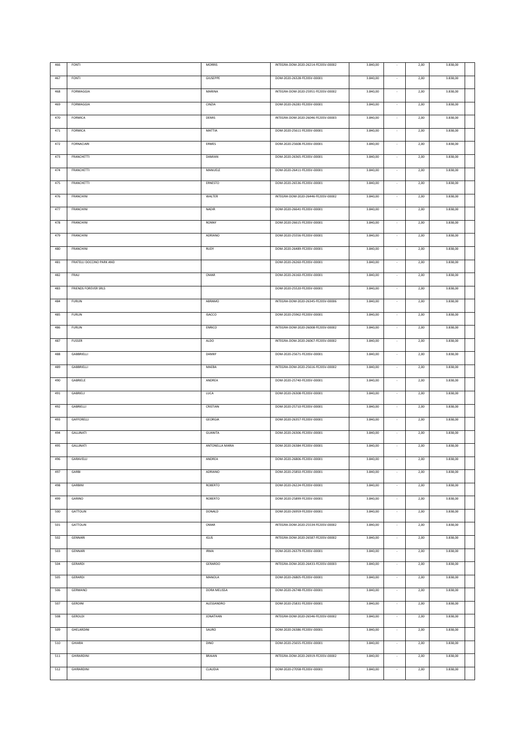| 466 | FONTI                       | <b>MORRIS</b>   | INTEGRA-DOM-2020-26214-FE20SV-00002 | 3.840,00 |                          | 2,00 | 3.838,00 |  |
|-----|-----------------------------|-----------------|-------------------------------------|----------|--------------------------|------|----------|--|
| 467 | FONTI                       | <b>GIUSEPPE</b> | DOM-2020-26328-FE20SV-00001         | 3.840,00 |                          | 2,00 | 3.838,00 |  |
| 468 | FORMAGGIA                   | MARINA          | INTEGRA-DOM-2020-25951-FE20SV-00002 | 3.840,00 |                          | 2,00 | 3.838,00 |  |
| 469 | FORMAGGIA                   | CINZIA          | DOM-2020-26281-FE20SV-00001         | 3.840,00 |                          | 2,00 | 3.838,00 |  |
|     |                             |                 |                                     |          |                          |      |          |  |
| 470 | <b>FORMICA</b>              | DEMIS           | INTEGRA-DOM-2020-26046-FE20SV-00003 | 3.840,00 | $\sim$                   | 2,00 | 3.838,00 |  |
| 471 | FORMICA                     | MATTIA          | DOM-2020-25611-FE20SV-00001         | 3.840,00 |                          | 2,00 | 3.838,00 |  |
| 472 | FORNACIARI                  | ERMES           | DOM-2020-25608-FE20SV-00001         | 3.840,00 | $\sim$                   | 2,00 | 3.838,00 |  |
| 473 | <b>FRANCHETTI</b>           | DAMIAN          | DOM-2020-26365-FE20SV-00001         | 3.840,00 |                          | 2,00 | 3.838,00 |  |
| 474 | <b>FRANCHETTI</b>           | MANUELE         | DOM-2020-26411-FE20SV-00001         | 3.840,00 | $\sim$                   | 2,00 | 3.838,00 |  |
| 475 | FRANCHETTI                  | ERNESTO         | DOM-2020-26536-FE20SV-00001         | 3.840,00 | $\sim$                   | 2,00 | 3.838,00 |  |
| 476 | FRANCHINI                   | WALTER          | INTEGRA-DOM-2020-26446-FE20SV-00002 | 3.840,00 | $\sim$                   | 2,00 | 3.838,00 |  |
| 477 | FRANCHINI                   | <b>NADIR</b>    | DOM-2020-26641-FE20SV-00001         | 3.840,00 |                          | 2,00 | 3.838,00 |  |
| 478 | <b>FRANCHINI</b>            | <b>RONNY</b>    | DOM-2020-26615-FE20SV-00001         | 3.840,00 |                          | 2,00 | 3.838,00 |  |
|     |                             |                 |                                     |          |                          |      |          |  |
| 479 | <b>FRANCHINI</b>            | ADRIANO         | DOM-2020-25556-FE20SV-00001         | 3.840,00 |                          | 2,00 | 3.838,00 |  |
| 480 | <b>FRANCHINI</b>            | <b>RUDY</b>     | DOM-2020-26489-FE20SV-00001         | 3.840,00 | $\sim$                   | 2,00 | 3.838,00 |  |
| 481 | FRATELLI DOCCINO PARK AND   |                 | DOM-2020-26260-FE20SV-00001         | 3.840,00 | $\overline{\phantom{a}}$ | 2,00 | 3.838,00 |  |
| 482 | FRAU                        | OMAR            | DOM-2020-26160-FE20SV-00001         | 3.840,00 |                          | 2,00 | 3.838,00 |  |
| 483 | <b>FRIENDS FOREVER SRLS</b> |                 | DOM-2020-25520-FE20SV-00001         | 3.840,00 |                          | 2,00 | 3.838,00 |  |
| 484 | <b>FURLIN</b>               | ABRAMO          | INTEGRA-DOM-2020-26345-FE20SV-00006 | 3.840,00 | $\overline{\phantom{a}}$ | 2,00 | 3.838,00 |  |
| 485 | <b>FURLIN</b>               | <b>ISACCO</b>   | DOM-2020-25962-FE20SV-00001         | 3.840,00 |                          | 2,00 | 3.838,00 |  |
| 486 | <b>FURLIN</b>               | ENRICO          | INTEGRA-DOM-2020-26008-FE20SV-00002 | 3.840,00 | $\overline{\phantom{a}}$ | 2,00 | 3.838,00 |  |
| 487 | <b>FUSSER</b>               | <b>ALDO</b>     | INTEGRA-DOM-2020-26067-FE20SV-00002 | 3.840,00 |                          | 2,00 | 3.838,00 |  |
|     |                             |                 |                                     |          |                          |      |          |  |
| 488 | GABBRIELLI                  | DANNY           | DOM-2020-25671-FE20SV-00001         | 3.840,00 |                          | 2,00 | 3.838,00 |  |
| 489 | GABBRIELLI                  | MAEBA           | INTEGRA-DOM-2020-25616-FE20SV-00002 | 3.840,00 |                          | 2,00 | 3.838,00 |  |
| 490 | GABRIELE                    | ANDREA          | DOM-2020-25740-FE20SV-00001         | 3.840,00 |                          | 2,00 | 3.838,00 |  |
| 491 | GABRIELI                    | LUCA            | DOM-2020-26308-FE20SV-00001         | 3.840,00 |                          | 2,00 | 3.838,00 |  |
| 492 | GABRIELLI                   | CRISTIAN        | DOM-2020-25710-FE20SV-00001         | 3.840,00 |                          | 2,00 | 3.838,00 |  |
| 493 | GAFFORELLI                  | GEORGIA         | DOM-2020-26357-FE20SV-00001         | 3.840,00 |                          | 2,00 | 3.838,00 |  |
| 494 | GALLINATI                   | <b>GUANITA</b>  | DOM-2020-26306-FE20SV-00001         | 3.840,00 |                          | 2,00 | 3.838,00 |  |
| 495 | GALLINATI                   | ANTONELLA MARIA | DOM-2020-26384-FE20SV-00001         | 3.840,00 |                          | 2,00 | 3.838,00 |  |
| 496 | GARAVELLI                   | ANDREA          | DOM-2020-26806-FE20SV-00001         | 3.840,00 | $\sim$                   | 2,00 | 3.838,00 |  |
|     |                             |                 |                                     |          |                          |      |          |  |
| 497 | GARBI                       | ADRIANO         | DOM-2020-25850-FE20SV-00001         | 3.840,00 |                          | 2,00 | 3.838,00 |  |
| 498 | GARBINI                     | ROBERTO         | DOM-2020-26224-FE20SV-00001         | 3.840,00 | ٠                        | 2,00 | 3.838,00 |  |
| 499 | GARINO                      | ROBERTO         | DOM-2020-25899-FE20SV-00001         | 3.840,00 |                          | 2,00 | 3.838,00 |  |
| 500 | GATTOLIN                    | DONALD          | DOM-2020-26959-FE20SV-00001         | 3.840,00 |                          | 2,00 | 3.838,00 |  |
| 501 | GATTOLIN                    | OMAR            | INTEGRA-DOM-2020-25534-FE20SV-00002 | 3.840,00 |                          | 2,00 | 3.838,00 |  |
| 502 | GENNARI                     | <b>IGLIS</b>    | INTEGRA-DOM-2020-26587-FE20SV-00002 | 3.840,00 |                          | 2,00 | 3.838,00 |  |
| 503 | GENNARI                     | <b>IRMA</b>     | DOM-2020-26379-FE20SV-00001         | 3.840,00 | $\sim$                   | 2,00 | 3.838,00 |  |
| 504 | GERARDI                     | GERARDO         | INTEGRA-DOM-2020-26433-FE20SV-00003 | 3.840,00 |                          | 2,00 | 3.838,00 |  |
| 505 | GERARDI                     | MANOLA          | DOM-2020-26805-FE20SV-00001         | 3.840,00 |                          | 2,00 | 3.838,00 |  |
| 506 | GERMANO                     | DORA MELISSA    | DOM-2020-26748-FE20SV-00001         |          |                          |      |          |  |
|     |                             |                 |                                     | 3.840,00 |                          | 2,00 | 3.838,00 |  |
| 507 | <b>GEROINI</b>              | ALESSANDRO      | DOM-2020-25831-FE20SV-00001         | 3.840,00 | $\sim$                   | 2,00 | 3.838,00 |  |
| 508 | GEROLDI                     | JONATHAN        | INTEGRA-DOM-2020-26546-FE20SV-00002 | 3.840,00 | $\sim$                   | 2,00 | 3.838,00 |  |
| 509 | GHELARDINI                  | SAURO           | DOM-2020-26386-FE20SV-00001         | 3.840,00 | $\sim$                   | 2,00 | 3.838,00 |  |
| 510 | GHIARA                      | <b>DINO</b>     | DOM-2020-25655-FE20SV-00001         | 3.840,00 | $\sim$                   | 2,00 | 3.838,00 |  |
| 511 | <b>GHIRARDINI</b>           | BRAIAN          | INTEGRA-DOM-2020-26919-FE20SV-00002 | 3.840,00 | $\sim$                   | 2,00 | 3.838,00 |  |
| 512 | <b>GHIRARDINI</b>           | CLAUDIA         | DOM-2020-27058-FE20SV-00001         | 3.840,00 | $\sim$                   | 2,00 | 3.838,00 |  |
|     |                             |                 |                                     |          |                          |      |          |  |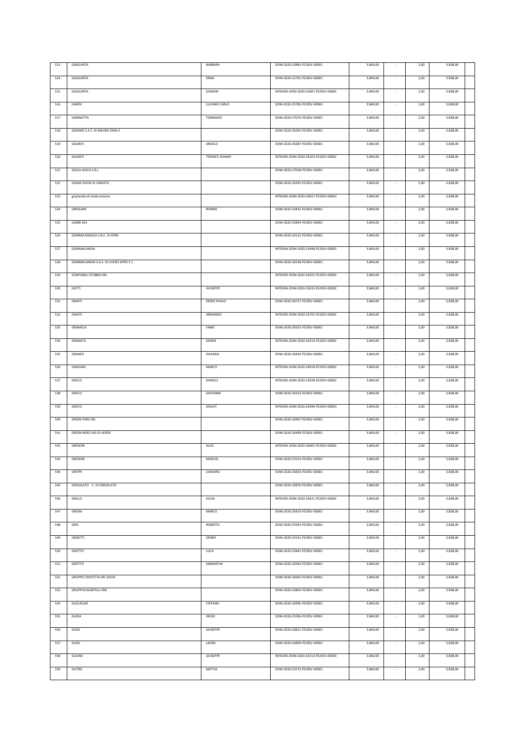| 513 | GIAQUINTA                              | BARBARA              | DOM-2020-25883-FE20SV-00001         | 3.840,00 |                          | 2,00 | 3.838,00 |  |
|-----|----------------------------------------|----------------------|-------------------------------------|----------|--------------------------|------|----------|--|
|     |                                        |                      |                                     |          |                          |      |          |  |
| 514 | GIAQUINTA                              | ERIKA                | DOM-2020-25701-FE20SV-00001         | 3.840,00 |                          | 2,00 | 3.838,00 |  |
| 515 | GIAQUINTA                              | SHARON               | INTEGRA-DOM-2020-25667-FE20SV-00002 | 3.840,00 | $\sim$                   | 2,00 | 3.838,00 |  |
|     |                                        |                      |                                     |          |                          |      |          |  |
| 516 | GIARDI                                 | LUCIANO CARLO        | DOM-2020-25785-FE20SV-00002         | 3.840,00 |                          | 2,00 | 3.838,00 |  |
| 517 | GIARNOTTA                              | TOMMASO              | DOM-2020-27074-FE20SV-00001         | 3.840,00 |                          | 2,00 | 3.838,00 |  |
|     |                                        |                      |                                     |          |                          |      |          |  |
| 518 | GIEMME S.A.S. DI MAURO ZENA E          |                      | DOM-2020-26265-FE20SV-00001         | 3.840,00 |                          | 2,00 | 3.838,00 |  |
| 519 | GIGANTI                                | ANGELO               | DOM-2020-26287-FE20SV-00001         | 3.840,00 | $\sim$                   | 2,00 | 3.838,00 |  |
|     |                                        |                      |                                     |          |                          |      |          |  |
| 520 | GIGANTI                                | <b>TERENCE ADAMO</b> | INTEGRA-DOM-2020-26163-FE20SV-00002 | 3.840,00 |                          | 2,00 | 3.838,00 |  |
| 521 | GIOCA GIOCA S.R.L.                     |                      | DOM-2020-27028-FE20SV-00001         | 3.840,00 | $\sim$                   | 2,00 | 3.838,00 |  |
|     |                                        |                      |                                     |          |                          |      |          |  |
| 522 | GIONA SHOW DI CANIATO                  |                      | DOM-2020-26395-FE20SV-00001         | 3.840,00 |                          | 2,00 | 3.838,00 |  |
| 523 | gioylandia di vitale antonio           |                      | INTEGRA-DOM-2020-26017-FE20SV-00003 | 3.840,00 | $\sim$                   | 2,00 | 3.838,00 |  |
|     |                                        |                      |                                     |          |                          |      |          |  |
| 524 | GIROLAMI                               | RONNIE               | DOM-2020-25832-FE20SV-00001         | 3.840,00 |                          | 2,00 | 3.838,00 |  |
| 525 | <b>GOBBI SAS</b>                       |                      | DOM-2020-25894-FE20SV-00001         | 3.840,00 |                          | 2,00 | 3.838,00 |  |
|     |                                        |                      |                                     |          |                          |      |          |  |
| 526 | GOMMA MAGICA S.N.C. DI SPINI           |                      | DOM-2020-26122-FE20SV-00001         | 3.840,00 |                          | 2,00 | 3.838,00 |  |
| 527 | GOMMALANDIA                            |                      | INTEGRA-DOM-2020-25498-FE20SV-00003 | 3.840,00 | $\overline{\phantom{a}}$ | 2,00 | 3.838,00 |  |
|     |                                        |                      |                                     |          |                          |      |          |  |
| 528 | GOMMOLANDIA S.A.S. DI LIVERO AFRO E C. |                      | DOM-2020-26238-FE20SV-00001         | 3.840,00 |                          | 2,00 | 3.838,00 |  |
| 529 | <b>GONFIABILI STOBBIA SRL</b>          |                      | INTEGRA-DOM-2020-26255-FE20SV-00002 | 3.840,00 |                          | 2,00 | 3.838,00 |  |
|     |                                        |                      |                                     |          |                          |      |          |  |
| 530 | GOTTI                                  | GIUSEPPE             | INTEGRA-DOM-2020-25633-FE20SV-00002 | 3.840,00 |                          | 2,00 | 3.838,00 |  |
| 531 | GRAFFI                                 | DEREK PAOLO          | DOM-2020-26727-FE20SV-00001         | 3.840,00 |                          | 2,00 | 3.838,00 |  |
|     |                                        |                      |                                     |          |                          |      |          |  |
| 532 | GRAFFI                                 | ARMANDO              | INTEGRA-DOM-2020-26705-FE20SV-00002 | 3.840,00 |                          | 2,00 | 3.838,00 |  |
| 533 | GRAMOLA                                | FABIO                | DOM-2020-26923-FE20SV-00001         | 3.840,00 |                          | 2,00 | 3.838,00 |  |
|     |                                        |                      |                                     |          |                          |      |          |  |
| 534 | GRANATA                                | DENISE               | INTEGRA-DOM-2020-26314-FE20SV-00002 | 3.840,00 |                          | 2,00 | 3.838,00 |  |
| 535 | GRANDE                                 | IOLANDA              | DOM-2020-26442-FE20SV-00001         | 3.840,00 |                          | 2,00 | 3.838,00 |  |
|     |                                        |                      |                                     |          |                          |      |          |  |
| 536 | GRAZIANI                               | MARCO                | INTEGRA-DOM-2020-26918-FE20SV-00002 | 3.840,00 |                          | 2,00 | 3.838,00 |  |
| 537 | GRECO                                  | DANIELE              | INTEGRA-DOM-2020-25928-FE20SV-00002 | 3.840,00 |                          | 2,00 | 3.838,00 |  |
|     | GRECO                                  | GIOVANNI             | DOM-2020-26323-FE20SV-00001         | 3.840,00 |                          | 2,00 | 3.838,00 |  |
| 538 |                                        |                      |                                     |          | $\sim$                   |      |          |  |
| 539 | GRECO                                  | ASHLEY               | INTEGRA-DOM-2020-26396-FE20SV-00003 | 3.840,00 |                          | 2,00 | 3.838,00 |  |
| 540 | <b>GREEN PARK SRL</b>                  |                      | DOM-2020-26907-FE20SV-00001         | 3.840,00 |                          | 2,00 | 3.838,00 |  |
|     |                                        |                      |                                     |          |                          |      |          |  |
| 541 | <b>GREEN RIDES SAS DI VERDE</b>        |                      | DOM-2020-26499-FE20SV-00001         | 3.840,00 |                          | 2,00 | 3.838,00 |  |
| 542 | GREGORI                                | ALICE                | INTEGRA-DOM-2020-26065-FE20SV-00002 | 3.840,00 |                          | 2,00 | 3.838,00 |  |
|     |                                        |                      |                                     |          |                          |      |          |  |
| 543 | GREGORI                                | MANUEL               | DOM-2020-25554-FE20SV-00001         | 3.840,00 |                          | 2,00 | 3.838,00 |  |
| 544 | GREPPI                                 | LEANDRO              | DOM-2020-26833-FE20SV-00001         | 3.840,00 | $\sim$                   | 2,00 | 3.838,00 |  |
|     |                                        |                      |                                     |          |                          |      |          |  |
| 545 | GRIGOLATO C. DI GRIGOLATO              |                      | DOM-2020-26870-FE20SV-00001         | 3.840,00 | ×,                       | 2,00 | 3.838,00 |  |
| 546 | GRILLO                                 | SILVIA               | INTEGRA-DOM-2020-26421-FE20SV-00002 | 3.840,00 |                          | 2,00 | 3.838,00 |  |
|     |                                        |                      |                                     |          |                          |      |          |  |
| 547 | GRIONI                                 | MARCO                | DOM-2020-26410-FE20SV-00001         | 3.840,00 | ÷.                       | 2,00 | 3.838,00 |  |
| 548 | GRIS                                   | ROBERTO              | DOM-2020-25593-FE20SV-00001         | 3.840,00 | $\sim$                   | 2,00 | 3.838,00 |  |
|     |                                        |                      |                                     |          |                          |      |          |  |
| 549 | GRISETTI                               | DENNY                | DOM-2020-25541-FE20SV-00001         | 3.840,00 | $\sim$                   | 2,00 | 3.838,00 |  |
| 550 | GROTTO                                 | <b>LUCA</b>          | DOM-2020-25841-FE20SV-00001         | 3.840,00 | $\sim$                   | 2,00 | 3.838,00 |  |
|     |                                        |                      |                                     |          |                          |      |          |  |
| 551 | GROTTO                                 | SAMANTHA             | DOM-2020-26564-FE20SV-00001         | 3.840,00 | $\sim$                   | 2,00 | 3.838,00 |  |
| 552 | GRUPPO CROCETTA SRL SOCIO              |                      | DOM-2020-26605-FE20SV-00001         | 3.840,00 | $\sim$                   | 2,00 | 3.838,00 |  |
|     |                                        |                      |                                     |          |                          |      |          |  |
| 553 | GRUPPOCASARTELLI SNC                   |                      | DOM-2020-25804-FE20SV-00001         | 3.840,00 | $\sim$                   | 2,00 | 3.838,00 |  |
| 554 | GUGLIELMI                              | STEFANO              | DOM-2020-26996-FE20SV-00001         | 3.840,00 | $\sim$                   | 2,00 | 3.838,00 |  |
|     |                                        |                      |                                     |          |                          |      |          |  |
| 555 | GUIDA                                  | <b>DIEGO</b>         | DOM-2020-25506-FE20SV-00001         | 3.840,00 | $\sim$                   | 2,00 | 3.838,00 |  |
| 556 | GUIDI                                  | GIUSEPPE             | DOM-2020-26821-FE20SV-00001         | 3.840,00 | $\sim$                   | 2,00 | 3.838,00 |  |
|     |                                        |                      |                                     |          |                          |      |          |  |
| 557 | GUIDI                                  | LAURA                | DOM-2020-26809-FE20SV-00001         | 3.840,00 | $\sim$                   | 2,00 | 3.838,00 |  |
| 558 | GULINO                                 | GIUSEPPE             | INTEGRA-DOM-2020-26213-FE20SV-00003 | 3.840,00 | $\sim$                   | 2,00 | 3.838,00 |  |
|     |                                        |                      |                                     |          |                          |      |          |  |
| 559 | GUTRIS                                 | MATTIA               | DOM-2020-25573-FE20SV-00001         | 3.840,00 | $\overline{\phantom{a}}$ | 2,00 | 3.838,00 |  |
|     |                                        |                      |                                     |          |                          |      |          |  |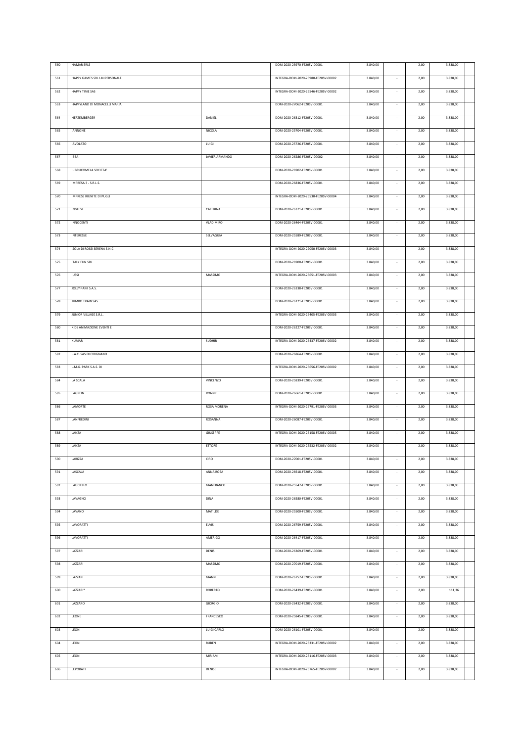| 560 | <b>HAMAR SRLS</b>            |                    | DOM-2020-25970-FE20SV-00001         | 3.840,00 |                          | 2,00 | 3.838,00 |  |
|-----|------------------------------|--------------------|-------------------------------------|----------|--------------------------|------|----------|--|
| 561 | HAPPY GAMES SRL UNIPERSONALE |                    | INTEGRA-DOM-2020-25980-FE20SV-00002 | 3.840,00 |                          | 2,00 | 3.838,00 |  |
|     |                              |                    |                                     |          |                          |      |          |  |
| 562 | HAPPY TIME SAS               |                    | INTEGRA-DOM-2020-25546-FE20SV-00002 | 3.840,00 | $\sim$                   | 2,00 | 3.838,00 |  |
| 563 | HAPPYLAND DI MONACELLI MARIA |                    | DOM-2020-27062-FE20SV-00001         | 3.840,00 |                          | 2,00 | 3.838,00 |  |
| 564 | HERZEMBERGER                 | DANIEL             | DOM-2020-26312-FE20SV-00001         | 3.840,00 |                          | 2,00 | 3.838,00 |  |
|     |                              |                    |                                     |          |                          |      |          |  |
| 565 | IANNONE                      | NICOLA             | DOM-2020-25704-FE20SV-00001         | 3.840,00 |                          | 2,00 | 3.838,00 |  |
| 566 | <b>IAVOLATO</b>              | LUIGI              | DOM-2020-25726-FE20SV-00001         | 3.840,00 | $\sim$                   | 2,00 | 3.838,00 |  |
| 567 | IBBA                         | JAVIER ARMANDO     | DOM-2020-26286-FE20SV-00002         | 3.840,00 | $\sim$                   | 2,00 | 3.838,00 |  |
| 568 | IL BRUCOMELA SOCIETA'        |                    | DOM-2020-26902-FE20SV-00001         | 3.840,00 | $\sim$                   | 2,00 | 3.838,00 |  |
|     |                              |                    |                                     |          |                          |      |          |  |
| 569 | IMPRESA 3 - S.R.L.S.         |                    | DOM-2020-26836-FE20SV-00001         | 3.840,00 | $\sim$                   | 2,00 | 3.838,00 |  |
| 570 | IMPRESE RIUNITE DI PUGLI     |                    | INTEGRA-DOM-2020-26530-FE20SV-00004 | 3.840,00 | $\sim$                   | 2,00 | 3.838,00 |  |
| 571 | INGLESE                      | CATERINA           | DOM-2020-26371-FE20SV-00001         | 3.840,00 |                          | 2,00 | 3.838,00 |  |
| 572 | INNOCENTI                    | <b>VLADIMIRO</b>   | DOM-2020-26464-FE20SV-00001         | 3.840,00 | $\sim$                   | 2,00 | 3.838,00 |  |
|     |                              |                    |                                     |          |                          |      |          |  |
| 573 | <b>INTERESSE</b>             | SELVAGGIA          | DOM-2020-25589-FE20SV-00001         | 3.840,00 |                          | 2,00 | 3.838,00 |  |
| 574 | ISOLA DI ROSSI SERENA S.N.C  |                    | INTEGRA-DOM-2020-27050-FE20SV-00003 | 3.840,00 | $\overline{\phantom{a}}$ | 2,00 | 3.838,00 |  |
| 575 | <b>ITALY FUN SRL</b>         |                    | DOM-2020-26900-FE20SV-00001         | 3.840,00 |                          | 2,00 | 3.838,00 |  |
| 576 | <b>IUSSI</b>                 | MASSIMO            | INTEGRA-DOM-2020-26651-FE20SV-00003 | 3.840,00 |                          | 2,00 | 3.838,00 |  |
|     |                              |                    |                                     |          |                          |      |          |  |
| 577 | JOLLY PARK S.A.S.            |                    | DOM-2020-26338-FE20SV-00001         | 3.840,00 |                          | 2,00 | 3.838,00 |  |
| 578 | JUMBO TRAIN SAS              |                    | DOM-2020-26121-FE20SV-00001         | 3.840,00 |                          | 2,00 | 3.838,00 |  |
| 579 | JUNIOR VILLAGE S.R.L.        |                    | INTEGRA-DOM-2020-26405-FE20SV-00003 | 3.840,00 |                          | 2,00 | 3.838,00 |  |
| 580 | KIDS ANIMAZIONE EVENTI E     |                    | DOM-2020-26227-FE20SV-00001         | 3.840,00 |                          | 2,00 | 3.838,00 |  |
|     |                              |                    |                                     |          |                          |      |          |  |
| 581 | <b>KUMAR</b>                 | <b>SUDHIR</b>      | INTEGRA-DOM-2020-26437-FE20SV-00002 | 3.840,00 |                          | 2,00 | 3.838,00 |  |
| 582 | L.A.C. SAS DI CIRIGNANO      |                    | DOM-2020-26864-FE20SV-00001         | 3.840,00 |                          | 2,00 | 3.838,00 |  |
| 583 | L.M.G. PARK S.A.S. DI        |                    | INTEGRA-DOM-2020-25656-FE20SV-00002 | 3.840,00 |                          | 2,00 | 3.838,00 |  |
| 584 | LA SCALA                     | <b>VINCENZO</b>    | DOM-2020-25839-FE20SV-00001         | 3.840,00 |                          | 2,00 | 3.838,00 |  |
| 585 | LAGREIN                      | RONNIE             | DOM-2020-26661-FE20SV-00001         | 3.840,00 | $\sim$                   | 2,00 | 3.838,00 |  |
|     |                              |                    |                                     |          |                          |      |          |  |
| 586 | LAMORTE                      | <b>ROSA MORENA</b> | INTEGRA-DOM-2020-26791-FE20SV-00003 | 3.840,00 |                          | 2,00 | 3.838,00 |  |
| 587 | LANFREDINI                   | ROSANNA            | DOM-2020-26087-FE20SV-00001         | 3.840,00 |                          | 2,00 | 3.838,00 |  |
| 588 | LANZA                        | GIUSEPPE           | INTEGRA-DOM-2020-26158-FE20SV-00005 | 3.840,00 |                          | 2,00 | 3.838,00 |  |
| 589 | LANZA                        | <b>ETTORE</b>      | INTEGRA-DOM-2020-25532-FE20SV-00002 | 3.840,00 |                          | 2,00 | 3.838,00 |  |
|     |                              |                    |                                     |          |                          |      |          |  |
| 590 | LARIZZA                      | CIRO               | DOM-2020-27001-FE20SV-00001         | 3.840,00 |                          | 2,00 | 3.838,00 |  |
| 591 | LASCALA                      | ANNA ROSA          | DOM-2020-26618-FE20SV-00001         | 3.840,00 | $\sim$                   | 2,00 | 3.838,00 |  |
| 592 | LAUCIELLO                    | GIANFRANCO         | DOM-2020-25547-FE20SV-00001         | 3.840,00 | $\sim$                   | 2,00 | 3.838,00 |  |
| 593 | LAVAGNO                      | <b>DINA</b>        | DOM-2020-26580-FE20SV-00001         | 3.840,00 |                          | 2,00 | 3.838,00 |  |
|     |                              |                    |                                     |          |                          |      |          |  |
| 594 | LAVANO                       | MATILDE            | DOM-2020-25500-FE20SV-00001         | 3.840,00 | $\sim$                   | 2,00 | 3.838,00 |  |
| 595 | LAVORATTI                    | ELVIS              | DOM-2020-26759-FE20SV-00001         | 3.840,00 | $\cdot$                  | 2,00 | 3.838,00 |  |
| 596 | LAVORATTI                    | AMERIGO            | DOM-2020-26417-FE20SV-00001         | 3.840,00 | $\sim$                   | 2,00 | 3.838,00 |  |
| 597 | LAZZARI                      | <b>DENIS</b>       | DOM-2020-26369-FE20SV-00001         | 3.840,00 | $\sim$                   | 2,00 | 3.838,00 |  |
| 598 | LAZZARI                      | MASSIMO            | DOM-2020-27019-FE20SV-00001         | 3.840,00 | $\sim$                   | 2,00 | 3.838,00 |  |
|     |                              |                    |                                     |          |                          |      |          |  |
| 599 | LAZZARI                      | GIANNI             | DOM-2020-26757-FE20SV-00001         | 3.840,00 | $\sim$                   | 2,00 | 3.838,00 |  |
| 600 | LAZZARI*                     | ROBERTO            | DOM-2020-26439-FE20SV-00001         | 3.840,00 | $\sim$                   | 2,00 | 111,36   |  |
| 601 | LAZZARO                      | GIORGIO            | DOM-2020-26432-FE20SV-00001         | 3.840,00 | $\sim$                   | 2,00 | 3.838,00 |  |
| 602 | LEONE                        | FRANCESCO          | DOM-2020-25845-FE20SV-00001         | 3.840,00 | $\sim$                   | 2,00 | 3.838,00 |  |
|     |                              |                    |                                     |          |                          |      |          |  |
| 603 | LEONI                        | LUIGI CARLO        | DOM-2020-26101-FE20SV-00001         | 3.840,00 | $\sim$                   | 2,00 | 3.838,00 |  |
| 604 | LEONI                        | RUBEN              | INTEGRA-DOM-2020-26331-FE20SV-00002 | 3.840,00 | $\sim$                   | 2,00 | 3.838,00 |  |
| 605 | LEONI                        | MIRIAM             | INTEGRA-DOM-2020-26116-FE20SV-00003 | 3.840,00 | $\sim$                   | 2,00 | 3.838,00 |  |
| 606 | LEPORATI                     | DENISE             | INTEGRA-DOM-2020-26765-FE20SV-00002 | 3.840,00 | $\overline{\phantom{a}}$ | 2,00 | 3.838,00 |  |
|     |                              |                    |                                     |          |                          |      |          |  |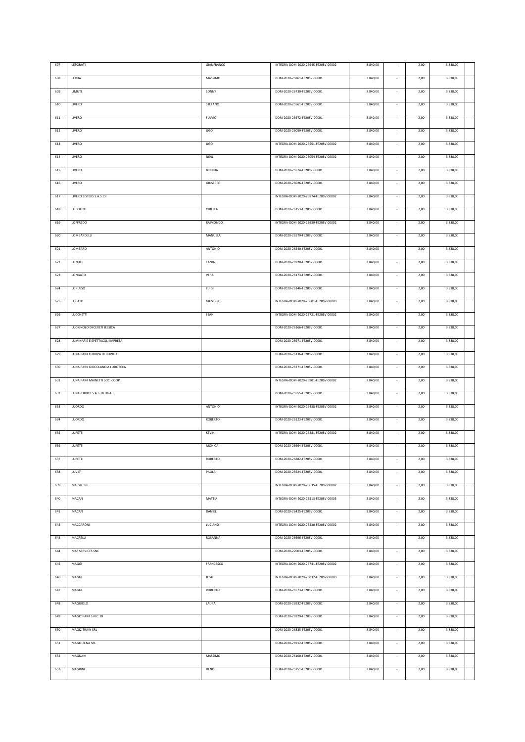| 607 | LEPORATI                       | GIANFRANCO     | INTEGRA-DOM-2020-25945-FE20SV-00002 | 3.840,00 |                          | 2,00 | 3.838,00 |  |
|-----|--------------------------------|----------------|-------------------------------------|----------|--------------------------|------|----------|--|
| 608 | LERDA                          | MASSIMO        | DOM-2020-25861-FE20SV-00001         | 3.840,00 |                          | 2,00 | 3.838,00 |  |
| 609 | LIMUTI                         | SONNY          | DOM-2020-26730-FE20SV-00001         | 3.840,00 |                          | 2,00 | 3.838,00 |  |
|     |                                |                |                                     |          |                          |      |          |  |
| 610 | LIVERO                         | <b>STEFANO</b> | DOM-2020-25561-FE20SV-00001         | 3.840,00 |                          | 2,00 | 3.838,00 |  |
| 611 | LIVERO                         | <b>FULVIO</b>  | DOM-2020-25672-FE20SV-00001         | 3.840,00 | $\sim$                   | 2,00 | 3.838,00 |  |
| 612 | LIVERO                         | UGO            | DOM-2020-26059-FE20SV-00001         | 3.840,00 |                          | 2,00 | 3.838,00 |  |
| 613 | LIVERO                         | UGO            | INTEGRA-DOM-2020-25551-FE20SV-00002 | 3.840,00 |                          | 2,00 | 3.838,00 |  |
|     |                                |                |                                     |          |                          |      |          |  |
| 614 | LIVERO                         | NEAL           | INTEGRA-DOM-2020-26054-FE20SV-00002 | 3.840,00 |                          | 2,00 | 3.838,00 |  |
| 615 | LIVERO                         | <b>BRENDA</b>  | DOM-2020-25574-FE20SV-00001         | 3.840,00 | $\sim$                   | 2,00 | 3.838,00 |  |
| 616 | LIVERO                         | GIUSEPPE       | DOM-2020-26026-FE20SV-00001         | 3.840,00 | $\sim$                   | 2,00 | 3.838,00 |  |
| 617 | LIVERO SISTERS S.A.S. DI       |                | INTEGRA-DOM-2020-25874-FE20SV-00002 | 3.840,00 | $\sim$                   | 2,00 | 3.838,00 |  |
| 618 | LODOLINI                       | ORIELLA        | DOM-2020-26153-FE20SV-00001         |          |                          | 2,00 | 3.838,00 |  |
|     |                                |                |                                     | 3.840,00 |                          |      |          |  |
| 619 | LOFFREDO                       | RAIMONDO       | INTEGRA-DOM-2020-26639-FE20SV-00002 | 3.840,00 |                          | 2,00 | 3.838,00 |  |
| 620 | LOMBARDELLI                    | MANUELA        | DOM-2020-26579-FE20SV-00001         | 3.840,00 |                          | 2,00 | 3.838,00 |  |
| 621 | LOMBARDI                       | ANTONIO        | DOM-2020-26240-FE20SV-00001         | 3.840,00 | $\sim$                   | 2,00 | 3.838,00 |  |
| 622 | LONDEI                         | TANIA          | DOM-2020-26928-FE20SV-00001         | 3.840,00 | $\overline{\phantom{a}}$ | 2,00 | 3.838,00 |  |
|     |                                |                |                                     |          |                          |      |          |  |
| 623 | LONGATO                        | <b>VERA</b>    | DOM-2020-26173-FE20SV-00001         | 3.840,00 |                          | 2,00 | 3.838,00 |  |
| 624 | LORUSSO                        | LUIGI          | DOM-2020-26146-FE20SV-00001         | 3.840,00 |                          | 2,00 | 3.838,00 |  |
| 625 | LUCATO                         | GIUSEPPE       | INTEGRA-DOM-2020-25601-FE20SV-00003 | 3.840,00 | $\sim$                   | 2,00 | 3.838,00 |  |
| 626 | LUCCHETTI                      | SEAN           | INTEGRA-DOM-2020-25721-FE20SV-00002 | 3.840,00 |                          | 2,00 | 3.838,00 |  |
| 627 | LUCIGNOLO DI CERETI JESSICA    |                | DOM-2020-26166-FE20SV-00001         | 3.840,00 | $\overline{\phantom{a}}$ | 2,00 | 3.838,00 |  |
| 628 | LUMINARIE E SPETTACOLI IMPRESA |                | DOM-2020-25971-FE20SV-00001         | 3.840,00 |                          | 2,00 | 3.838,00 |  |
|     |                                |                |                                     |          |                          |      |          |  |
| 629 | LUNA PARK EUROPA DI DUVILLE    |                | DOM-2020-26136-FE20SV-00001         | 3.840,00 |                          | 2,00 | 3.838,00 |  |
| 630 | LUNA PARK GIOCOLANDIA LUDOTECA |                | DOM-2020-26271-FE20SV-00001         | 3.840,00 |                          | 2,00 | 3.838,00 |  |
| 631 | LUNA PARK MAINETTI SOC. COOP.  |                | INTEGRA-DOM-2020-26901-FE20SV-00002 | 3.840,00 |                          | 2,00 | 3.838,00 |  |
| 632 | LUNASERVICE S.A.S. DI UGA      |                | DOM-2020-25555-FE20SV-00001         | 3.840,00 |                          | 2,00 | 3.838,00 |  |
| 633 | LUORDO                         | ANTONIO        | INTEGRA-DOM-2020-26438-FE20SV-00002 | 3.840,00 |                          | 2,00 | 3.838,00 |  |
| 634 | LUORDO                         | ROBERTO        | DOM-2020-26123-FE20SV-00001         | 3.840,00 |                          | 2,00 | 3.838,00 |  |
|     |                                |                |                                     |          |                          |      |          |  |
| 635 | <b>LUPETTI</b>                 | <b>KEVIN</b>   | INTEGRA-DOM-2020-26881-FE20SV-00002 | 3.840,00 |                          | 2,00 | 3.838,00 |  |
| 636 | LUPETTI                        | MONICA         | DOM-2020-26664-FE20SV-00001         | 3.840,00 |                          | 2,00 | 3.838,00 |  |
| 637 | <b>LUPETTI</b>                 | ROBERTO        | DOM-2020-26882-FE20SV-00001         | 3.840,00 | $\sim$                   | 2,00 | 3.838,00 |  |
| 638 | LUVIE'                         | PAOLA          | DOM-2020-25624-FE20SV-00001         | 3.840,00 |                          | 2,00 | 3.838,00 |  |
| 639 | MA.GU. SRL                     |                | INTEGRA-DOM-2020-25635-FE20SV-00002 | 3.840,00 | ٠                        | 2,00 | 3.838,00 |  |
|     |                                |                | INTEGRA-DOM-2020-25513-FE20SV-00003 |          |                          |      |          |  |
| 640 | MACAN                          | MATTIA         |                                     | 3.840,00 |                          | 2,00 | 3.838,00 |  |
| 641 | MACAN                          | DANIEL         | DOM-2020-26425-FE20SV-00001         | 3.840,00 |                          | 2,00 | 3.838,00 |  |
| 642 | MACCARONI                      | LUCIANO        | INTEGRA-DOM-2020-26430-FE20SV-00002 | 3.840,00 |                          | 2,00 | 3.838,00 |  |
| 643 | MACRELLI                       | ROSANNA        | DOM-2020-26696-FE20SV-00001         | 3.840,00 |                          | 2,00 | 3.838,00 |  |
| 644 | MAF SERVICES SNC               |                | DOM-2020-27003-FE20SV-00001         | 3.840,00 | $\sim$                   | 2,00 | 3.838,00 |  |
| 645 | MAGGI                          | FRANCESCO      | INTEGRA-DOM-2020-26741-FE20SV-00002 | 3.840,00 |                          | 2,00 | 3.838,00 |  |
|     |                                |                |                                     |          |                          |      |          |  |
| 646 | MAGGI                          | <b>JOSH</b>    | INTEGRA-DOM-2020-26032-FE20SV-00003 | 3.840,00 |                          | 2,00 | 3.838,00 |  |
| 647 | MAGGI                          | ROBERTO        | DOM-2020-26573-FE20SV-00001         | 3.840,00 |                          | 2,00 | 3.838,00 |  |
| 648 | MAGGIOLO                       | LAURA          | DOM-2020-26932-FE20SV-00001         | 3.840,00 | $\sim$                   | 2,00 | 3.838,00 |  |
| 649 | MAGIC PARK S.N.C. DI           |                | DOM-2020-26929-FE20SV-00001         | 3.840,00 | $\sim$                   | 2,00 | 3.838,00 |  |
| 650 | MAGIC TRAIN SRL                |                | DOM-2020-26835-FE20SV-00001         | 3.840,00 | $\sim$                   | 2,00 | 3.838,00 |  |
|     |                                |                |                                     |          |                          |      |          |  |
| 651 | MAGIC ZENA SRL                 |                | DOM-2020-26912-FE20SV-00001         | 3.840,00 | $\sim$                   | 2,00 | 3.838,00 |  |
| 652 | MAGNANI                        | MASSIMO        | DOM-2020-26100-FE20SV-00001         | 3.840,00 | $\sim$                   | 2,00 | 3.838,00 |  |
| 653 | MAGRINI                        | DENIS          | DOM-2020-25751-FE20SV-00001         | 3.840,00 | $\sim$                   | 2,00 | 3.838,00 |  |
|     |                                |                |                                     |          |                          |      |          |  |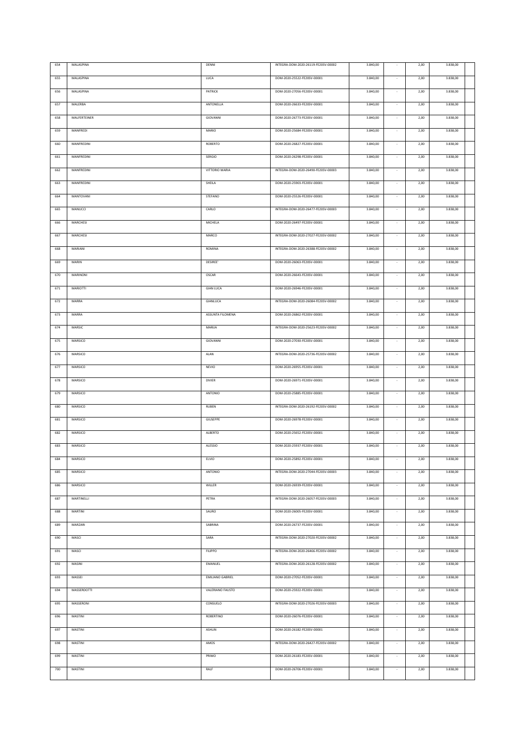| 654 | MALASPINA    | DENNI                   | INTEGRA-DOM-2020-26119-FE20SV-00002 | 3.840,00 |                          | 2,00 | 3.838,00 |  |
|-----|--------------|-------------------------|-------------------------------------|----------|--------------------------|------|----------|--|
| 655 | MALASPINA    | <b>LUCA</b>             | DOM-2020-25522-FE20SV-00001         | 3.840,00 |                          | 2,00 | 3.838,00 |  |
|     |              |                         |                                     |          |                          |      |          |  |
| 656 | MALASPINA    | PATRICK                 | DOM-2020-27056-FE20SV-00001         | 3.840,00 | $\sim$                   | 2,00 | 3.838,00 |  |
| 657 | MALERBA      | ANTONELLA               | DOM-2020-26633-FE20SV-00001         | 3.840,00 |                          | 2,00 | 3.838,00 |  |
| 658 | MALFERTEINER | GIOVANNI                | DOM-2020-26773-FE20SV-00001         | 3.840,00 |                          | 2,00 | 3.838,00 |  |
|     |              |                         |                                     |          |                          |      |          |  |
| 659 | MANFREDI     | MARIO                   | DOM-2020-25684-FE20SV-00001         | 3.840,00 |                          | 2,00 | 3.838,00 |  |
| 660 | MANFREDINI   | ROBERTO                 | DOM-2020-26827-FE20SV-00001         | 3.840,00 | $\sim$                   | 2,00 | 3.838,00 |  |
| 661 | MANFREDINI   | <b>SERGIO</b>           | DOM-2020-26298-FE20SV-00001         | 3.840,00 |                          | 2,00 | 3.838,00 |  |
| 662 | MANFREDINI   | VITTORIO MARIA          | INTEGRA-DOM-2020-26490-FE20SV-00003 | 3.840,00 | $\sim$                   | 2,00 | 3.838,00 |  |
|     |              |                         |                                     |          |                          |      |          |  |
| 663 | MANFREDINI   | SHEILA                  | DOM-2020-25903-FE20SV-00001         | 3.840,00 | $\sim$                   | 2,00 | 3.838,00 |  |
| 664 | MANTOVANI    | STEFANO                 | DOM-2020-25526-FE20SV-00001         | 3.840,00 | $\sim$                   | 2,00 | 3.838,00 |  |
| 665 | MANUCCI      | CARLO                   | INTEGRA-DOM-2020-26477-FE20SV-00003 | 3.840,00 |                          | 2,00 | 3.838,00 |  |
| 666 | MARCHESI     | MICHELA                 | DOM-2020-26497-FE20SV-00001         | 3.840,00 | $\sim$                   | 2,00 | 3.838,00 |  |
|     |              |                         |                                     |          |                          |      |          |  |
| 667 | MARCHESI     | MARCO                   | INTEGRA-DOM-2020-27027-FE20SV-00002 | 3.840,00 |                          | 2,00 | 3.838,00 |  |
| 668 | MARIANI      | ROMINA                  | INTEGRA-DOM-2020-26388-FE20SV-00002 | 3.840,00 | $\overline{\phantom{a}}$ | 2,00 | 3.838,00 |  |
| 669 | MARIN        | DESIREE'                | DOM-2020-26063-FE20SV-00001         | 3.840,00 |                          | 2,00 | 3.838,00 |  |
| 670 | MARINONI     | OSCAR                   | DOM-2020-26643-FE20SV-00001         | 3.840,00 |                          | 2,00 | 3.838,00 |  |
|     |              |                         |                                     |          |                          |      |          |  |
| 671 | MARIOTTI     | <b>GIAN LUCA</b>        | DOM-2020-26946-FE20SV-00001         | 3.840,00 |                          | 2,00 | 3.838,00 |  |
| 672 | MARRA        | GIANLUCA                | INTEGRA-DOM-2020-26084-FE20SV-00002 | 3.840,00 |                          | 2,00 | 3.838,00 |  |
| 673 | MARRA        | ASSUNTA FILOMENA        | DOM-2020-26862-FE20SV-00001         | 3.840,00 |                          | 2,00 | 3.838,00 |  |
| 674 | MARSIC       | MARIJA                  | INTEGRA-DOM-2020-25623-FE20SV-00002 | 3.840,00 |                          | 2,00 | 3.838,00 |  |
|     |              |                         |                                     |          |                          |      |          |  |
| 675 | MARSICO      | GIOVANNI                | DOM-2020-27030-FE20SV-00001         | 3.840,00 |                          | 2,00 | 3.838,00 |  |
| 676 | MARSICO      | ALAN                    | INTEGRA-DOM-2020-25736-FE20SV-00002 | 3.840,00 |                          | 2,00 | 3.838,00 |  |
| 677 | MARSICO      | <b>NEVIO</b>            | DOM-2020-26955-FE20SV-00001         | 3.840,00 |                          | 2,00 | 3.838,00 |  |
| 678 | MARSICO      | <b>DIVIER</b>           | DOM-2020-26971-FE20SV-00001         | 3.840,00 |                          | 2,00 | 3.838,00 |  |
| 679 | MARSICO      | ANTONIO                 | DOM-2020-25885-FE20SV-00001         | 3.840,00 | $\sim$                   | 2,00 | 3.838,00 |  |
|     |              |                         |                                     |          |                          |      |          |  |
| 680 | MARSICO      | <b>RUBEN</b>            | INTEGRA-DOM-2020-26192-FE20SV-00002 | 3.840,00 |                          | 2,00 | 3.838,00 |  |
| 681 | MARSICO      | GIUSEPPE                | DOM-2020-26978-FE20SV-00001         | 3.840,00 |                          | 2,00 | 3.838,00 |  |
| 682 | MARSICO      | ALBERTO                 | DOM-2020-25652-FE20SV-00001         | 3.840,00 |                          | 2,00 | 3.838,00 |  |
| 683 | MARSICO      | <b>ALESSIO</b>          | DOM-2020-25937-FE20SV-00001         | 3.840,00 |                          | 2,00 | 3.838,00 |  |
|     |              |                         |                                     |          |                          |      |          |  |
| 684 | MARSICO      | ELVIO                   | DOM-2020-25892-FE20SV-00001         | 3.840,00 |                          | 2,00 | 3.838,00 |  |
| 685 | MARSICO      | ANTONIO                 | INTEGRA-DOM-2020-27044-FE20SV-00003 | 3.840,00 | $\sim$                   | 2,00 | 3.838,00 |  |
| 686 | MARSICO      | WILLER                  | DOM-2020-26939-FE20SV-00001         | 3.840,00 | ×,                       | 2,00 | 3.838,00 |  |
| 687 | MARTINELLI   | PETRA                   | INTEGRA-DOM-2020-26057-FE20SV-00003 | 3.840,00 |                          | 2,00 | 3.838,00 |  |
|     |              |                         |                                     |          | $\sim$                   |      |          |  |
| 688 | MARTINI      | SAURO                   | DOM-2020-26005-FE20SV-00001         | 3.840,00 |                          | 2,00 | 3.838,00 |  |
| 689 | MARZARI      | SABRINA                 | DOM-2020-26737-FE20SV-00001         | 3.840,00 | $\cdot$                  | 2,00 | 3.838,00 |  |
| 690 | MASCI        | SARA                    | INTEGRA-DOM-2020-27020-FE20SV-00002 | 3.840,00 | $\sim$                   | 2,00 | 3.838,00 |  |
| 691 | MASCI        | <b>FILIPPO</b>          | INTEGRA-DOM-2020-26466-FE20SV-00002 | 3.840,00 | $\sim$                   | 2,00 | 3.838,00 |  |
| 692 | MASINI       | EMANUEL                 | INTEGRA-DOM-2020-26128-FE20SV-00002 | 3.840,00 | $\sim$                   | 2,00 | 3.838,00 |  |
|     |              |                         |                                     |          |                          |      |          |  |
| 693 | MASSEI       | <b>EMILIANO GABRIEL</b> | DOM-2020-27052-FE20SV-00001         | 3.840,00 | $\sim$                   | 2,00 | 3.838,00 |  |
| 694 | MASSERDOTTI  | VALERIANO FAUSTO        | DOM-2020-25922-FE20SV-00001         | 3.840,00 | $\sim$                   | 2,00 | 3.838,00 |  |
| 695 | MASSERONI    | CONSUELO                | INTEGRA-DOM-2020-27026-FE20SV-00003 | 3.840,00 | $\sim$                   | 2,00 | 3.838,00 |  |
| 696 | MASTINI      | ROBERTINO               | DOM-2020-26076-FE20SV-00001         | 3.840,00 | $\sim$                   | 2,00 | 3.838,00 |  |
|     |              |                         |                                     |          |                          |      |          |  |
| 697 | MASTINI      | ASHLIN                  | DOM-2020-26182-FE20SV-00001         | 3.840,00 | $\sim$                   | 2,00 | 3.838,00 |  |
| 698 | MASTINI      | AMOS                    | INTEGRA-DOM-2020-26427-FE20SV-00002 | 3.840,00 | $\sim$                   | 2,00 | 3.838,00 |  |
| 699 | MASTINI      | PRIMO                   | DOM-2020-26183-FE20SV-00001         | 3.840,00 | $\sim$                   | 2,00 | 3.838,00 |  |
|     |              |                         |                                     |          |                          |      |          |  |
| 700 | MASTINI      | RALF                    | DOM-2020-26706-FE20SV-00001         | 3.840,00 | $\sim$                   | 2,00 | 3.838,00 |  |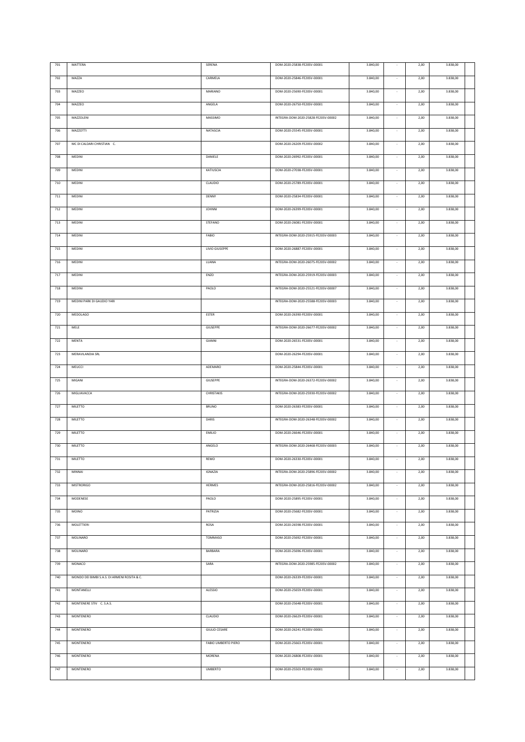| 701     | MATTERA                                      | SERENA               | DOM-2020-25838-FE20SV-00001         | 3.840,00 |                          | 2,00 | 3.838,00 |  |
|---------|----------------------------------------------|----------------------|-------------------------------------|----------|--------------------------|------|----------|--|
| 702     | MAZZA                                        | CARMELA              | DOM-2020-25846-FE20SV-00001         | 3.840,00 |                          | 2,00 | 3.838,00 |  |
| 703     | MAZZEO                                       | MARIANO              | DOM-2020-25690-FE20SV-00001         | 3.840,00 |                          | 2,00 | 3.838,00 |  |
|         | MAZZEO                                       | ANGELA               | DOM-2020-26750-FE20SV-00001         | 3.840,00 |                          | 2,00 | 3.838,00 |  |
| 704     |                                              |                      |                                     |          |                          |      |          |  |
| 705     | MAZZOLENI                                    | MASSIMO              | INTEGRA-DOM-2020-25828-FE20SV-00002 | 3.840,00 | ×,                       | 2,00 | 3.838,00 |  |
| 706     | MAZZOTTI                                     | NATASCIA             | DOM-2020-25545-FE20SV-00001         | 3.840,00 |                          | 2,00 | 3.838,00 |  |
| 707     | MC DI CALDARI CHRISTIAN C.                   |                      | DOM-2020-26209-FE20SV-00002         | 3.840,00 | $\sim$                   | 2,00 | 3.838,00 |  |
| 708     | MEDINI                                       | DANIELE              | DOM-2020-26992-FE20SV-00001         | 3.840,00 |                          | 2,00 | 3.838,00 |  |
| 709     | MEDINI                                       | KATIUSCIA            | DOM-2020-27038-FE20SV-00001         | 3.840,00 | $\sim$                   | 2,00 | 3.838,00 |  |
| 710     | MEDINI                                       | CLAUDIO              | DOM-2020-25789-FE20SV-00001         | 3.840,00 | $\sim$                   | 2,00 | 3.838,00 |  |
|         |                                              |                      |                                     |          |                          |      |          |  |
| $711\,$ | MEDINI                                       | DENNY                | DOM-2020-25834-FE20SV-00001         | 3.840,00 | $\sim$                   | 2,00 | 3.838,00 |  |
| 712     | MEDINI                                       | <b>JOHNNI</b>        | DOM-2020-26399-FE20SV-00001         | 3.840,00 |                          | 2,00 | 3.838,00 |  |
| 713     | MEDINI                                       | <b>STEFANO</b>       | DOM-2020-26081-FE20SV-00001         | 3.840,00 |                          | 2,00 | 3.838,00 |  |
| 714     | MEDINI                                       | FABIO                | INTEGRA-DOM-2020-25915-FE20SV-00003 | 3.840,00 |                          | 2,00 | 3.838,00 |  |
| 715     | MEDINI                                       | LIVIO GIUSEPPE       | DOM-2020-26887-FE20SV-00001         | 3.840,00 | $\sim$                   | 2,00 | 3.838,00 |  |
| 716     | MEDINI                                       | LUANA                | INTEGRA-DOM-2020-26075-FE20SV-00002 | 3.840,00 | $\sim$                   | 2,00 | 3.838,00 |  |
|         |                                              |                      |                                     |          |                          |      |          |  |
| 717     | MEDINI                                       | ENZO                 | INTEGRA-DOM-2020-25919-FE20SV-00003 | 3.840,00 |                          | 2,00 | 3.838,00 |  |
| 718     | MEDINI                                       | PAOLO                | INTEGRA-DOM-2020-25521-FE20SV-00007 | 3.840,00 |                          | 2,00 | 3.838,00 |  |
| 719     | MEDINI PARK DI GAUDIO YARI                   |                      | INTEGRA-DOM-2020-25588-FE20SV-00003 | 3.840,00 | $\cdot$                  | 2,00 | 3.838,00 |  |
| 720     | <b>MEDOLAGO</b>                              | <b>ESTER</b>         | DOM-2020-26390-FE20SV-00001         | 3.840,00 |                          | 2,00 | 3.838,00 |  |
| 721     | MELE                                         | GIUSEPPE             | INTEGRA-DOM-2020-26677-FE20SV-00002 | 3.840,00 | $\overline{\phantom{a}}$ | 2,00 | 3.838,00 |  |
| 722     | MENTA                                        | GIANNI               | DOM-2020-26531-FE20SV-00001         | 3.840,00 |                          | 2,00 | 3.838,00 |  |
|         |                                              |                      |                                     |          |                          |      |          |  |
| 723     | MERAVILANDIA SRL                             |                      | DOM-2020-26294-FE20SV-00001         | 3.840,00 |                          | 2,00 | 3.838,00 |  |
| 724     | MEUCCI                                       | ADEMARO              | DOM-2020-25844-FE20SV-00001         | 3.840,00 |                          | 2,00 | 3.838,00 |  |
| 725     | MIGANI                                       | GIUSEPPE             | INTEGRA-DOM-2020-26372-FE20SV-00002 | 3.840,00 |                          | 2,00 | 3.838,00 |  |
| 726     | MIGLIAVACCA                                  | CHRISTAKIS           | INTEGRA-DOM-2020-25930-FE20SV-00002 | 3.840,00 |                          | 2,00 | 3.838,00 |  |
| 727     | MILETTO                                      | <b>BRUNO</b>         | DOM-2020-26383-FE20SV-00001         | 3.840,00 |                          | 2,00 | 3.838,00 |  |
| 728     | MILETTO                                      | DARIS                | INTEGRA-DOM-2020-26348-FE20SV-00002 | 3.840,00 |                          | 2,00 | 3.838,00 |  |
| 729     | MILETTO                                      | <b>EMILIO</b>        | DOM-2020-26646-FE20SV-00001         | 3.840,00 |                          | 2,00 | 3.838,00 |  |
|         |                                              |                      |                                     |          |                          |      |          |  |
| 730     | MILETTO                                      | ANGELO               | INTEGRA-DOM-2020-26468-FE20SV-00003 | 3.840,00 |                          | 2,00 | 3.838,00 |  |
| 731     | MILETTO                                      | REMO                 | DOM-2020-26330-FE20SV-00001         | 3.840,00 | $\sim$                   | 2,00 | 3.838,00 |  |
| 732     | MINNAI                                       | IGNAZIA              | INTEGRA-DOM-2020-25896-FE20SV-00002 | 3.840,00 |                          | 2,00 | 3.838,00 |  |
| 733     | <b>MISTRORIGO</b>                            | HERMES               | INTEGRA-DOM-2020-25816-FE20SV-00002 | 3.840,00 | ×                        | 2,00 | 3.838,00 |  |
| 734     | MODENESE                                     | PAOLO                | DOM-2020-25895-FE20SV-00001         | 3.840,00 |                          | 2,00 | 3.838,00 |  |
| 735     | <b>MOINO</b>                                 | PATRIZIA             | DOM-2020-25682-FE20SV-00001         | 3.840,00 |                          | 2,00 | 3.838,00 |  |
| 736     | <b>MOLETTIERI</b>                            | ROSA                 | DOM-2020-26598-FE20SV-00001         | 3.840,00 |                          | 2,00 | 3.838,00 |  |
|         |                                              |                      |                                     |          |                          |      |          |  |
| 737     | MOLINARO                                     | <b>TOMMASO</b>       | DOM-2020-25692-FE20SV-00001         | 3.840,00 | $\epsilon$               | 2,00 | 3.838,00 |  |
| 738     | MOLINARO                                     | BARBARA              | DOM-2020-25696-FE20SV-00001         | 3.840,00 | $\sim$                   | 2,00 | 3.838,00 |  |
| 739     | MONACO                                       | SARA                 | INTEGRA-DOM-2020-25985-FE20SV-00002 | 3.840,00 |                          | 2,00 | 3.838,00 |  |
| 740     | MONDO DEI BIMBI S.A.S. DI ARMENI ROSITA & C. |                      | DOM-2020-26339-FE20SV-00001         | 3.840,00 |                          | 2,00 | 3.838,00 |  |
| 741     | MONTANELLI                                   | ALESSIO              | DOM-2020-25659-FE20SV-00001         | 3.840,00 |                          | 2,00 | 3.838,00 |  |
| 742     | MONTENERE STIV C.S.A.S.                      |                      | DOM-2020-25648-FE20SV-00001         | 3.840,00 | $\sim$                   | 2,00 | 3.838,00 |  |
|         | MONTENERO                                    |                      |                                     |          | $\sim$                   |      |          |  |
| 743     |                                              | CLAUDIO              | DOM-2020-26629-FE20SV-00001         | 3.840,00 |                          | 2,00 | 3.838,00 |  |
| 744     | MONTENERO                                    | <b>GIULIO CESARE</b> | DOM-2020-26241-FE20SV-00001         | 3.840,00 | $\sim$                   | 2,00 | 3.838,00 |  |
| 745     | MONTENERO                                    | FABIO UMBERTO PIERO  | DOM-2020-25663-FE20SV-00001         | 3.840,00 | $\sim$                   | 2,00 | 3.838,00 |  |
| 746     | MONTENERO                                    | MORENA               | DOM-2020-26808-FE20SV-00001         | 3.840,00 | $\sim$                   | 2,00 | 3.838,00 |  |
| 747     | MONTENERO                                    | <b>UMBERTO</b>       | DOM-2020-25503-FE20SV-00001         | 3.840,00 | $\sim$                   | 2,00 | 3.838,00 |  |
|         |                                              |                      |                                     |          |                          |      |          |  |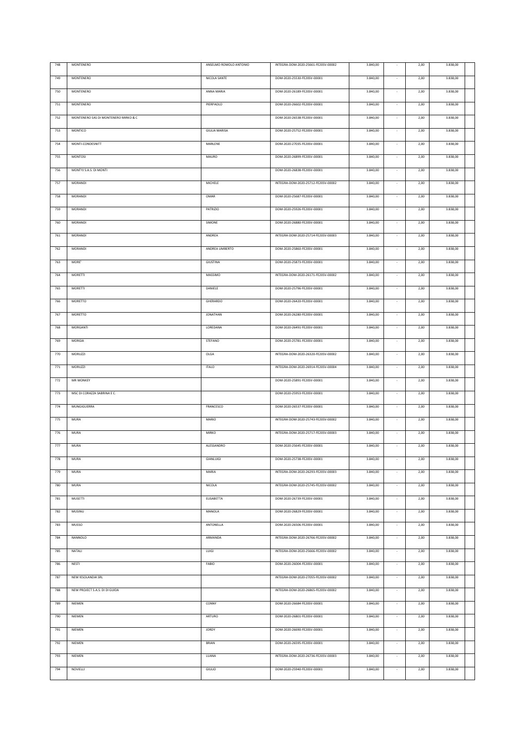| 748 | MONTENERO                            | ANSELMO ROMOLO ANTONIO | INTEGRA-DOM-2020-25661-FE20SV-00002 | 3.840,00 |                          | 2,00 | 3.838,00 |  |
|-----|--------------------------------------|------------------------|-------------------------------------|----------|--------------------------|------|----------|--|
| 749 | MONTENERO                            | NICOLA SANTE           | DOM-2020-25530-FE20SV-00001         | 3.840,00 |                          | 2,00 | 3.838,00 |  |
|     |                                      |                        |                                     |          |                          |      |          |  |
| 750 | MONTENERO                            | ANNA MARIA             | DOM-2020-26189-FE20SV-00001         | 3.840,00 | $\sim$                   | 2,00 | 3.838,00 |  |
| 751 | MONTENERO                            | PIERPAOLO              | DOM-2020-26602-FE20SV-00001         | 3.840,00 |                          | 2,00 | 3.838,00 |  |
| 752 | MONTENERO SAS DI MONTENERO MIRKO & C |                        | DOM-2020-26538-FE20SV-00001         | 3.840,00 |                          | 2,00 | 3.838,00 |  |
|     |                                      |                        |                                     |          |                          |      |          |  |
| 753 | MONTICO                              | <b>GIULIA MARISA</b>   | DOM-2020-25752-FE20SV-00001         | 3.840,00 |                          | 2,00 | 3.838,00 |  |
| 754 | MONTI-CONDESNITT                     | MARLENE                | DOM-2020-27035-FE20SV-00001         | 3.840,00 | $\sim$                   | 2,00 | 3.838,00 |  |
| 755 | <b>MONTOSI</b>                       | MAURO                  | DOM-2020-26899-FE20SV-00001         | 3.840,00 |                          | 2,00 | 3.838,00 |  |
|     |                                      |                        |                                     |          |                          |      |          |  |
| 756 | MONTYJ S.A.S. DI MONTI               |                        | DOM-2020-26838-FE20SV-00001         | 3.840,00 | $\sim$                   | 2,00 | 3.838,00 |  |
| 757 | MORANDI                              | MICHELE                | INTEGRA-DOM-2020-25712-FE20SV-00002 | 3.840,00 | $\overline{\phantom{a}}$ | 2,00 | 3.838,00 |  |
| 758 | MORANDI                              | OMAR                   | DOM-2020-25687-FE20SV-00001         | 3.840,00 | $\sim$                   | 2,00 | 3.838,00 |  |
|     |                                      |                        |                                     |          |                          |      |          |  |
| 759 | MORANDI                              | PATRIZIO               | DOM-2020-25926-FE20SV-00001         | 3.840,00 |                          | 2,00 | 3.838,00 |  |
| 760 | MORANDI                              | SIMONE                 | DOM-2020-26880-FE20SV-00001         | 3.840,00 | $\sim$                   | 2,00 | 3.838,00 |  |
| 761 | MORANDI                              | ANDREA                 | INTEGRA-DOM-2020-25714-FE20SV-00003 | 3.840,00 |                          | 2,00 | 3.838,00 |  |
| 762 | MORANDI                              | ANDREA UMBERTO         | DOM-2020-25860-FE20SV-00001         | 3.840,00 | $\overline{\phantom{a}}$ | 2,00 | 3.838,00 |  |
|     |                                      |                        |                                     |          |                          |      |          |  |
| 763 | MORE'                                | GIUSTINA               | DOM-2020-25873-FE20SV-00001         | 3.840,00 |                          | 2,00 | 3.838,00 |  |
| 764 | <b>MORETTI</b>                       | MASSIMO                | INTEGRA-DOM-2020-26171-FE20SV-00002 | 3.840,00 |                          | 2,00 | 3.838,00 |  |
| 765 | <b>MORETTI</b>                       | DANIELE                | DOM-2020-25796-FE20SV-00001         | 3.840,00 |                          | 2,00 | 3.838,00 |  |
|     |                                      |                        |                                     |          |                          |      |          |  |
| 766 | MORETTO                              | GHERARDO               | DOM-2020-26420-FE20SV-00001         | 3.840,00 |                          | 2,00 | 3.838,00 |  |
| 767 | MORETTO                              | <b>JONATHAN</b>        | DOM-2020-26280-FE20SV-00001         | 3.840,00 |                          | 2,00 | 3.838,00 |  |
| 768 | MORGANTI                             | LOREDANA               | DOM-2020-26491-FE20SV-00001         | 3.840,00 |                          | 2,00 | 3.838,00 |  |
|     |                                      |                        |                                     |          |                          |      |          |  |
| 769 | MORGIA                               | STEFANO                | DOM-2020-25781-FE20SV-00001         | 3.840,00 |                          | 2,00 | 3.838,00 |  |
| 770 | <b>MORUZZI</b>                       | OLGA                   | INTEGRA-DOM-2020-26320-FE20SV-00002 | 3.840,00 |                          | 2,00 | 3.838,00 |  |
| 771 | <b>MORUZZI</b>                       | <b>ITALO</b>           | INTEGRA-DOM-2020-26914-FE20SV-00004 | 3.840,00 |                          | 2,00 | 3.838,00 |  |
| 772 | <b>MR MONKEY</b>                     |                        | DOM-2020-25891-FE20SV-00001         | 3.840,00 |                          | 2,00 | 3.838,00 |  |
|     |                                      |                        |                                     |          |                          |      |          |  |
| 773 | MSC DI CORAZZA SABRINA E C.          |                        | DOM-2020-25953-FE20SV-00001         | 3.840,00 | $\sim$                   | 2,00 | 3.838,00 |  |
| 774 | MUNGIGUERRA                          | FRANCESCO              | DOM-2020-26537-FE20SV-00001         | 3.840,00 |                          | 2,00 | 3.838,00 |  |
| 775 | <b>MURA</b>                          | <b>MARIO</b>           | INTEGRA-DOM-2020-25743-FE20SV-00002 | 3.840,00 |                          | 2,00 | 3.838,00 |  |
|     |                                      |                        |                                     |          |                          |      |          |  |
| 776 | <b>MURA</b>                          | <b>MIRKO</b>           | INTEGRA-DOM-2020-25717-FE20SV-00003 | 3.840,00 |                          | 2,00 | 3.838,00 |  |
| 777 | <b>MURA</b>                          | ALESSANDRO             | DOM-2020-25645-FE20SV-00001         | 3.840,00 |                          | 2,00 | 3.838,00 |  |
| 778 | MURA                                 | GIANLUIGI              | DOM-2020-25738-FE20SV-00001         | 3.840,00 |                          | 2,00 | 3.838,00 |  |
| 779 | <b>MURA</b>                          | MARIA                  | INTEGRA-DOM-2020-26293-FE20SV-00003 | 3.840,00 | $\sim$                   | 2,00 | 3.838,00 |  |
|     |                                      |                        |                                     |          |                          |      |          |  |
| 780 | <b>MURA</b>                          | NICOLA                 | INTEGRA-DOM-2020-25745-FE20SV-00002 | 3.840,00 | ×,                       | 2,00 | 3.838,00 |  |
| 781 | <b>MUSETTI</b>                       | <b>ELISABETTA</b>      | DOM-2020-26739-FE20SV-00001         | 3.840,00 |                          | 2,00 | 3.838,00 |  |
| 782 | MUSINU                               | MANOLA                 | DOM-2020-26829-FE20SV-00001         | 3.840,00 | $\sim$                   | 2,00 | 3.838,00 |  |
|     |                                      |                        |                                     |          |                          |      |          |  |
| 783 | MUSSO                                | ANTONELLA              | DOM-2020-26506-FE20SV-00001         | 3.840,00 | $\cdot$                  | 2,00 | 3.838,00 |  |
| 784 | NANNOLO                              | ARMANDA                | INTEGRA-DOM-2020-26766-FE20SV-00002 | 3.840,00 | $\sim$                   | 2,00 | 3.838,00 |  |
| 785 | NATALI                               | <b>LUIGI</b>           | INTEGRA-DOM-2020-25666-FE20SV-00002 | 3.840,00 | $\sim$                   | 2,00 | 3.838,00 |  |
| 786 | NESTI                                | FABIO                  | DOM-2020-26004-FE20SV-00001         | 3.840,00 | $\sim$                   | 2,00 | 3.838,00 |  |
|     |                                      |                        |                                     |          |                          |      |          |  |
| 787 | NEW IESOLANDIA SRL                   |                        | INTEGRA-DOM-2020-27055-FE20SV-00002 | 3.840,00 | $\sim$                   | 2,00 | 3.838,00 |  |
| 788 | NEW PROJECT S.A.S. DI DI GUIDA       |                        | INTEGRA-DOM-2020-26865-FE20SV-00002 | 3.840,00 | $\sim$                   | 2,00 | 3.838,00 |  |
| 789 | NIEMEN                               | CONNY                  | DOM-2020-26684-FE20SV-00001         | 3.840,00 | $\sim$                   | 2,00 | 3.838,00 |  |
|     |                                      |                        |                                     |          |                          |      |          |  |
| 790 | NIEMEN                               | ARTURO                 | DOM-2020-26801-FE20SV-00001         | 3.840,00 | $\sim$                   | 2,00 | 3.838,00 |  |
| 791 | NIEMEN                               | <b>JORDY</b>           | DOM-2020-26690-FE20SV-00001         | 3.840,00 | $\sim$                   | 2,00 | 3.838,00 |  |
| 792 | NIEMEN                               | <b>BRIAN</b>           | DOM-2020-26595-FE20SV-00001         | 3.840,00 | $\overline{\phantom{a}}$ | 2,00 | 3.838,00 |  |
|     |                                      |                        |                                     |          |                          |      |          |  |
| 793 | NIEMEN                               | LUANA                  | INTEGRA-DOM-2020-26736-FE20SV-00003 | 3.840,00 | $\sim$                   | 2,00 | 3.838,00 |  |
| 794 | NOVIELLI                             | <b>GIULIO</b>          | DOM-2020-25940-FE20SV-00001         | 3.840,00 | $\sim$                   | 2,00 | 3.838,00 |  |
|     |                                      |                        |                                     |          |                          |      |          |  |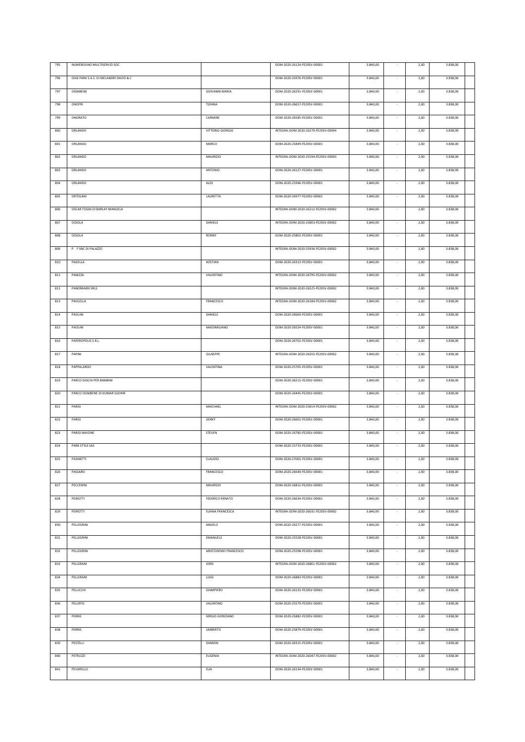| 795 | NUMEROUNO MULTISERVIZI SOC.            |                        | DOM-2020-26124-FE20SV-00001         | 3.840,00 |                          | 2,00 | 3.838,00 |  |
|-----|----------------------------------------|------------------------|-------------------------------------|----------|--------------------------|------|----------|--|
| 796 | OASI PARK S.A.S. DI MELANDRI DAVID & C |                        | DOM-2020-25976-FE20SV-00001         | 3.840,00 |                          | 2,00 | 3.838,00 |  |
| 797 | OGNIBENE                               | <b>GIOVANNI MARIA</b>  | DOM-2020-26291-FE20SV-00001         | 3.840,00 |                          | 2,00 | 3.838,00 |  |
| 798 | ONOFRI                                 | TIZIANA                | DOM-2020-26657-FE20SV-00001         | 3.840,00 |                          | 2,00 | 3.838,00 |  |
| 799 | ONORATO                                | CARMINE                | DOM-2020-26585-FE20SV-00001         | 3.840,00 | ×,                       | 2,00 | 3.838,00 |  |
|     |                                        |                        |                                     |          |                          |      |          |  |
| 800 | ORLANDO                                | VITTORIO GIORGIO       | INTEGRA-DOM-2020-26270-FE20SV-00004 | 3.840,00 |                          | 2,00 | 3.838,00 |  |
| 801 | ORLANDO                                | MARCO                  | DOM-2020-25849-FE20SV-00001         | 3.840,00 | $\sim$                   | 2,00 | 3.838,00 |  |
| 802 | ORLANDO                                | <b>MAURIZIO</b>        | INTEGRA-DOM-2020-25594-FE20SV-00003 | 3.840,00 |                          | 2,00 | 3.838,00 |  |
| 803 | ORLANDO                                | ANTONIO                | DOM-2020-26127-FE20SV-00001         | 3.840,00 | $\sim$                   | 2,00 | 3.838,00 |  |
| 804 | ORLANDO                                | ALEX                   | DOM-2020-25946-FE20SV-00001         | 3.840,00 | $\sim$                   | 2,00 | 3.838,00 |  |
| 805 | ORTOLANI                               | LAURETTA               | DOM-2020-26977-FE20SV-00001         | 3.840,00 | $\sim$                   | 2,00 | 3.838,00 |  |
| 806 | OSCAR TOGNI DI BARLAY MANUELA          |                        | INTEGRA-DOM-2020-26212-FE20SV-00002 | 3.840,00 |                          | 2,00 | 3.838,00 |  |
| 807 | OSSOLA                                 | DANIELE                | INTEGRA-DOM-2020-25803-FE20SV-00002 | 3.840,00 |                          | 2,00 | 3.838,00 |  |
| 808 | <b>OSSOLA</b>                          | <b>RONNY</b>           | DOM-2020-25801-FE20SV-00001         | 3.840,00 |                          | 2,00 | 3.838,00 |  |
| 809 | P F SNC DI PALAZZO                     |                        | INTEGRA-DOM-2020-25936-FE20SV-00002 | 3.840,00 | $\sim$                   | 2,00 | 3.838,00 |  |
|     |                                        |                        |                                     |          |                          |      |          |  |
| 810 | PAGELLA                                | KOSTIAN                | DOM-2020-26313-FE20SV-00001         | 3.840,00 | $\overline{\phantom{a}}$ | 2,00 | 3.838,00 |  |
| 811 | PANIZZA                                | VALENTINO              | INTEGRA-DOM-2020-26795-FE20SV-00002 | 3.840,00 |                          | 2,00 | 3.838,00 |  |
| 812 | PANORAMIX SRLS                         |                        | INTEGRA-DOM-2020-26525-FE20SV-00002 | 3.840,00 |                          | 2,00 | 3.838,00 |  |
| 813 | PAOLELLA                               | FRANCESCO              | INTEGRA-DOM-2020-26184-FE20SV-00002 | 3.840,00 | $\overline{\phantom{a}}$ | 2,00 | 3.838,00 |  |
| 814 | PAOLINI                                | DANIELE                | DOM-2020-26600-FE20SV-00001         | 3.840,00 |                          | 2,00 | 3.838,00 |  |
| 815 | PAOLINI                                | MASSIMILIANO           | DOM-2020-26524-FE20SV-00001         | 3.840,00 | $\overline{\phantom{a}}$ | 2,00 | 3.838,00 |  |
| 816 | PAPEROPOLIS S.R.L.                     |                        | DOM-2020-26702-FE20SV-00001         | 3.840,00 |                          | 2,00 | 3.838,00 |  |
| 817 | PAPINI                                 | GIUSEPPE               | INTEGRA-DOM-2020-26355-FE20SV-00002 | 3.840,00 |                          | 2,00 | 3.838,00 |  |
| 818 | PAPPALARDO                             | VALENTINA              | DOM-2020-25765-FE20SV-00001         | 3.840,00 |                          | 2,00 | 3.838,00 |  |
| 819 | PARCO GIOCHI PER BAMBINI               |                        | DOM-2020-26215-FE20SV-00001         |          |                          |      | 3.838,00 |  |
|     |                                        |                        |                                     | 3.840,00 |                          | 2,00 |          |  |
| 820 | PARCO OGNIBENE DI KUMAR SUDHIR         |                        | DOM-2020-26445-FE20SV-00001         | 3.840,00 |                          | 2,00 | 3.838,00 |  |
| 821 | PARISI                                 | MAICHAEL               | INTEGRA-DOM-2020-25814-FE20SV-00002 | 3.840,00 |                          | 2,00 | 3.838,00 |  |
| 822 | PARISI                                 | GERKY                  | DOM-2020-26601-FE20SV-00001         | 3.840,00 |                          | 2,00 | 3.838,00 |  |
| 823 | PARISI NAVONE                          | STEVEN                 | DOM-2020-26785-FE20SV-00001         | 3.840,00 |                          | 2,00 | 3.838,00 |  |
| 824 | PARK STYLE SAS                         |                        | DOM-2020-25733-FE20SV-00001         | 3.840,00 |                          | 2,00 | 3.838,00 |  |
| 825 | PASINETTI                              | CLAUDIO                | DOM-2020-27065-FE20SV-00001         | 3.840,00 | $\sim$                   | 2,00 | 3.838,00 |  |
| 826 | PASSARO                                | FRANCESCO              | DOM-2020-26640-FE20SV-00001         | 3.840,00 |                          | 2,00 | 3.838,00 |  |
| 827 | PECCENINI                              | <b>MAURIZIO</b>        | DOM-2020-26812-FE20SV-00001         | 3.840,00 |                          | 2,00 | 3.838,00 |  |
| 828 | PEIROTTI                               | <b>FEDERICO RENATO</b> | DOM-2020-26634-FE20SV-00001         | 3.840,00 |                          | 2,00 | 3.838,00 |  |
| 829 | PEIROTTI                               | ELIANA FRANCESCA       | INTEGRA-DOM-2020-26031-FE20SV-00002 | 3.840,00 |                          | 2,00 | 3.838,00 |  |
|     |                                        |                        |                                     |          |                          |      |          |  |
| 830 | PELLEGRINI                             | ANGELO                 | DOM-2020-26277-FE20SV-00001         | 3.840,00 |                          | 2,00 | 3.838,00 |  |
| 831 | PELLEGRINI                             | EMANUELE               | DOM-2020-25528-FE20SV-00001         | 3.840,00 |                          | 2,00 | 3.838,00 |  |
| 832 | PELLEGRINI                             | ARISTODEMO FRANCESCO   | DOM-2020-25598-FE20SV-00001         | 3.840,00 | $\sim$                   | 2,00 | 3.838,00 |  |
| 833 | PELLERANI                              | <b>IORIS</b>           | INTEGRA-DOM-2020-26861-FE20SV-00002 | 3.840,00 |                          | 2,00 | 3.838,00 |  |
| 834 | PELLERANI                              | LUIGI                  | DOM-2020-26883-FE20SV-00001         | 3.840,00 |                          | 2,00 | 3.838,00 |  |
| 835 | PELUCCHI                               | GIAMPIERO              | DOM-2020-26131-FE20SV-00001         | 3.840,00 |                          | 2,00 | 3.838,00 |  |
| 836 | PELUFFO                                | VALENTINO              | DOM-2020-25579-FE20SV-00001         | 3.840,00 | $\sim$                   | 2,00 | 3.838,00 |  |
| 837 | PERRIS                                 | SERGIO GORIZIANO       | DOM-2020-25882-FE20SV-00001         | 3.840,00 | $\sim$                   | 2,00 | 3.838,00 |  |
| 838 | PERRIS                                 | <b>UMBERTO</b>         | DOM-2020-25879-FE20SV-00001         | 3.840,00 | $\sim$                   | 2,00 | 3.838,00 |  |
| 839 | PESTELLI                               | SHARON                 | DOM-2020-26315-FE20SV-00001         | 3.840,00 | $\sim$                   | 2,00 | 3.838,00 |  |
|     |                                        |                        |                                     |          |                          |      |          |  |
| 840 | PETRUZZI                               | <b>EUGENIA</b>         | INTEGRA-DOM-2020-26047-FE20SV-00002 | 3.840,00 | $\sim$                   | 2,00 | 3.838,00 |  |
| 841 | PEVARELLO                              | ELIA                   | DOM-2020-26134-FE20SV-00001         | 3.840,00 | $\sim$                   | 2,00 | 3.838,00 |  |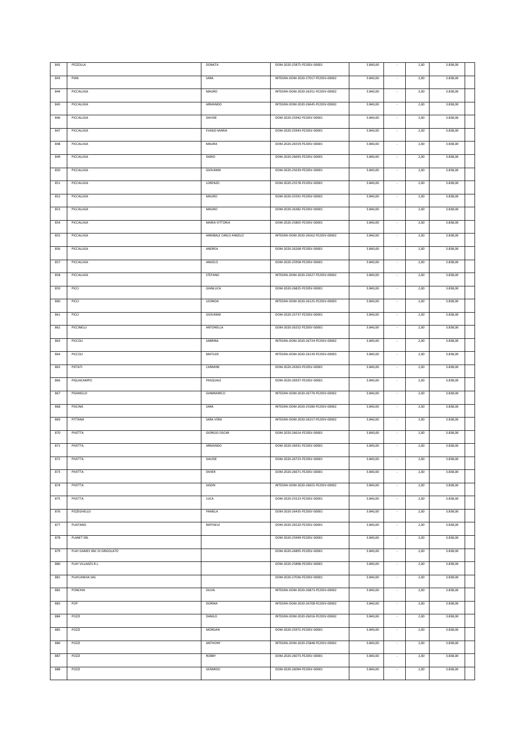| 842 | PEZZOLLA                    | DONATA                | DOM-2020-25875-FE20SV-00001         | 3.840,00 |                          | 2,00 | 3.838,00 |  |
|-----|-----------------------------|-----------------------|-------------------------------------|----------|--------------------------|------|----------|--|
|     |                             |                       |                                     |          |                          |      |          |  |
| 843 | PIAN                        | SARA                  | INTEGRA-DOM-2020-27017-FE20SV-00002 | 3.840,00 |                          | 2,00 | 3.838,00 |  |
| 844 | PICCALUGA                   | MAURO                 | INTEGRA-DOM-2020-26351-FE20SV-00002 | 3.840,00 | $\sim$                   | 2,00 | 3.838,00 |  |
|     |                             |                       |                                     |          |                          |      |          |  |
| 845 | PICCALUGA                   | ARMANDO               | INTEGRA-DOM-2020-26645-FE20SV-00002 | 3.840,00 |                          | 2,00 | 3.838,00 |  |
| 846 | PICCALUGA                   | DAVIDE                | DOM-2020-25942-FE20SV-00001         | 3.840,00 |                          | 2,00 | 3.838,00 |  |
|     |                             |                       |                                     |          |                          |      |          |  |
| 847 | PICCALUGA                   | EVASIO MARIA          | DOM-2020-25943-FE20SV-00001         | 3.840,00 |                          | 2,00 | 3.838,00 |  |
| 848 | PICCALUGA                   | MAURA                 | DOM-2020-26559-FE20SV-00001         | 3.840,00 | $\sim$                   | 2,00 | 3.838,00 |  |
|     |                             |                       |                                     |          |                          |      |          |  |
| 849 | PICCALUGA                   | DARIO                 | DOM-2020-26693-FE20SV-00001         | 3.840,00 |                          | 2,00 | 3.838,00 |  |
| 850 | PICCALUGA                   | GIOVANNI              | DOM-2020-25639-FE20SV-00001         | 3.840,00 | $\sim$                   | 2,00 | 3.838,00 |  |
|     |                             |                       |                                     |          |                          |      |          |  |
| 851 | PICCALUGA                   | LORENZO               | DOM-2020-25578-FE20SV-00001         | 3.840,00 | $\sim$                   | 2,00 | 3.838,00 |  |
| 852 | PICCALUGA                   | MAURO                 | DOM-2020-25591-FE20SV-00001         | 3.840,00 | $\sim$                   | 2,00 | 3.838,00 |  |
|     |                             |                       |                                     |          |                          |      |          |  |
| 853 | PICCALUGA                   | MAURO                 | DOM-2020-26382-FE20SV-00001         | 3.840,00 |                          | 2,00 | 3.838,00 |  |
| 854 | PICCALUGA                   | MARIA VITTORIA        | DOM-2020-25805-FE20SV-00001         | 3.840,00 | $\sim$                   | 2,00 | 3.838,00 |  |
|     |                             |                       |                                     |          |                          |      |          |  |
| 855 | PICCALUGA                   | ANNIBALE CARLO ANGELO | INTEGRA-DOM-2020-26562-FE20SV-00002 | 3.840,00 |                          | 2,00 | 3.838,00 |  |
| 856 | PICCALUGA                   | ANDREA                | DOM-2020-26268-FE20SV-00001         | 3.840,00 | $\overline{\phantom{a}}$ | 2,00 | 3.838,00 |  |
|     |                             |                       |                                     |          |                          |      |          |  |
| 857 | PICCALUGA                   | ANGELO                | DOM-2020-25958-FE20SV-00001         | 3.840,00 |                          | 2,00 | 3.838,00 |  |
| 858 | PICCALUGA                   | STEFANO               | INTEGRA-DOM-2020-25627-FE20SV-00002 | 3.840,00 |                          | 2,00 | 3.838,00 |  |
|     |                             |                       |                                     |          |                          |      |          |  |
| 859 | PICCI                       | GIANLUCA              | DOM-2020-26825-FE20SV-00001         | 3.840,00 |                          | 2,00 | 3.838,00 |  |
| 860 | PICCI                       | LEONIDA               | INTEGRA-DOM-2020-26125-FE20SV-00003 | 3.840,00 |                          | 2,00 | 3.838,00 |  |
|     |                             |                       |                                     |          |                          |      |          |  |
| 861 | PICCI                       | GIOVANNI              | DOM-2020-25737-FE20SV-00001         | 3.840,00 |                          | 2,00 | 3.838,00 |  |
| 862 | PICCINELLI                  | ANTONELLA             | DOM-2020-26252-FE20SV-00001         | 3.840,00 |                          | 2,00 | 3.838,00 |  |
|     | PICCOLI                     |                       |                                     |          |                          | 2,00 |          |  |
| 863 |                             | SABRINA               | INTEGRA-DOM-2020-26724-FE20SV-00002 | 3.840,00 |                          |      | 3.838,00 |  |
| 864 | PICCOLI                     | MATILDE               | INTEGRA-DOM-2020-26139-FE20SV-00003 | 3.840,00 |                          | 2,00 | 3.838,00 |  |
|     | PIETATI                     | CARMINE               | DOM-2020-26363-FE20SV-00001         | 3.840,00 |                          | 2,00 | 3.838,00 |  |
| 865 |                             |                       |                                     |          |                          |      |          |  |
| 866 | PIGLIACAMPO                 | PASQUALE              | DOM-2020-26937-FE20SV-00001         | 3.840,00 |                          | 2,00 | 3.838,00 |  |
| 867 | PISANELLO                   | GIAMMARCO             | INTEGRA-DOM-2020-26770-FE20SV-00002 | 3.840,00 | $\sim$                   | 2,00 | 3.838,00 |  |
|     |                             |                       |                                     |          |                          |      |          |  |
| 868 | PISCINA                     | SARA                  | INTEGRA-DOM-2020-25580-FE20SV-00002 | 3.840,00 |                          | 2,00 | 3.838,00 |  |
| 869 | PITTANA                     | SARA VERA             | INTEGRA-DOM-2020-26257-FE20SV-00002 | 3.840,00 |                          | 2,00 | 3.838,00 |  |
|     |                             |                       |                                     |          |                          |      |          |  |
| 870 | PIVETTA                     | <b>GIORGIO OSCAR</b>  | DOM-2020-26614-FE20SV-00001         | 3.840,00 |                          | 2,00 | 3.838,00 |  |
| 871 | PIVETTA                     | ARMANDO               | DOM-2020-26931-FE20SV-00001         | 3.840,00 |                          | 2,00 | 3.838,00 |  |
|     |                             |                       |                                     |          |                          |      |          |  |
| 872 | PIVETTA                     | DAVIDE                | DOM-2020-26723-FE20SV-00001         | 3.840,00 |                          | 2,00 | 3.838,00 |  |
| 873 | PIVETTA                     | <b>DIVIER</b>         | DOM-2020-26671-FE20SV-00001         | 3.840,00 | $\sim$                   | 2,00 | 3.838,00 |  |
|     |                             |                       |                                     |          |                          |      |          |  |
| 874 | PIVETTA                     | <b>JASON</b>          | INTEGRA-DOM-2020-26655-FE20SV-00002 | 3.840,00 | $\sim$                   | 2,00 | 3.838,00 |  |
| 875 | PIVETTA                     | <b>LUCA</b>           | DOM-2020-25523-FE20SV-00001         | 3.840,00 |                          | 2,00 | 3.838,00 |  |
|     |                             |                       |                                     |          |                          |      |          |  |
| 876 | PIZZEGHELLO                 | PAMELA                | DOM-2020-26435-FE20SV-00001         | 3.840,00 | $\sim$                   | 2,00 | 3.838,00 |  |
| 877 | <b>PLAITANO</b>             | RAFFAELE              | DOM-2020-26520-FE20SV-00001         | 3.840,00 | $\cdot$                  | 2,00 | 3.838,00 |  |
|     |                             |                       |                                     |          |                          |      |          |  |
| 878 | PLANET SRL                  |                       | DOM-2020-25949-FE20SV-00001         | 3.840,00 | $\sim$                   | 2,00 | 3.838,00 |  |
| 879 | PLAY GAMES SNC DI GRIGOLATO |                       | DOM-2020-26895-FE20SV-00001         | 3.840,00 | $\sim$                   | 2,00 | 3.838,00 |  |
|     |                             |                       |                                     |          |                          |      |          |  |
| 880 | PLAY VILLAGES.R.L.          |                       | DOM-2020-25898-FE20SV-00001         | 3.840,00 | $\sim$                   | 2,00 | 3.838,00 |  |
| 881 | PLAYLANDIA SAS              |                       | DOM-2020-27036-FE20SV-00001         | 3.840,00 | $\sim$                   | 2,00 | 3.838,00 |  |
|     |                             |                       |                                     |          |                          |      |          |  |
| 882 | PONCHIA                     | SILVIA                | INTEGRA-DOM-2020-26873-FE20SV-00002 | 3.840,00 | $\sim$                   | 2,00 | 3.838,00 |  |
| 883 | POP                         | DORINA                | INTEGRA-DOM-2020-26708-FE20SV-00002 | 3.840,00 | $\sim$                   | 2,00 | 3.838,00 |  |
|     |                             |                       |                                     |          |                          |      |          |  |
| 884 | POZZI                       | DANILO                | INTEGRA-DOM-2020-26016-FE20SV-00002 | 3.840,00 | $\sim$                   | 2,00 | 3.838,00 |  |
| 885 | POZZI                       | MORGAN                | DOM-2020-25972-FE20SV-00001         | 3.840,00 | $\sim$                   | 2,00 | 3.838,00 |  |
|     |                             |                       |                                     |          |                          |      |          |  |
| 886 | POZZI                       | ANTHONY               | INTEGRA-DOM-2020-25848-FE20SV-00002 | 3.840,00 | $\sim$                   | 2,00 | 3.838,00 |  |
| 887 | POZZI                       | ROBBY                 | DOM-2020-26073-FE20SV-00001         | 3.840,00 | $\sim$                   | 2,00 | 3.838,00 |  |
|     |                             |                       |                                     |          |                          |      |          |  |
| 888 | POZZI                       | GERARDO               | DOM-2020-26094-FE20SV-00001         | 3.840,00 | $\sim$                   | 2,00 | 3.838,00 |  |
|     |                             |                       |                                     |          |                          |      |          |  |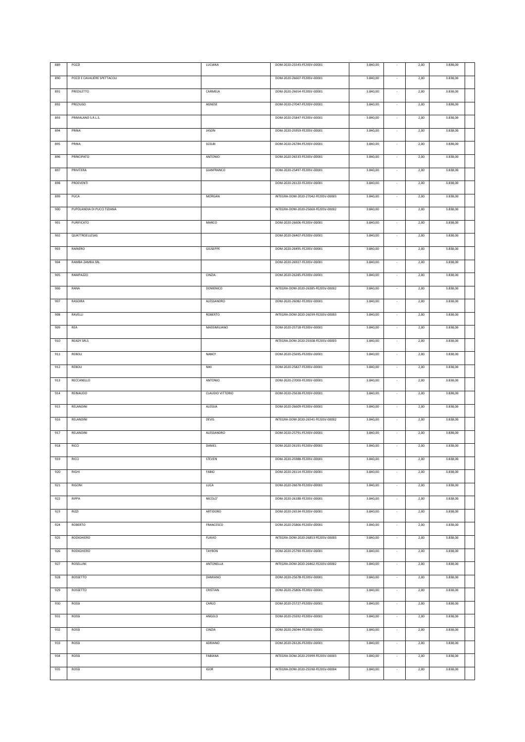| 889 | POZZI                        | LUCIANA                 | DOM-2020-25543-FE20SV-00001         | 3.840,00 |                          | 2,00 | 3.838,00 |  |
|-----|------------------------------|-------------------------|-------------------------------------|----------|--------------------------|------|----------|--|
| 890 | POZZI E CAVALIERE SPETTACOLI |                         | DOM-2020-26607-FE20SV-00001         | 3.840,00 |                          | 2,00 | 3.838,00 |  |
| 891 | PREDILETTO                   | CARMELA                 | DOM-2020-26654-FE20SV-00001         | 3.840,00 | $\sim$                   | 2,00 | 3.838,00 |  |
| 892 | PREZIUSO                     | AGNESE                  | DOM-2020-27047-FE20SV-00001         | 3.840,00 | $\sim$                   | 2,00 | 3.838,00 |  |
| 893 | PRIMALAND S.R.L.S.           |                         | DOM-2020-25847-FE20SV-00001         | 3.840,00 | $\sim$                   | 2,00 | 3.838,00 |  |
| 894 | PRINA                        | <b>JASON</b>            | DOM-2020-25959-FE20SV-00001         | 3.840,00 |                          | 2,00 | 3.838,00 |  |
| 895 | PRINA                        | SCELBI                  | DOM-2020-26784-FE20SV-00001         | 3.840,00 | $\sim$                   | 2,00 | 3.838,00 |  |
|     |                              |                         |                                     |          |                          |      |          |  |
| 896 | PRINCIPATO                   | ANTONIO                 | DOM-2020-26533-FE20SV-00001         | 3.840,00 | $\overline{\phantom{a}}$ | 2,00 | 3.838,00 |  |
| 897 | PRIVITERA                    | GIANFRANCO              | DOM-2020-25497-FE20SV-00001         | 3.840,00 | $\sim$                   | 2,00 | 3.838,00 |  |
| 898 | PROEVENTI                    |                         | DOM-2020-26120-FE20SV-00001         | 3.840,00 | $\sim$                   | 2,00 | 3.838,00 |  |
| 899 | PUCA                         | MORGAN                  | INTEGRA-DOM-2020-27042-FE20SV-00003 | 3.840,00 |                          | 2,00 | 3.838,00 |  |
| 900 | PUPOLANDIA DI PUCCI TIZIANA  |                         | INTEGRA-DOM-2020-25660-FE20SV-00002 | 3.840,00 |                          | 2,00 | 3.838,00 |  |
| 901 | PURIFICATO                   | MARCO                   | DOM-2020-26606-FE20SV-00001         | 3.840,00 |                          | 2,00 | 3.838,00 |  |
| 902 | QUATTROELLESAS               |                         | DOM-2020-26407-FE20SV-00001         | 3.840,00 |                          | 2,00 | 3.838,00 |  |
| 903 | RAINERO                      | GIUSEPPE                | DOM-2020-26495-FE20SV-00001         | 3.840,00 |                          | 2,00 | 3.838,00 |  |
| 904 | RAMBA ZAMBA SRL              |                         | DOM-2020-26927-FE20SV-00001         | 3.840,00 |                          | 2,00 | 3.838,00 |  |
| 905 | <b>RAMPAZZO</b>              | CINZIA                  | DOM-2020-26285-FE20SV-00001         | 3.840,00 |                          | 2,00 | 3.838,00 |  |
| 906 | RANA                         | <b>DOMENICO</b>         | INTEGRA-DOM-2020-26385-FE20SV-00002 | 3.840,00 |                          | 2,00 | 3.838,00 |  |
| 907 | RASOIRA                      | ALESSANDRO              | DOM-2020-26082-FE20SV-00001         | 3.840,00 |                          | 2,00 | 3.838,00 |  |
| 908 | RAVELLI                      | ROBERTO                 | INTEGRA-DOM-2020-26039-FE20SV-00003 | 3.840,00 | $\sim$                   | 2,00 | 3.838,00 |  |
| 909 | REA                          | MASSIMILIANO            | DOM-2020-25718-FE20SV-00001         | 3.840,00 |                          | 2,00 | 3.838,00 |  |
| 910 | <b>READY SRLS</b>            |                         | INTEGRA-DOM-2020-25508-FE20SV-00003 | 3.840,00 |                          | 2,00 | 3.838,00 |  |
|     | REBOLI                       |                         |                                     |          |                          |      |          |  |
| 911 |                              | <b>NANCY</b>            | DOM-2020-25695-FE20SV-00001         | 3.840,00 |                          | 2,00 | 3.838,00 |  |
| 912 | REBOLI                       | <b>NIKI</b>             | DOM-2020-25827-FE20SV-00001         | 3.840,00 | $\sim$                   | 2,00 | 3.838,00 |  |
| 913 | RECCANELLO                   | ANTONIO                 | DOM-2020-27000-FE20SV-00001         | 3.840,00 | $\sim$                   | 2,00 | 3.838,00 |  |
| 914 | REINAUDO                     | <b>CLAUDIO VITTORIO</b> | DOM-2020-25638-FE20SV-00001         | 3.840,00 |                          | 2,00 | 3.838,00 |  |
| 915 | RELANDINI                    | ALESSIA                 | DOM-2020-26609-FE20SV-00001         | 3.840,00 |                          | 2,00 | 3.838,00 |  |
| 916 | RELANDINI                    | <b>DEVIS</b>            | INTEGRA-DOM-2020-26541-FE20SV-00002 | 3.840,00 |                          | 2,00 | 3.838,00 |  |
| 917 | RELANDINI                    | ALESSANDRO              | DOM-2020-25791-FE20SV-00001         | 3.840,00 |                          | 2,00 | 3.838,00 |  |
| 918 | RICCI                        | DANIEL                  | DOM-2020-26191-FE20SV-00001         | 3.840,00 |                          | 2,00 | 3.838,00 |  |
| 919 | RICCI                        | STEVEN                  | DOM-2020-25988-FE20SV-00001         | 3.840,00 |                          | 2,00 | 3.838,00 |  |
| 920 | RIGHI                        | FABIO                   | DOM-2020-26114-FE20SV-00001         | 3.840,00 | $\sim$                   | 2,00 | 3.838,00 |  |
| 921 | RIGONI                       | LUCA                    | DOM-2020-26678-FE20SV-00001         | 3.840,00 | $\sim$                   | 2,00 | 3.838,00 |  |
| 922 | <b>RIPPA</b>                 | <b>NICOLO</b>           | DOM-2020-26188-FE20SV-00001         | 3.840,00 | $\sim$                   | 2,00 | 3.838,00 |  |
| 923 | RIZZI                        | ARTIDORO                | DOM-2020-26534-FE20SV-00001         | 3.840,00 | $\sim$                   | 2,00 | 3.838,00 |  |
| 924 | ROBERTO                      | FRANCESCO               | DOM-2020-25866-FE20SV-00001         | 3.840,00 | $\sim$                   | 2,00 | 3.838,00 |  |
| 925 | RODIGHIERO                   | <b>FLAVIO</b>           | INTEGRA-DOM-2020-26853-FE20SV-00003 | 3.840,00 | $\sim$                   | 2,00 | 3.838,00 |  |
| 926 | RODIGHIERO                   | <b>TAYRON</b>           | DOM-2020-25790-FE20SV-00001         | 3.840,00 | $\sim$                   | 2,00 | 3.838,00 |  |
| 927 | ROSELLINI                    | ANTONELLA               | INTEGRA-DOM-2020-26462-FE20SV-00002 | 3.840,00 | $\sim$                   | 2,00 | 3.838,00 |  |
|     |                              |                         |                                     |          |                          |      |          |  |
| 928 | ROSSETTO                     | DAMIANO                 | DOM-2020-25678-FE20SV-00001         | 3.840,00 | $\sim$                   | 2,00 | 3.838,00 |  |
| 929 | ROSSETTO                     | CRISTIAN                | DOM-2020-25806-FE20SV-00001         | 3.840,00 | $\sim$                   | 2,00 | 3.838,00 |  |
| 930 | ROSSI                        | CARLO                   | DOM-2020-25727-FE20SV-00001         | 3.840,00 | $\sim$                   | 2,00 | 3.838,00 |  |
| 931 | ROSSI                        | ANGELO                  | DOM-2020-25592-FE20SV-00001         | 3.840,00 | $\overline{\phantom{a}}$ | 2,00 | 3.838,00 |  |
| 932 | ROSSI                        | CINZIA                  | DOM-2020-26044-FE20SV-00001         | 3.840,00 | $\overline{\phantom{a}}$ | 2,00 | 3.838,00 |  |
| 933 | ROSSI                        | ADRIANO                 | DOM-2020-26126-FE20SV-00001         | 3.840,00 | $\overline{\phantom{a}}$ | 2,00 | 3.838,00 |  |
| 934 | ROSSI                        | FABIANA                 | INTEGRA-DOM-2020-25999-FE20SV-00003 | 3.840,00 | $\overline{\phantom{a}}$ | 2,00 | 3.838,00 |  |
| 935 | ROSSI                        | IGOR                    | INTEGRA-DOM-2020-25590-FE20SV-00004 | 3.840,00 |                          | 2,00 | 3.838,00 |  |
|     |                              |                         |                                     |          |                          |      |          |  |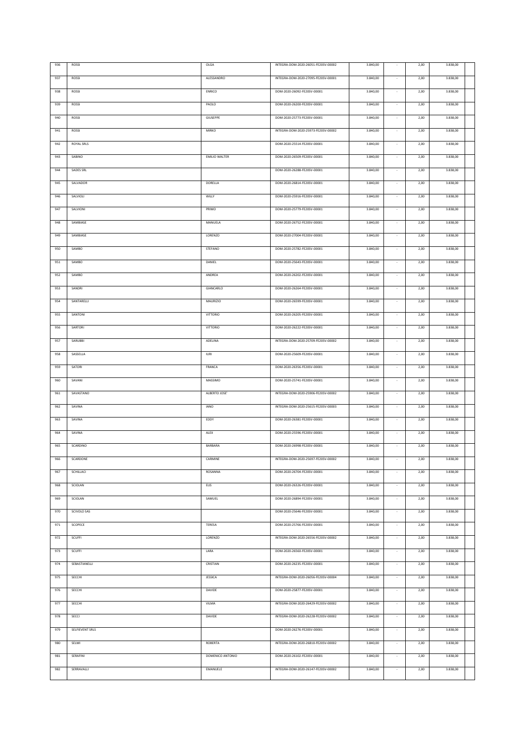| 936 | ROSSI           | OLGA                 | INTEGRA-DOM-2020-26051-FE20SV-00002 | 3.840,00 |                          | 2,00 | 3.838,00 |  |
|-----|-----------------|----------------------|-------------------------------------|----------|--------------------------|------|----------|--|
| 937 | ROSSI           | ALESSANDRO           | INTEGRA-DOM-2020-27095-FE20SV-00001 | 3.840,00 |                          | 2,00 | 3.838,00 |  |
|     |                 |                      |                                     |          |                          |      |          |  |
| 938 | ROSSI           | ENRICO               | DOM-2020-26092-FE20SV-00001         | 3.840,00 |                          | 2,00 | 3.838,00 |  |
| 939 | ROSSI           | PAOLO                | DOM-2020-26200-FE20SV-00001         | 3.840,00 |                          | 2,00 | 3.838,00 |  |
| 940 | ROSSI           | GIUSEPPE             | DOM-2020-25773-FE20SV-00001         | 3.840,00 | $\sim$                   | 2,00 | 3.838,00 |  |
| 941 | ROSSI           | MIRKO                | INTEGRA-DOM-2020-25973-FE20SV-00002 | 3.840,00 |                          | 2,00 | 3.838,00 |  |
| 942 | ROYAL SRLS      |                      | DOM-2020-25514-FE20SV-00001         | 3.840,00 |                          |      | 3.838,00 |  |
|     |                 |                      |                                     |          |                          | 2,00 |          |  |
| 943 | SABINO          | <b>EMILIO WALTER</b> | DOM-2020-26509-FE20SV-00001         | 3.840,00 |                          | 2,00 | 3.838,00 |  |
| 944 | SADES SRL       |                      | DOM-2020-26288-FE20SV-00001         | 3.840,00 | $\sim$                   | 2,00 | 3.838,00 |  |
| 945 | SALVADOR        | DORELLA              | DOM-2020-26814-FE20SV-00001         | 3.840,00 | $\sim$                   | 2,00 | 3.838,00 |  |
| 946 | SALVIOLI        | WILLY                | DOM-2020-25916-FE20SV-00001         | 3.840,00 | $\sim$                   | 2,00 | 3.838,00 |  |
|     |                 |                      |                                     |          |                          |      |          |  |
| 947 | SALVIONI        | PRIMO                | DOM-2020-25779-FE20SV-00001         | 3.840,00 |                          | 2,00 | 3.838,00 |  |
| 948 | SAMBIASE        | MANUELA              | DOM-2020-26752-FE20SV-00001         | 3.840,00 |                          | 2,00 | 3.838,00 |  |
| 949 | SAMBIASE        | LORENZO              | DOM-2020-27004-FE20SV-00001         | 3.840,00 |                          | 2,00 | 3.838,00 |  |
| 950 | SAMBO           | STEFANO              | DOM-2020-25782-FE20SV-00001         | 3.840,00 | $\sim$                   | 2,00 | 3.838,00 |  |
| 951 | SAMBO           | DANIEL               | DOM-2020-25643-FE20SV-00001         | 3.840,00 | $\overline{\phantom{a}}$ | 2,00 | 3.838,00 |  |
|     |                 |                      |                                     |          |                          |      |          |  |
| 952 | SAMBO           | ANDREA               | DOM-2020-26202-FE20SV-00001         | 3.840,00 |                          | 2,00 | 3.838,00 |  |
| 953 | SANDRI          | GIANCARLO            | DOM-2020-26264-FE20SV-00001         | 3.840,00 |                          | 2,00 | 3.838,00 |  |
| 954 | SANTARELLI      | <b>MAURIZIO</b>      | DOM-2020-26599-FE20SV-00001         | 3.840,00 | $\overline{\phantom{a}}$ | 2,00 | 3.838,00 |  |
| 955 | SANTONI         | <b>VITTORIO</b>      | DOM-2020-26205-FE20SV-00001         | 3.840,00 |                          | 2,00 | 3.838,00 |  |
| 956 | SARTORI         | <b>VITTORIO</b>      | DOM-2020-26222-FE20SV-00001         | 3.840,00 | $\overline{\phantom{a}}$ | 2,00 | 3.838,00 |  |
|     |                 |                      |                                     |          |                          |      |          |  |
| 957 | SARUBBI         | ADELINA              | INTEGRA-DOM-2020-25709-FE20SV-00002 | 3.840,00 |                          | 2,00 | 3.838,00 |  |
| 958 | SASSELLA        | <b>IURI</b>          | DOM-2020-25609-FE20SV-00001         | 3.840,00 |                          | 2,00 | 3.838,00 |  |
| 959 | SATORI          | FRANCA               | DOM-2020-26356-FE20SV-00001         | 3.840,00 |                          | 2,00 | 3.838,00 |  |
| 960 | SAVANI          | MASSIMO              | DOM-2020-25741-FE20SV-00001         | 3.840,00 |                          | 2,00 | 3.838,00 |  |
| 961 | SAVASTANO       | ALBERTO JOSE'        | INTEGRA-DOM-2020-25906-FE20SV-00002 | 3.840,00 |                          | 2,00 | 3.838,00 |  |
| 962 | SAVINA          | <b>IANO</b>          | INTEGRA-DOM-2020-25615-FE20SV-00003 | 3.840,00 |                          | 2,00 | 3.838,00 |  |
|     |                 |                      |                                     |          |                          |      |          |  |
| 963 | SAVINA          | EDDY                 | DOM-2020-26381-FE20SV-00001         | 3.840,00 |                          | 2,00 | 3.838,00 |  |
| 964 | SAVINA          | ALEX                 | DOM-2020-25596-FE20SV-00001         | 3.840,00 |                          | 2,00 | 3.838,00 |  |
| 965 | <b>SCARDINO</b> | BARBARA              | DOM-2020-26998-FE20SV-00001         | 3.840,00 |                          | 2,00 | 3.838,00 |  |
| 966 | SCARDONE        | CARMINE              | INTEGRA-DOM-2020-25697-FE20SV-00002 | 3.840,00 | $\sim$                   | 2,00 | 3.838,00 |  |
| 967 | SCHILLACI       | ROSANNA              | DOM-2020-26704-FE20SV-00001         | 3.840,00 |                          | 2,00 | 3.838,00 |  |
|     |                 |                      |                                     |          |                          |      |          |  |
| 968 | SCIOLAN         | ELIS                 | DOM-2020-26326-FE20SV-00001         | 3.840,00 | ٠                        | 2,00 | 3.838,00 |  |
| 969 | SCIOLAN         | SAMUEL               | DOM-2020-26894-FE20SV-00001         | 3.840,00 |                          | 2,00 | 3.838,00 |  |
| 970 | SCIVOLO SAS     |                      | DOM-2020-25646-FE20SV-00001         | 3.840,00 |                          | 2,00 | 3.838,00 |  |
| 971 | SCOPECE         | TERESA               | DOM-2020-25766-FE20SV-00001         | 3.840,00 |                          | 2,00 | 3.838,00 |  |
| 972 | <b>SCUFFI</b>   | LORENZO              | INTEGRA-DOM-2020-26556-FE20SV-00002 | 3.840,00 |                          | 2,00 | 3.838,00 |  |
| 973 | <b>SCUFFI</b>   | LARA                 | DOM-2020-26560-FE20SV-00001         | 3.840,00 | $\sim$                   | 2,00 | 3.838,00 |  |
|     |                 |                      |                                     |          |                          |      |          |  |
| 974 | SEBASTIANELLI   | CRISTIAN             | DOM-2020-26235-FE20SV-00001         | 3.840,00 |                          | 2,00 | 3.838,00 |  |
| 975 | SECCHI          | JESSICA              | INTEGRA-DOM-2020-26056-FE20SV-00004 | 3.840,00 | $\sim$                   | 2,00 | 3.838,00 |  |
| 976 | SECCHI          | DAVIDE               | DOM-2020-25877-FE20SV-00001         | 3.840,00 |                          | 2,00 | 3.838,00 |  |
| 977 | SECCHI          | VILMA                | INTEGRA-DOM-2020-26429-FE20SV-00002 | 3.840,00 | $\sim$                   | 2,00 | 3.838,00 |  |
| 978 | SECCI           | DAVIDE               | INTEGRA-DOM-2020-26228-FE20SV-00002 | 3.840,00 | $\sim$                   | 2,00 | 3.838,00 |  |
|     |                 |                      |                                     |          |                          |      |          |  |
| 979 | SELFIEVENT SRLS |                      | DOM-2020-26276-FE20SV-00001         | 3.840,00 | $\sim$                   | 2,00 | 3.838,00 |  |
| 980 | SELMI           | ROBERTA              | INTEGRA-DOM-2020-26810-FE20SV-00002 | 3.840,00 | $\sim$                   | 2,00 | 3.838,00 |  |
| 981 | SERAFINI        | DOMENICO ANTONIO     | DOM-2020-26102-FE20SV-00001         | 3.840,00 | $\sim$                   | 2,00 | 3.838,00 |  |
| 982 | SERRAVALLI      | EMANUELE             | INTEGRA-DOM-2020-26147-FE20SV-00002 | 3.840,00 | $\sim$                   | 2,00 | 3.838,00 |  |
|     |                 |                      |                                     |          |                          |      |          |  |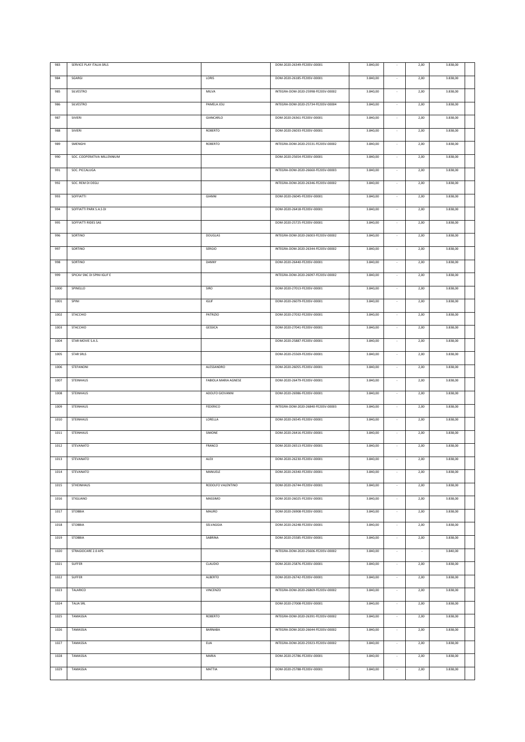| 983  | SERVICE PLAY ITALIA SRLS    |                      | DOM-2020-26349-FE20SV-00001         | 3.840,00 |                          | 2,00 | 3.838,00 |  |
|------|-----------------------------|----------------------|-------------------------------------|----------|--------------------------|------|----------|--|
| 984  | SGARGI                      | LORIS                | DOM-2020-26185-FE20SV-00001         | 3.840,00 |                          | 2,00 | 3.838,00 |  |
| 985  | SILVESTRO                   | MILVA                | INTEGRA-DOM-2020-25998-FE20SV-00002 | 3.840,00 |                          | 2,00 | 3.838,00 |  |
|      |                             |                      |                                     |          |                          |      |          |  |
| 986  | SILVESTRO                   | PAMELA JOLI          | INTEGRA-DOM-2020-25734-FE20SV-00004 | 3.840,00 |                          | 2,00 | 3.838,00 |  |
| 987  | <b>SIVIERI</b>              | GIANCARLO            | DOM-2020-26361-FE20SV-00001         | 3.840,00 | $\sim$                   | 2,00 | 3.838,00 |  |
| 988  | SIVIERI                     | ROBERTO              | DOM-2020-26033-FE20SV-00001         | 3.840,00 |                          | 2,00 | 3.838,00 |  |
| 989  | SMENGHI                     | ROBERTO              | INTEGRA-DOM-2020-25531-FE20SV-00002 | 3.840,00 |                          | 2,00 | 3.838,00 |  |
| 990  | SOC. COOPERATIVA MILLENNIUM |                      | DOM-2020-25654-FE20SV-00001         | 3.840,00 |                          | 2,00 | 3.838,00 |  |
| 991  | SOC. PICCALUGA              |                      | INTEGRA-DOM-2020-26660-FE20SV-00003 | 3.840,00 | $\sim$                   | 2,00 | 3.838,00 |  |
| 992  | SOC. REM DI DEGLI           |                      | INTEGRA-DOM-2020-26346-FE20SV-00002 | 3.840,00 | $\sim$                   | 2,00 | 3.838,00 |  |
| 993  | <b>SOFFIATTI</b>            | GIANNI               | DOM-2020-26045-FE20SV-00001         | 3.840,00 | $\sim$                   | 2,00 | 3.838,00 |  |
|      |                             |                      |                                     |          |                          |      |          |  |
| 994  | SOFFIATTI PARK S.A.S DI     |                      | DOM-2020-26418-FE20SV-00001         | 3.840,00 |                          | 2,00 | 3.838,00 |  |
| 995  | SOFFIATTI RIDES SAS         |                      | DOM-2020-25725-FE20SV-00001         | 3.840,00 |                          | 2,00 | 3.838,00 |  |
| 996  | SORTINO                     | <b>DOUGLAS</b>       | INTEGRA-DOM-2020-26003-FE20SV-00002 | 3.840,00 |                          | 2,00 | 3.838,00 |  |
| 997  | SORTINO                     | SERGIO               | INTEGRA-DOM-2020-26344-FE20SV-00002 | 3.840,00 | $\sim$                   | 2,00 | 3.838,00 |  |
| 998  | SORTINO                     | DANNY                | DOM-2020-26440-FE20SV-00001         | 3.840,00 | $\overline{\phantom{a}}$ | 2,00 | 3.838,00 |  |
| 999  | SPICAV SNC DI SPINI IGLIF E |                      | INTEGRA-DOM-2020-26097-FE20SV-00002 | 3.840,00 |                          | 2,00 | 3.838,00 |  |
| 1000 | SPINELLO                    | SIRO                 | DOM-2020-27013-FE20SV-00001         | 3.840,00 |                          | 2,00 | 3.838,00 |  |
| 1001 | SPINI                       | <b>IGLIF</b>         | DOM-2020-26079-FE20SV-00001         | 3.840,00 | $\sim$                   | 2,00 | 3.838,00 |  |
| 1002 | <b>STACCHIO</b>             | <b>PATRIZIO</b>      | DOM-2020-27032-FE20SV-00001         | 3.840,00 |                          | 2,00 | 3.838,00 |  |
|      |                             |                      |                                     |          |                          |      |          |  |
| 1003 | <b>STACCHIO</b>             | GESSICA              | DOM-2020-27041-FE20SV-00001         | 3.840,00 | $\overline{\phantom{a}}$ | 2,00 | 3.838,00 |  |
| 1004 | STAR MOVIE S.A.S.           |                      | DOM-2020-25887-FE20SV-00001         | 3.840,00 |                          | 2,00 | 3.838,00 |  |
| 1005 | STAR SRLS                   |                      | DOM-2020-25569-FE20SV-00001         | 3.840,00 |                          | 2,00 | 3.838,00 |  |
| 1006 | STEFANONI                   | ALESSANDRO           | DOM-2020-26055-FE20SV-00001         | 3.840,00 |                          | 2,00 | 3.838,00 |  |
|      |                             |                      |                                     |          |                          |      |          |  |
| 1007 | STEINHAUS                   | FABIOLA MARIA AGNESE | DOM-2020-26479-FE20SV-00001         | 3.840,00 |                          | 2,00 | 3.838,00 |  |
| 1008 | STEINHAUS                   | ADOLFO GIOVANNI      | DOM-2020-26986-FE20SV-00001         | 3.840,00 |                          | 2,00 | 3.838,00 |  |
| 1009 | <b>STEINHAUS</b>            | FEDERICO             | INTEGRA-DOM-2020-26840-FE20SV-00003 | 3.840,00 |                          | 2,00 | 3.838,00 |  |
| 1010 | STEINHAUS                   | LORELLA              | DOM-2020-26545-FE20SV-00001         | 3.840,00 |                          | 2,00 | 3.838,00 |  |
|      |                             |                      |                                     |          |                          |      |          |  |
| 1011 | STEINHAUS                   | SIMONE               | DOM-2020-26416-FE20SV-00001         | 3.840,00 |                          | 2,00 | 3.838,00 |  |
| 1012 | <b>STEVANATO</b>            | FRANCO               | DOM-2020-26513-FE20SV-00001         | 3.840,00 |                          | 2,00 | 3.838,00 |  |
| 1013 | STEVANATO                   | ALEX                 | DOM-2020-26230-FE20SV-00001         | 3.840,00 | $\sim$                   | 2,00 | 3.838,00 |  |
| 1014 | STEVANATO                   | MANUELE              | DOM-2020-26340-FE20SV-00001         | 3.840,00 |                          | 2,00 | 3.838,00 |  |
| 1015 | <b>STHEINHAUS</b>           | RODOLFO VALENTINO    | DOM-2020-26744-FE20SV-00001         | 3.840,00 |                          | 2,00 | 3.838,00 |  |
| 1016 | <b>STIGLIANO</b>            | MASSIMO              | DOM-2020-26025-FE20SV-00001         | 3.840,00 |                          | 2,00 | 3.838,00 |  |
| 1017 | <b>STOBBIA</b>              | MAURO                | DOM-2020-26908-FE20SV-00001         | 3.840,00 |                          | 2,00 | 3.838,00 |  |
| 1018 | <b>STOBBIA</b>              | SELVAGGIA            | DOM-2020-26248-FE20SV-00001         | 3.840,00 |                          | 2,00 | 3.838,00 |  |
| 1019 | <b>STOBBIA</b>              | SABRINA              | DOM-2020-25585-FE20SV-00001         | 3.840,00 |                          | 2,00 | 3.838,00 |  |
| 1020 | STRAGIOCARE 2.0 APS         |                      | INTEGRA-DOM-2020-25606-FE20SV-00002 | 3.840,00 | $\sim$                   | ÷,   | 3.840,00 |  |
|      | SUFFER                      | CLAUDIO              | DOM-2020-25876-FE20SV-00001         |          |                          |      | 3.838,00 |  |
| 1021 |                             |                      |                                     | 3.840,00 |                          | 2,00 |          |  |
| 1022 | SUFFER                      | ALBERTO              | DOM-2020-26742-FE20SV-00001         | 3.840,00 | $\sim$                   | 2,00 | 3.838,00 |  |
| 1023 | TALARICO                    | VINCENZO             | INTEGRA-DOM-2020-26869-FE20SV-00002 | 3.840,00 |                          | 2,00 | 3.838,00 |  |
| 1024 | <b>TALIA SRL</b>            |                      | DOM-2020-27008-FE20SV-00001         | 3.840,00 | $\sim$                   | 2,00 | 3.838,00 |  |
| 1025 | TAMASSIA                    | ROBERTO              | INTEGRA-DOM-2020-26391-FE20SV-00002 | 3.840,00 | $\sim$                   | 2,00 | 3.838,00 |  |
| 1026 | TAMASSIA                    | BARNABA              | INTEGRA-DOM-2020-26644-FE20SV-00002 | 3.840,00 | $\sim$                   | 2,00 | 3.838,00 |  |
| 1027 | TAMASSIA                    | ELIA                 | INTEGRA-DOM-2020-25923-FE20SV-00002 | 3.840,00 | $\sim$                   | 2,00 | 3.838,00 |  |
| 1028 | TAMASSIA                    | MARIA                | DOM-2020-25786-FE20SV-00001         | 3.840,00 | $\sim$                   | 2,00 | 3.838,00 |  |
| 1029 | TAMASSIA                    | MATTIA               | DOM-2020-25788-FE20SV-00001         | 3.840,00 | $\sim$                   | 2,00 | 3.838,00 |  |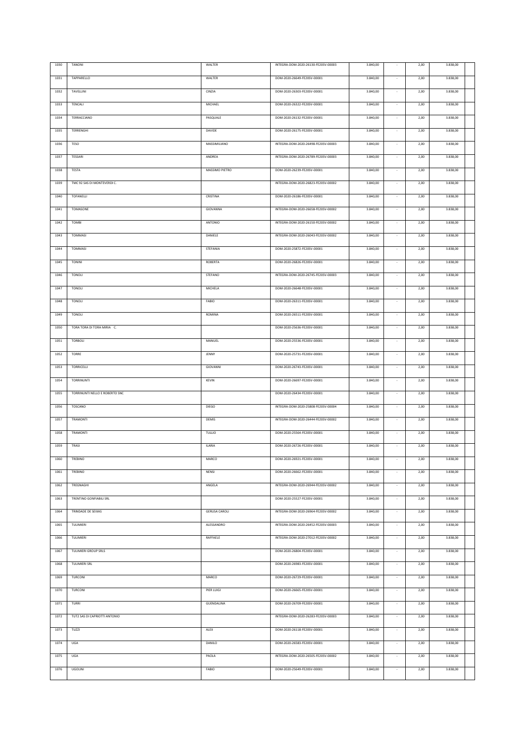| 1030 | <b>TANONI</b>                  | WALTER               | INTEGRA-DOM-2020-26130-FE20SV-00003 | 3.840,00 |                          | 2,00 | 3.838,00 |  |
|------|--------------------------------|----------------------|-------------------------------------|----------|--------------------------|------|----------|--|
|      |                                |                      |                                     |          |                          |      |          |  |
| 1031 | TAPPARELLO                     | WALTER               | DOM-2020-26649-FE20SV-00001         | 3.840,00 |                          | 2,00 | 3.838,00 |  |
| 1032 | TAVELLINI                      | CINZIA               | DOM-2020-26303-FE20SV-00001         | 3.840,00 | $\sim$                   | 2,00 | 3.838,00 |  |
|      |                                |                      |                                     |          |                          |      |          |  |
| 1033 | TENCALI                        | MICHAEL              | DOM-2020-26322-FE20SV-00001         | 3.840,00 |                          | 2,00 | 3.838,00 |  |
| 1034 | TERRACCIANO                    | PASQUALE             | DOM-2020-26132-FE20SV-00001         | 3.840,00 | $\sim$                   | 2,00 | 3.838,00 |  |
|      |                                |                      |                                     |          |                          |      |          |  |
| 1035 | TERRENGHI                      | DAVIDE               | DOM-2020-26175-FE20SV-00001         | 3.840,00 | $\sim$                   | 2,00 | 3.838,00 |  |
| 1036 | TESO                           | MASSIMILIANO         | INTEGRA-DOM-2020-26498-FE20SV-00003 | 3.840,00 | $\sim$                   | 2,00 | 3.838,00 |  |
|      |                                |                      |                                     |          |                          |      |          |  |
| 1037 | TESSARI                        | <b>ANDREA</b>        | INTEGRA-DOM-2020-26789-FE20SV-00003 | 3.840,00 |                          | 2,00 | 3.838,00 |  |
| 1038 | TESTA                          | MASSIMO PIETRO       | DOM-2020-26239-FE20SV-00001         | 3.840,00 | $\sim$                   | 2,00 | 3.838,00 |  |
|      |                                |                      |                                     |          |                          |      |          |  |
| 1039 | TMC 92 SAS DI MONTEVERDI C.    |                      | INTEGRA-DOM-2020-26823-FE20SV-00002 | 3.840,00 | $\overline{\phantom{a}}$ | 2,00 | 3.838,00 |  |
| 1040 | TOFANELLI                      | CRISTINA             | DOM-2020-26186-FE20SV-00001         | 3.840,00 | $\sim$                   | 2,00 | 3.838,00 |  |
|      |                                |                      |                                     |          |                          |      |          |  |
| 1041 | TOMASONE                       | GIOVANNA             | INTEGRA-DOM-2020-26658-FE20SV-00002 | 3.840,00 | $\sim$                   | 2,00 | 3.838,00 |  |
| 1042 | TOMBI                          | ANTONIO              | INTEGRA-DOM-2020-26150-FE20SV-00002 | 3.840,00 |                          | 2,00 | 3.838,00 |  |
|      |                                |                      |                                     |          |                          |      |          |  |
| 1043 | TOMMASI                        | DANIELE              | INTEGRA-DOM-2020-26043-FE20SV-00002 | 3.840,00 |                          | 2,00 | 3.838,00 |  |
| 1044 | <b>TOMMASI</b>                 | STEFANIA             | DOM-2020-25872-FE20SV-00001         | 3.840,00 | $\epsilon$               | 2,00 | 3.838,00 |  |
|      |                                |                      |                                     |          |                          |      |          |  |
| 1045 | <b>TONINI</b>                  | ROBERTA              | DOM-2020-26826-FE20SV-00001         | 3.840,00 |                          | 2,00 | 3.838,00 |  |
| 1046 | TONOLI                         | <b>STEFANO</b>       | INTEGRA-DOM-2020-26745-FE20SV-00003 | 3.840,00 | $\overline{\phantom{a}}$ | 2,00 | 3.838,00 |  |
|      |                                |                      |                                     |          |                          |      |          |  |
| 1047 | TONOLI                         | MICHELA              | DOM-2020-26648-FE20SV-00001         | 3.840,00 |                          | 2,00 | 3.838,00 |  |
| 1048 | TONOLI                         | FABIO                | DOM-2020-26311-FE20SV-00001         | 3.840,00 |                          | 2,00 | 3.838,00 |  |
|      |                                |                      |                                     |          |                          |      |          |  |
| 1049 | TONOLI                         | ROMINA               | DOM-2020-26511-FE20SV-00001         | 3.840,00 |                          | 2,00 | 3.838,00 |  |
| 1050 | TORA TORA DI TORA MIRIA C.     |                      | DOM-2020-25636-FE20SV-00001         | 3.840,00 |                          | 2,00 | 3.838,00 |  |
| 1051 | TORBOLI                        | MANUEL               | DOM-2020-25536-FE20SV-00001         | 3.840,00 |                          | 2,00 | 3.838,00 |  |
|      |                                |                      |                                     |          |                          |      |          |  |
| 1052 | TORRE                          | JENNY                | DOM-2020-25731-FE20SV-00001         | 3.840,00 |                          | 2,00 | 3.838,00 |  |
| 1053 | <b>TORRICELLI</b>              | GIOVANNI             | DOM-2020-26743-FE20SV-00001         | 3.840,00 | ×                        | 2,00 | 3.838,00 |  |
|      |                                |                      |                                     |          |                          |      |          |  |
|      |                                |                      |                                     |          |                          |      |          |  |
| 1054 | TORRINUNTI                     | KEVIN                | DOM-2020-26697-FE20SV-00001         | 3.840,00 | ×                        | 2,00 | 3.838,00 |  |
|      |                                |                      |                                     |          |                          |      |          |  |
| 1055 | TORRINUNTI NELLO E ROBERTO SNC |                      | DOM-2020-26434-FE20SV-00001         | 3.840,00 |                          | 2,00 | 3.838,00 |  |
| 1056 | TOSCANO                        | <b>DIEGO</b>         | INTEGRA-DOM-2020-25808-FE20SV-00004 | 3.840,00 |                          | 2,00 | 3.838,00 |  |
|      |                                |                      |                                     |          | $\sim$                   |      |          |  |
| 1057 | TRAMONTI                       | DEMIS                | INTEGRA-DOM-2020-26444-FE20SV-00002 | 3.840,00 |                          | 2,00 | 3.838,00 |  |
| 1058 | TRAMONTI                       | <b>TULLIO</b>        | DOM-2020-25564-FE20SV-00001         | 3.840,00 |                          | 2,00 | 3.838,00 |  |
|      |                                |                      |                                     |          |                          |      |          |  |
| 1059 | TRASI                          | <b>ILARIA</b>        | DOM-2020-26726-FE20SV-00001         | 3.840,00 |                          | 2,00 | 3.838,00 |  |
| 1060 | TREBINO                        | MARCO                | DOM-2020-26921-FE20SV-00001         | 3.840,00 |                          | 2,00 | 3.838,00 |  |
| 1061 | TREBINO                        | <b>NENSI</b>         | DOM-2020-26662-FE20SV-00001         | 3.840,00 | $\sim$                   | 2,00 | 3.838,00 |  |
|      |                                |                      |                                     |          |                          |      |          |  |
| 1062 | TREGNAGHI                      | ANGELA               | INTEGRA-DOM-2020-26944-FE20SV-00002 | 3.840,00 | $\sim$                   | 2,00 | 3.838,00 |  |
| 1063 | TRENTINO GONFIABILI SRL        |                      | DOM-2020-25527-FE20SV-00001         | 3.840,00 |                          | 2,00 | 3.838,00 |  |
|      |                                |                      |                                     |          |                          |      |          |  |
| 1064 | TRINDADE DE SEIXAS             | <b>GERUSA CAROLI</b> | INTEGRA-DOM-2020-26964-FE20SV-00002 | 3.840,00 | ÷.                       | 2,00 | 3.838,00 |  |
| 1065 | TULIMIERI                      | ALESSANDRO           | INTEGRA-DOM-2020-26452-FE20SV-00003 | 3.840,00 | $\sim$                   | 2,00 | 3.838,00 |  |
|      |                                |                      |                                     |          |                          |      |          |  |
| 1066 | TULIMIERI                      | RAFFAELE             | INTEGRA-DOM-2020-27012-FE20SV-00002 | 3.840,00 | $\sim$                   | 2,00 | 3.838,00 |  |
| 1067 | TULIMIERI GROUP SRLS           |                      | DOM-2020-26804-FE20SV-00001         | 3.840,00 | $\sim$                   | 2,00 | 3.838,00 |  |
|      |                                |                      |                                     |          |                          |      |          |  |
| 1068 | TULIMIERI SRL                  |                      | DOM-2020-26983-FE20SV-00001         | 3.840,00 | $\sim$                   | 2,00 | 3.838,00 |  |
| 1069 | TURCONI                        | MARCO                | DOM-2020-26729-FE20SV-00001         | 3.840,00 | $\sim$                   | 2,00 | 3.838,00 |  |
|      |                                |                      |                                     |          |                          |      |          |  |
| 1070 | TURCONI                        | PIER LUIGI           | DOM-2020-26665-FE20SV-00001         | 3.840,00 | $\sim$                   | 2,00 | 3.838,00 |  |
| 1071 | TURRI                          | GUENDALINA           | DOM-2020-26709-FE20SV-00001         | 3.840,00 | $\sim$                   | 2,00 | 3.838,00 |  |
|      |                                |                      |                                     |          |                          |      |          |  |
| 1072 | TUT2 SAS DI CAPRIOTTI ANTONIO  |                      | INTEGRA-DOM-2020-26283-FE20SV-00003 | 3.840,00 | $\sim$                   | 2,00 | 3.838,00 |  |
| 1073 | TUZZI                          | ALEX                 | DOM-2020-26118-FE20SV-00001         | 3.840,00 | $\sim$                   | 2,00 | 3.838,00 |  |
|      |                                |                      |                                     |          |                          |      |          |  |
| 1074 | UGA                            | DANILO               | DOM-2020-26583-FE20SV-00001         | 3.840,00 | $\overline{\phantom{a}}$ | 2,00 | 3.838,00 |  |
| 1075 | UGA                            | PAOLA                | INTEGRA-DOM-2020-26505-FE20SV-00002 | 3.840,00 | $\sim$                   | 2,00 | 3.838,00 |  |
|      |                                |                      |                                     |          |                          |      |          |  |
| 1076 | UGOLINI                        | FABIO                | DOM-2020-25649-FE20SV-00001         | 3.840,00 |                          | 2,00 | 3.838,00 |  |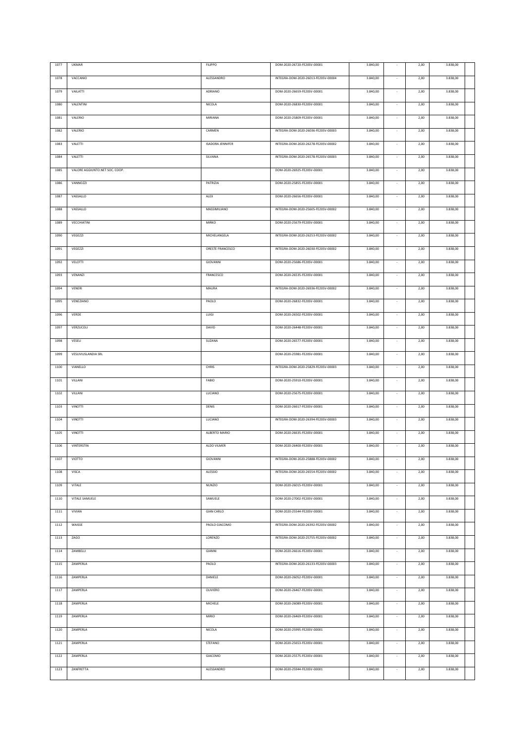| 1077     | <b>UKMAR</b>                   | <b>FILIPPO</b>          | DOM-2020-26720-FE20SV-00001         | 3.840,00 |                          | 2,00 | 3.838,00 |  |
|----------|--------------------------------|-------------------------|-------------------------------------|----------|--------------------------|------|----------|--|
|          |                                | ALESSANDRO              |                                     |          |                          |      |          |  |
| 1078     | VACCANIO                       |                         | INTEGRA-DOM-2020-26013-FE20SV-00004 | 3.840,00 |                          | 2,00 | 3.838,00 |  |
| 1079     | VAILATTI                       | ADRIANO                 | DOM-2020-26659-FE20SV-00001         | 3.840,00 | $\sim$                   | 2,00 | 3.838,00 |  |
| 1080     | VALENTINI                      | NICOLA                  | DOM-2020-26830-FE20SV-00001         | 3.840,00 |                          | 2,00 | 3.838,00 |  |
|          |                                |                         |                                     |          |                          |      |          |  |
| 1081     | VALERIO                        | MIRIANA                 | DOM-2020-25809-FE20SV-00001         | 3.840,00 |                          | 2,00 | 3.838,00 |  |
| 1082     | VALERIO                        | CARMEN                  | INTEGRA-DOM-2020-26036-FE20SV-00003 | 3.840,00 |                          | 2,00 | 3.838,00 |  |
|          |                                |                         |                                     |          |                          |      |          |  |
| 1083     | VALETTI                        | <b>ISADORA JENNIFER</b> | INTEGRA-DOM-2020-26278-FE20SV-00002 | 3.840,00 | $\sim$                   | 2,00 | 3.838,00 |  |
| 1084     | VALETTI                        | SILVANA                 | INTEGRA-DOM-2020-26578-FE20SV-00003 | 3.840,00 |                          | 2,00 | 3.838,00 |  |
| 1085     | VALORE AGGIUNTO.NET SOC. COOP. |                         | DOM-2020-26925-FE20SV-00001         | 3.840,00 | $\sim$                   | 2,00 | 3.838,00 |  |
|          |                                |                         |                                     |          |                          |      |          |  |
| 1086     | VANNOZZI                       | PATRIZIA                | DOM-2020-25855-FE20SV-00001         | 3.840,00 | $\sim$                   | 2,00 | 3.838,00 |  |
| 1087     | VASSALLO                       | ALEX                    | DOM-2020-26656-FE20SV-00001         | 3.840,00 | $\sim$                   | 2,00 | 3.838,00 |  |
| 1088     | VASSALLO                       | MASSIMILIANO            | INTEGRA-DOM-2020-25605-FE20SV-00002 | 3.840,00 |                          | 2,00 | 3.838,00 |  |
|          |                                |                         |                                     |          |                          |      |          |  |
| 1089     | VECCHIATINI                    | <b>MIRKO</b>            | DOM-2020-25679-FE20SV-00001         | 3.840,00 | $\sim$                   | 2,00 | 3.838,00 |  |
| 1090     | <b>VEGEZZI</b>                 | MICHELANGELA            | INTEGRA-DOM-2020-26253-FE20SV-00002 | 3.840,00 |                          | 2,00 | 3.838,00 |  |
|          |                                |                         |                                     |          |                          |      |          |  |
| 1091     | VEGEZZI                        | ORESTE FRANCESCO        | INTEGRA-DOM-2020-26030-FE20SV-00002 | 3.840,00 | $\overline{\phantom{a}}$ | 2,00 | 3.838,00 |  |
| 1092     | VELOTTI                        | GIOVANNI                | DOM-2020-25686-FE20SV-00001         | 3.840,00 |                          | 2,00 | 3.838,00 |  |
| 1093     | VENANZI                        | FRANCESCO               | DOM-2020-26535-FE20SV-00001         | 3.840,00 |                          | 2,00 | 3.838,00 |  |
|          |                                |                         |                                     |          |                          |      |          |  |
| 1094     | VENERI                         | MAURA                   | INTEGRA-DOM-2020-26936-FE20SV-00002 | 3.840,00 |                          | 2,00 | 3.838,00 |  |
| 1095     | VENEZIANO                      | PAOLO                   | DOM-2020-26832-FE20SV-00001         | 3.840,00 |                          | 2,00 | 3.838,00 |  |
| 1096     | VERDE                          | LUIGI                   | DOM-2020-26502-FE20SV-00001         | 3.840,00 |                          | 2,00 | 3.838,00 |  |
|          |                                |                         |                                     |          |                          |      |          |  |
| 1097     | VERZUCOLI                      | DAVID                   | DOM-2020-26448-FE20SV-00001         | 3.840,00 |                          | 2,00 | 3.838,00 |  |
| 1098     | VESELI                         | SUZANA                  | DOM-2020-26577-FE20SV-00001         | 3.840,00 |                          | 2,00 | 3.838,00 |  |
|          |                                |                         |                                     |          |                          |      |          |  |
| 1099     | VESUVIUSLANDIA SRL             |                         | DOM-2020-25981-FE20SV-00001         | 3.840,00 |                          | 2,00 | 3.838,00 |  |
| 1100     | VIANELLO                       | CHRIS                   | INTEGRA-DOM-2020-25829-FE20SV-00003 | 3.840,00 |                          | 2,00 | 3.838,00 |  |
| 1101     | VILLANI                        | FABIO                   | DOM-2020-25910-FE20SV-00001         | 3.840,00 |                          | 2,00 | 3.838,00 |  |
|          |                                |                         |                                     |          |                          |      |          |  |
| 1102     | VILLANI                        | LUCIANO                 | DOM-2020-25675-FE20SV-00001         | 3.840,00 | $\sim$                   | 2,00 | 3.838,00 |  |
| 1103     | <b>VINOTTI</b>                 | DENIS                   | DOM-2020-26617-FE20SV-00001         | 3.840,00 |                          | 2,00 | 3.838,00 |  |
| 1104     | <b>VINOTTI</b>                 | LUCIANO                 | INTEGRA-DOM-2020-26394-FE20SV-00003 | 3.840,00 |                          | 2,00 | 3.838,00 |  |
|          |                                |                         |                                     |          |                          |      |          |  |
| 1105     | VINOTTI                        | ALBERTO MARIO           | DOM-2020-26635-FE20SV-00001         | 3.840,00 |                          | 2,00 | 3.838,00 |  |
| 1106     | <b>VINTERSTIN</b>              | ALDO VILMER             | DOM-2020-26400-FE20SV-00001         | 3.840,00 |                          | 2,00 | 3.838,00 |  |
|          |                                |                         |                                     |          |                          |      |          |  |
| 1107     | VIOTTO                         | GIOVANNI                | INTEGRA-DOM-2020-25888-FE20SV-00002 | 3.840,00 |                          | 2,00 | 3.838,00 |  |
| 1108     | VISCA                          | <b>ALESSIO</b>          | INTEGRA-DOM-2020-26554-FE20SV-00002 | 3.840,00 | $\sim$                   | 2,00 | 3.838,00 |  |
| 1109     | VITALE                         | <b>NUNZIO</b>           | DOM-2020-26015-FE20SV-00001         | 3.840,00 | ÷,                       | 2,00 | 3.838,00 |  |
|          |                                |                         |                                     |          |                          |      |          |  |
| 1110     | VITALE SAMUELE                 | SAMUELE                 | DOM-2020-27002-FE20SV-00001         | 3.840,00 |                          | 2,00 | 3.838,00 |  |
| $1111\,$ | VIVIAN                         | <b>GIAN CARLO</b>       | DOM-2020-25544-FE20SV-00001         | 3.840,00 | $\sim$                   | 2,00 | 3.838,00 |  |
| 1112     | WAISSE                         | PAOLO GIACOMO           | INTEGRA-DOM-2020-26392-FE20SV-00002 | 3.840,00 | $\cdot$                  | 2,00 | 3.838,00 |  |
|          |                                |                         |                                     |          |                          |      |          |  |
| 1113     | ZAGO                           | LORENZO                 | INTEGRA-DOM-2020-25755-FE20SV-00002 | 3.840,00 | $\sim$                   | 2,00 | 3.838,00 |  |
| 1114     | ZAMBELLI                       | GIANNI                  | DOM-2020-26616-FE20SV-00001         | 3.840,00 | $\sim$                   | 2,00 | 3.838,00 |  |
| 1115     | ZAMPERLA                       | PAOLO                   | INTEGRA-DOM-2020-26133-FE20SV-00003 | 3.840,00 | $\sim$                   | 2,00 | 3.838,00 |  |
|          |                                |                         |                                     |          |                          |      |          |  |
| 1116     | ZAMPERLA                       | DANIELE                 | DOM-2020-26052-FE20SV-00001         | 3.840,00 | $\sim$                   | 2,00 | 3.838,00 |  |
| 1117     | ZAMPERLA                       | OLIVIERO                | DOM-2020-26467-FE20SV-00001         | 3.840,00 | $\sim$                   | 2,00 | 3.838,00 |  |
|          |                                |                         |                                     |          |                          |      |          |  |
| 1118     | ZAMPERLA                       | MICHELE                 | DOM-2020-26089-FE20SV-00001         | 3.840,00 | $\sim$                   | 2,00 | 3.838,00 |  |
| 1119     | ZAMPERLA                       | MIRIO                   | DOM-2020-26469-FE20SV-00001         | 3.840,00 | $\sim$                   | 2,00 | 3.838,00 |  |
| 1120     | ZAMPERLA                       | NICOLA                  | DOM-2020-25995-FE20SV-00001         | 3.840,00 | $\sim$                   | 2,00 | 3.838,00 |  |
|          |                                |                         |                                     |          |                          |      |          |  |
| 1121     | ZAMPERLA                       | STEFANO                 | DOM-2020-25653-FE20SV-00001         | 3.840,00 | $\sim$                   | 2,00 | 3.838,00 |  |
| 1122     | ZAMPERLA                       | GIACOMO                 | DOM-2020-25575-FE20SV-00001         | 3.840,00 | $\sim$                   | 2,00 | 3.838,00 |  |
| 1123     | ZANFRETTA                      | ALESSANDRO              | DOM-2020-25944-FE20SV-00001         | 3.840,00 | $\overline{\phantom{a}}$ | 2,00 | 3.838,00 |  |
|          |                                |                         |                                     |          |                          |      |          |  |
|          |                                |                         |                                     |          |                          |      |          |  |